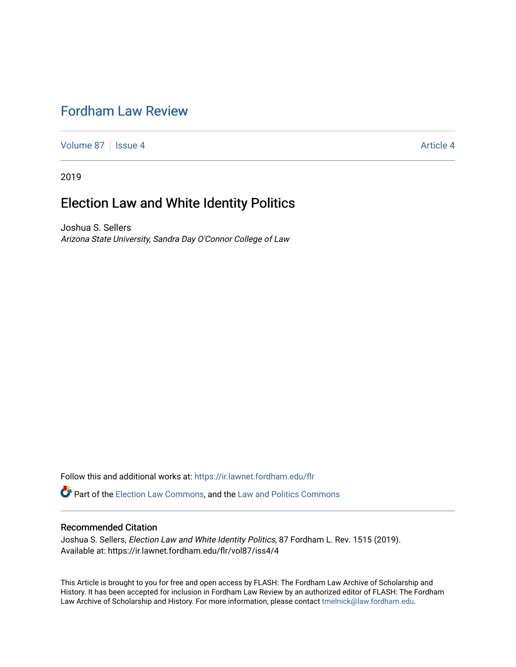## [Fordham Law Review](https://ir.lawnet.fordham.edu/flr)

[Volume 87](https://ir.lawnet.fordham.edu/flr/vol87) | [Issue 4](https://ir.lawnet.fordham.edu/flr/vol87/iss4) Article 4

2019

# Election Law and White Identity Politics

Joshua S. Sellers Arizona State University, Sandra Day O'Connor College of Law

Follow this and additional works at: [https://ir.lawnet.fordham.edu/flr](https://ir.lawnet.fordham.edu/flr?utm_source=ir.lawnet.fordham.edu%2Fflr%2Fvol87%2Fiss4%2F4&utm_medium=PDF&utm_campaign=PDFCoverPages)

Part of the [Election Law Commons](http://network.bepress.com/hgg/discipline/1121?utm_source=ir.lawnet.fordham.edu%2Fflr%2Fvol87%2Fiss4%2F4&utm_medium=PDF&utm_campaign=PDFCoverPages), and the [Law and Politics Commons](http://network.bepress.com/hgg/discipline/867?utm_source=ir.lawnet.fordham.edu%2Fflr%2Fvol87%2Fiss4%2F4&utm_medium=PDF&utm_campaign=PDFCoverPages) 

## Recommended Citation

Joshua S. Sellers, Election Law and White Identity Politics, 87 Fordham L. Rev. 1515 (2019). Available at: https://ir.lawnet.fordham.edu/flr/vol87/iss4/4

This Article is brought to you for free and open access by FLASH: The Fordham Law Archive of Scholarship and History. It has been accepted for inclusion in Fordham Law Review by an authorized editor of FLASH: The Fordham Law Archive of Scholarship and History. For more information, please contact [tmelnick@law.fordham.edu](mailto:tmelnick@law.fordham.edu).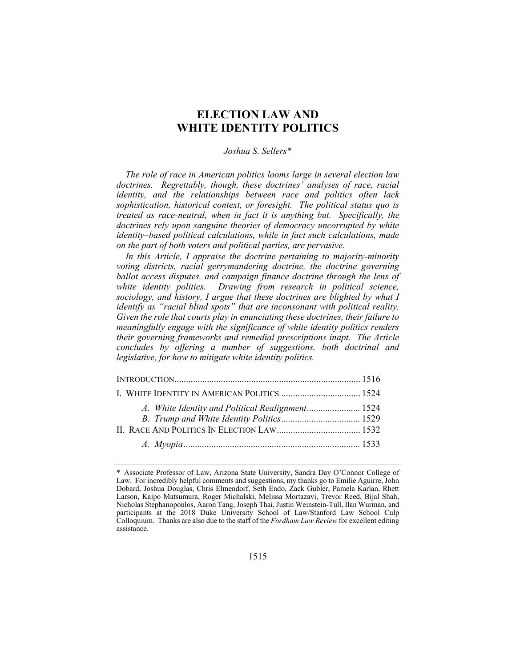## **ELECTION LAW AND WHITE IDENTITY POLITICS**

#### *Joshua S. Sellers\**

*The role of race in American politics looms large in several election law doctrines. Regrettably, though, these doctrines' analyses of race, racial identity, and the relationships between race and politics often lack sophistication, historical context, or foresight. The political status quo is treated as race-neutral, when in fact it is anything but. Specifically, the doctrines rely upon sanguine theories of democracy uncorrupted by white identity–based political calculations, while in fact such calculations, made on the part of both voters and political parties, are pervasive.* 

*In this Article, I appraise the doctrine pertaining to majority-minority voting districts, racial gerrymandering doctrine, the doctrine governing ballot access disputes, and campaign finance doctrine through the lens of white identity politics. Drawing from research in political science, sociology, and history, I argue that these doctrines are blighted by what I identify as "racial blind spots" that are inconsonant with political reality. Given the role that courts play in enunciating these doctrines, their failure to meaningfully engage with the significance of white identity politics renders their governing frameworks and remedial prescriptions inapt. The Article concludes by offering a number of suggestions, both doctrinal and legislative, for how to mitigate white identity politics.* 

|  | I. WHITE IDENTITY IN AMERICAN POLITICS  1524     |  |
|--|--------------------------------------------------|--|
|  | A. White Identity and Political Realignment 1524 |  |
|  |                                                  |  |

<sup>\*</sup> Associate Professor of Law, Arizona State University, Sandra Day O'Connor College of Law. For incredibly helpful comments and suggestions, my thanks go to Emilie Aguirre, John Dobard, Joshua Douglas, Chris Elmendorf, Seth Endo, Zack Gubler, Pamela Karlan, Rhett Larson, Kaipo Matsumura, Roger Michalski, Melissa Mortazavi, Trevor Reed, Bijal Shah, Nicholas Stephanopoulos, Aaron Tang, Joseph Thai, Justin Weinstein-Tull, Ilan Wurman, and participants at the 2018 Duke University School of Law/Stanford Law School Culp Colloquium. Thanks are also due to the staff of the *Fordham Law Review* for excellent editing assistance.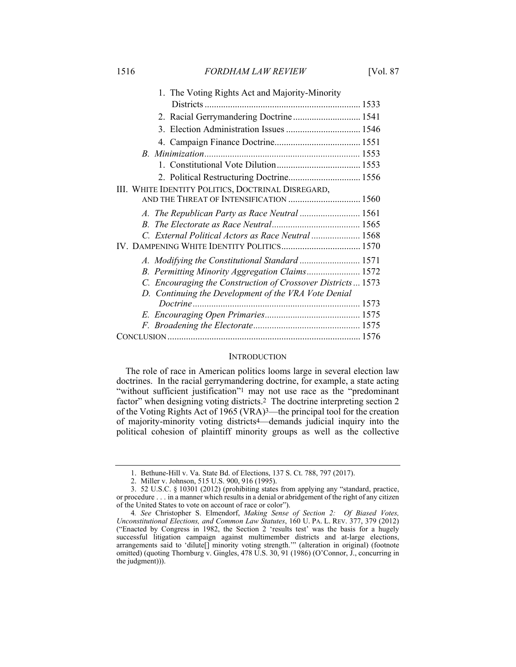| 1. The Voting Rights Act and Majority-Minority              |  |
|-------------------------------------------------------------|--|
|                                                             |  |
| 2. Racial Gerrymandering Doctrine 1541                      |  |
|                                                             |  |
|                                                             |  |
|                                                             |  |
|                                                             |  |
| 2. Political Restructuring Doctrine 1556                    |  |
| III. WHITE IDENTITY POLITICS, DOCTRINAL DISREGARD,          |  |
| AND THE THREAT OF INTENSIFICATION  1560                     |  |
|                                                             |  |
|                                                             |  |
| C. External Political Actors as Race Neutral  1568          |  |
|                                                             |  |
|                                                             |  |
| B. Permitting Minority Aggregation Claims 1572              |  |
| C. Encouraging the Construction of Crossover Districts 1573 |  |
| D. Continuing the Development of the VRA Vote Denial        |  |
| Doctrine                                                    |  |
|                                                             |  |
|                                                             |  |
|                                                             |  |

### **INTRODUCTION**

The role of race in American politics looms large in several election law doctrines. In the racial gerrymandering doctrine, for example, a state acting "without sufficient justification"<sup>1</sup> may not use race as the "predominant factor" when designing voting districts.<sup>2</sup> The doctrine interpreting section 2 of the Voting Rights Act of 1965 (VRA)3—the principal tool for the creation of majority-minority voting districts4—demands judicial inquiry into the political cohesion of plaintiff minority groups as well as the collective

 <sup>1.</sup> Bethune-Hill v. Va. State Bd. of Elections, 137 S. Ct. 788, 797 (2017).

 <sup>2.</sup> Miller v. Johnson, 515 U.S. 900, 916 (1995).

 <sup>3. 52</sup> U.S.C. § 10301 (2012) (prohibiting states from applying any "standard, practice, or procedure . . . in a manner which results in a denial or abridgement of the right of any citizen of the United States to vote on account of race or color").

<sup>4</sup>*. See* Christopher S. Elmendorf, *Making Sense of Section 2: Of Biased Votes, Unconstitutional Elections, and Common Law Statutes*, 160 U. PA. L. REV. 377, 379 (2012) ("Enacted by Congress in 1982, the Section 2 'results test' was the basis for a hugely successful litigation campaign against multimember districts and at-large elections, arrangements said to 'dilute[] minority voting strength.'" (alteration in original) (footnote omitted) (quoting Thornburg v. Gingles, 478 U.S. 30, 91 (1986) (O'Connor, J., concurring in the judgment))).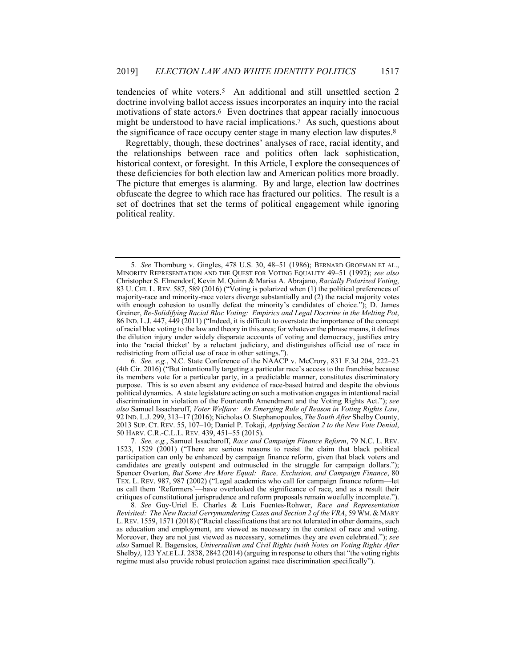tendencies of white voters.5 An additional and still unsettled section 2 doctrine involving ballot access issues incorporates an inquiry into the racial motivations of state actors.6 Even doctrines that appear racially innocuous might be understood to have racial implications.<sup>7</sup> As such, questions about the significance of race occupy center stage in many election law disputes.8

Regrettably, though, these doctrines' analyses of race, racial identity, and the relationships between race and politics often lack sophistication, historical context, or foresight. In this Article, I explore the consequences of these deficiencies for both election law and American politics more broadly. The picture that emerges is alarming. By and large, election law doctrines obfuscate the degree to which race has fractured our politics. The result is a set of doctrines that set the terms of political engagement while ignoring political reality.

<sup>5</sup>*. See* Thornburg v. Gingles, 478 U.S. 30, 48–51 (1986); BERNARD GROFMAN ET AL., MINORITY REPRESENTATION AND THE QUEST FOR VOTING EQUALITY 49–51 (1992); *see also* Christopher S. Elmendorf, Kevin M. Quinn & Marisa A. Abrajano, *Racially Polarized Voting*, 83 U. CHI. L. REV. 587, 589 (2016) ("Voting is polarized when (1) the political preferences of majority-race and minority-race voters diverge substantially and (2) the racial majority votes with enough cohesion to usually defeat the minority's candidates of choice."); D. James Greiner, *Re-Solidifying Racial Bloc Voting: Empirics and Legal Doctrine in the Melting Pot*, 86 IND. L.J. 447, 449 (2011) ("Indeed, it is difficult to overstate the importance of the concept of racial bloc voting to the law and theory in this area; for whatever the phrase means, it defines the dilution injury under widely disparate accounts of voting and democracy, justifies entry into the 'racial thicket' by a reluctant judiciary, and distinguishes official use of race in redistricting from official use of race in other settings.").

<sup>6</sup>*. See, e.g.*, N.C. State Conference of the NAACP v. McCrory, 831 F.3d 204, 222–23 (4th Cir. 2016) ("But intentionally targeting a particular race's access to the franchise because its members vote for a particular party, in a predictable manner, constitutes discriminatory purpose. This is so even absent any evidence of race-based hatred and despite the obvious political dynamics. A state legislature acting on such a motivation engages in intentional racial discrimination in violation of the Fourteenth Amendment and the Voting Rights Act."); *see also* Samuel Issacharoff, *Voter Welfare: An Emerging Rule of Reason in Voting Rights Law*, 92 IND. L.J. 299, 313–17 (2016); Nicholas O. Stephanopoulos, *The South After* Shelby County, 2013 SUP. CT. REV. 55, 107–10; Daniel P. Tokaji, *Applying Section 2 to the New Vote Denial*, 50 HARV. C.R.-C.L.L. REV. 439, 451–55 (2015).

<sup>7</sup>*. See, e.g.*, Samuel Issacharoff, *Race and Campaign Finance Reform*, 79 N.C. L. REV. 1523, 1529 (2001) ("There are serious reasons to resist the claim that black political participation can only be enhanced by campaign finance reform, given that black voters and candidates are greatly outspent and outmuscled in the struggle for campaign dollars."); Spencer Overton, *But Some Are More Equal: Race, Exclusion, and Campaign Finance*, 80 TEX. L. REV. 987, 987 (2002) ("Legal academics who call for campaign finance reform—let us call them 'Reformers'—have overlooked the significance of race, and as a result their critiques of constitutional jurisprudence and reform proposals remain woefully incomplete.").

<sup>8</sup>*. See* Guy-Uriel E. Charles & Luis Fuentes-Rohwer, *Race and Representation Revisited: The New Racial Gerrymandering Cases and Section 2 of the VRA*, 59 WM. & MARY L.REV. 1559, 1571 (2018) ("Racial classifications that are not tolerated in other domains, such as education and employment, are viewed as necessary in the context of race and voting. Moreover, they are not just viewed as necessary, sometimes they are even celebrated."); *see also* Samuel R. Bagenstos, *Universalism and Civil Rights (with Notes on Voting Rights After*  Shelby*)*, 123 YALE L.J. 2838, 2842 (2014) (arguing in response to others that "the voting rights regime must also provide robust protection against race discrimination specifically").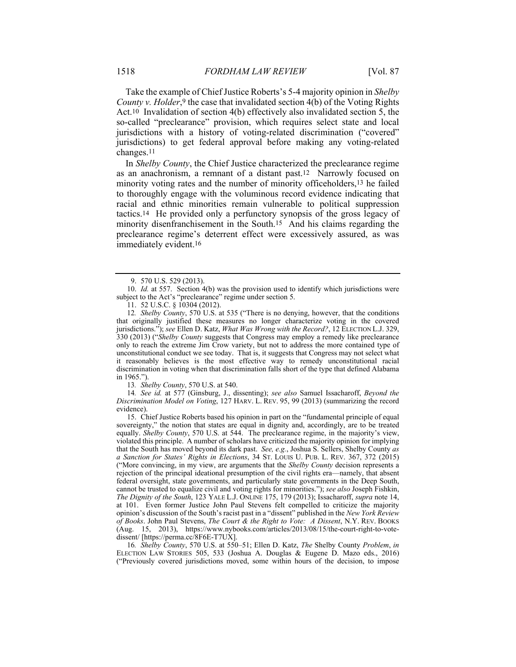Take the example of Chief Justice Roberts's 5-4 majority opinion in *Shelby County v. Holder*,<sup>9</sup> the case that invalidated section 4(b) of the Voting Rights Act.10 Invalidation of section 4(b) effectively also invalidated section 5, the so-called "preclearance" provision, which requires select state and local jurisdictions with a history of voting-related discrimination ("covered" jurisdictions) to get federal approval before making any voting-related changes.11

In *Shelby County*, the Chief Justice characterized the preclearance regime as an anachronism, a remnant of a distant past.12 Narrowly focused on minority voting rates and the number of minority officeholders,13 he failed to thoroughly engage with the voluminous record evidence indicating that racial and ethnic minorities remain vulnerable to political suppression tactics.14 He provided only a perfunctory synopsis of the gross legacy of minority disenfranchisement in the South.15 And his claims regarding the preclearance regime's deterrent effect were excessively assured, as was immediately evident.16

11. 52 U.S.C. § 10304 (2012).

12*. Shelby County*, 570 U.S. at 535 ("There is no denying, however, that the conditions that originally justified these measures no longer characterize voting in the covered jurisdictions."); *see* Ellen D. Katz, *What Was Wrong with the Record?*, 12 ELECTION L.J. 329, 330 (2013) ("*Shelby County* suggests that Congress may employ a remedy like preclearance only to reach the extreme Jim Crow variety, but not to address the more contained type of unconstitutional conduct we see today. That is, it suggests that Congress may not select what it reasonably believes is the most effective way to remedy unconstitutional racial discrimination in voting when that discrimination falls short of the type that defined Alabama in 1965.").

13*. Shelby County*, 570 U.S. at 540.

14*. See id.* at 577 (Ginsburg, J., dissenting); *see also* Samuel Issacharoff, *Beyond the Discrimination Model on Voting*, 127 HARV. L. REV. 95, 99 (2013) (summarizing the record evidence).

 15. Chief Justice Roberts based his opinion in part on the "fundamental principle of equal sovereignty," the notion that states are equal in dignity and, accordingly, are to be treated equally. *Shelby County*, 570 U.S. at 544. The preclearance regime, in the majority's view, violated this principle. A number of scholars have criticized the majority opinion for implying that the South has moved beyond its dark past. *See, e.g.*, Joshua S. Sellers, Shelby County *as a Sanction for States' Rights in Elections*, 34 ST. LOUIS U. PUB. L. REV. 367, 372 (2015) ("More convincing, in my view, are arguments that the *Shelby County* decision represents a rejection of the principal ideational presumption of the civil rights era—namely, that absent federal oversight, state governments, and particularly state governments in the Deep South, cannot be trusted to equalize civil and voting rights for minorities."); *see also* Joseph Fishkin, *The Dignity of the South*, 123 YALE L.J. ONLINE 175, 179 (2013); Issacharoff, *supra* note 14, at 101. Even former Justice John Paul Stevens felt compelled to criticize the majority opinion's discussion of the South's racist past in a "dissent" published in the *New York Review of Books*. John Paul Stevens, *The Court & the Right to Vote: A Dissent*, N.Y. REV. BOOKS (Aug. 15, 2013), https://www.nybooks.com/articles/2013/08/15/the-court-right-to-votedissent/ [https://perma.cc/8F6E-T7UX].

16*. Shelby County*, 570 U.S. at 550–51; Ellen D. Katz, *The* Shelby County *Problem*, *in*  ELECTION LAW STORIES 505, 533 (Joshua A. Douglas & Eugene D. Mazo eds., 2016) ("Previously covered jurisdictions moved, some within hours of the decision, to impose

 <sup>9. 570</sup> U.S. 529 (2013).

 <sup>10.</sup> *Id.* at 557. Section 4(b) was the provision used to identify which jurisdictions were subject to the Act's "preclearance" regime under section 5.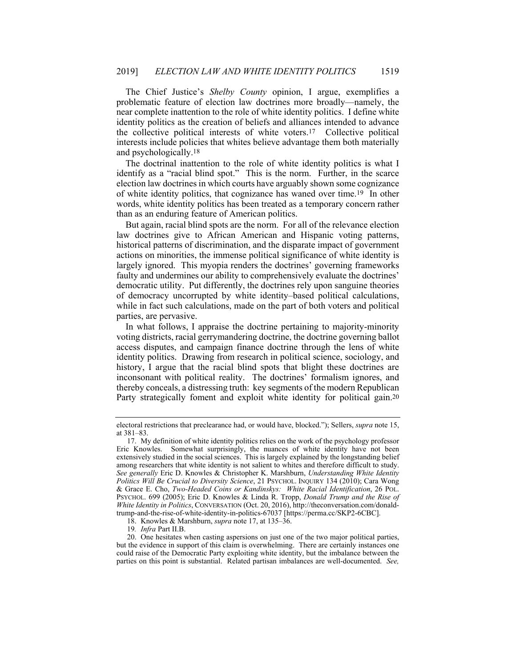The Chief Justice's *Shelby County* opinion, I argue, exemplifies a problematic feature of election law doctrines more broadly—namely, the near complete inattention to the role of white identity politics. I define white identity politics as the creation of beliefs and alliances intended to advance the collective political interests of white voters.17 Collective political interests include policies that whites believe advantage them both materially and psychologically.18

The doctrinal inattention to the role of white identity politics is what I identify as a "racial blind spot." This is the norm. Further, in the scarce election law doctrines in which courts have arguably shown some cognizance of white identity politics, that cognizance has waned over time.19 In other words, white identity politics has been treated as a temporary concern rather than as an enduring feature of American politics.

But again, racial blind spots are the norm. For all of the relevance election law doctrines give to African American and Hispanic voting patterns, historical patterns of discrimination, and the disparate impact of government actions on minorities, the immense political significance of white identity is largely ignored. This myopia renders the doctrines' governing frameworks faulty and undermines our ability to comprehensively evaluate the doctrines' democratic utility. Put differently, the doctrines rely upon sanguine theories of democracy uncorrupted by white identity–based political calculations, while in fact such calculations, made on the part of both voters and political parties, are pervasive.

In what follows, I appraise the doctrine pertaining to majority-minority voting districts, racial gerrymandering doctrine, the doctrine governing ballot access disputes, and campaign finance doctrine through the lens of white identity politics. Drawing from research in political science, sociology, and history, I argue that the racial blind spots that blight these doctrines are inconsonant with political reality. The doctrines' formalism ignores, and thereby conceals, a distressing truth: key segments of the modern Republican Party strategically foment and exploit white identity for political gain.20

electoral restrictions that preclearance had, or would have, blocked."); Sellers, *supra* note 15, at 381–83.

 <sup>17.</sup> My definition of white identity politics relies on the work of the psychology professor Eric Knowles. Somewhat surprisingly, the nuances of white identity have not been extensively studied in the social sciences. This is largely explained by the longstanding belief among researchers that white identity is not salient to whites and therefore difficult to study. *See generally* Eric D. Knowles & Christopher K. Marshburn, *Understanding White Identity Politics Will Be Crucial to Diversity Science*, 21 PSYCHOL. INQUIRY 134 (2010); Cara Wong & Grace E. Cho, *Two-Headed Coins or Kandinskys: White Racial Identification*, 26 POL. PSYCHOL. 699 (2005); Eric D. Knowles & Linda R. Tropp, *Donald Trump and the Rise of White Identity in Politics*, CONVERSATION (Oct. 20, 2016), http://theconversation.com/donaldtrump-and-the-rise-of-white-identity-in-politics-67037 [https://perma.cc/SKP2-6CBC].

 <sup>18.</sup> Knowles & Marshburn, *supra* note 17, at 135–36.

<sup>19</sup>*. Infra* Part II.B.

 <sup>20.</sup> One hesitates when casting aspersions on just one of the two major political parties, but the evidence in support of this claim is overwhelming. There are certainly instances one could raise of the Democratic Party exploiting white identity, but the imbalance between the parties on this point is substantial. Related partisan imbalances are well-documented. *See,*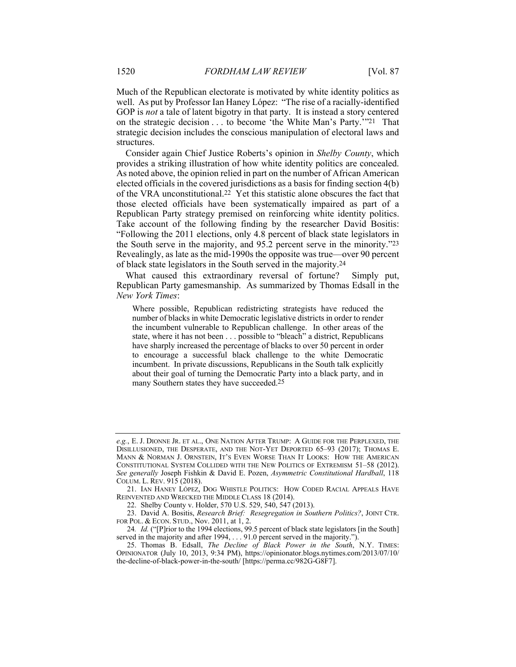Much of the Republican electorate is motivated by white identity politics as well. As put by Professor Ian Haney López: "The rise of a racially-identified GOP is *not* a tale of latent bigotry in that party. It is instead a story centered on the strategic decision . . . to become 'the White Man's Party.'"21 That strategic decision includes the conscious manipulation of electoral laws and structures.

Consider again Chief Justice Roberts's opinion in *Shelby County*, which provides a striking illustration of how white identity politics are concealed. As noted above, the opinion relied in part on the number of African American elected officials in the covered jurisdictions as a basis for finding section 4(b) of the VRA unconstitutional.22 Yet this statistic alone obscures the fact that those elected officials have been systematically impaired as part of a Republican Party strategy premised on reinforcing white identity politics. Take account of the following finding by the researcher David Bositis: "Following the 2011 elections, only 4.8 percent of black state legislators in the South serve in the majority, and 95.2 percent serve in the minority."23 Revealingly, as late as the mid-1990s the opposite was true—over 90 percent of black state legislators in the South served in the majority.24

What caused this extraordinary reversal of fortune? Simply put, Republican Party gamesmanship. As summarized by Thomas Edsall in the *New York Times*:

Where possible, Republican redistricting strategists have reduced the number of blacks in white Democratic legislative districts in order to render the incumbent vulnerable to Republican challenge. In other areas of the state, where it has not been . . . possible to "bleach" a district, Republicans have sharply increased the percentage of blacks to over 50 percent in order to encourage a successful black challenge to the white Democratic incumbent. In private discussions, Republicans in the South talk explicitly about their goal of turning the Democratic Party into a black party, and in many Southern states they have succeeded.25

*e.g.*, E. J. DIONNE JR. ET AL., ONE NATION AFTER TRUMP: A GUIDE FOR THE PERPLEXED, THE DISILLUSIONED, THE DESPERATE, AND THE NOT-YET DEPORTED 65–93 (2017); THOMAS E. MANN & NORMAN J. ORNSTEIN, IT'S EVEN WORSE THAN IT LOOKS: HOW THE AMERICAN CONSTITUTIONAL SYSTEM COLLIDED WITH THE NEW POLITICS OF EXTREMISM 51–58 (2012). *See generally* Joseph Fishkin & David E. Pozen, *Asymmetric Constitutional Hardball*, 118 COLUM. L. REV. 915 (2018).

 <sup>21.</sup> IAN HANEY LÓPEZ, DOG WHISTLE POLITICS: HOW CODED RACIAL APPEALS HAVE REINVENTED AND WRECKED THE MIDDLE CLASS 18 (2014).

 <sup>22.</sup> Shelby County v. Holder, 570 U.S. 529, 540, 547 (2013).

 <sup>23.</sup> David A. Bositis, *Research Brief: Resegregation in Southern Politics?*, JOINT CTR. FOR POL. & ECON. STUD., Nov. 2011, at 1, 2.

<sup>24</sup>*. Id.* ("[P]rior to the 1994 elections, 99.5 percent of black state legislators [in the South] served in the majority and after 1994, . . . 91.0 percent served in the majority.").

 <sup>25.</sup> Thomas B. Edsall, *The Decline of Black Power in the South*, N.Y. TIMES: OPINIONATOR (July 10, 2013, 9:34 PM), https://opinionator.blogs.nytimes.com/2013/07/10/ the-decline-of-black-power-in-the-south/ [https://perma.cc/982G-G8F7].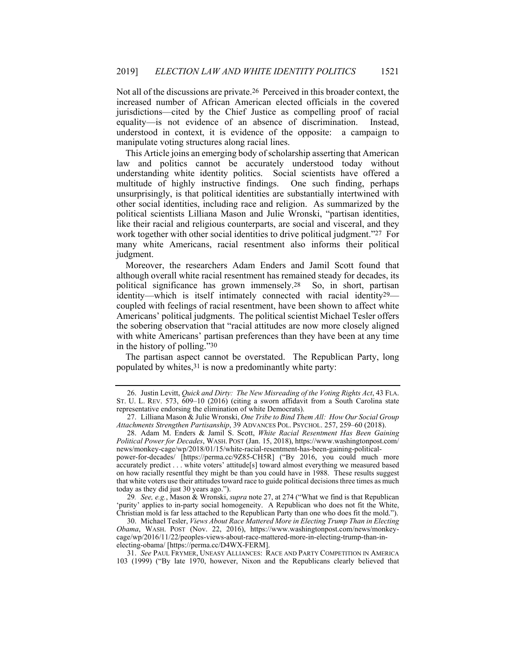Not all of the discussions are private.26 Perceived in this broader context, the increased number of African American elected officials in the covered jurisdictions—cited by the Chief Justice as compelling proof of racial equality—is not evidence of an absence of discrimination. Instead, understood in context, it is evidence of the opposite: a campaign to manipulate voting structures along racial lines.

This Article joins an emerging body of scholarship asserting that American law and politics cannot be accurately understood today without understanding white identity politics. Social scientists have offered a multitude of highly instructive findings. One such finding, perhaps unsurprisingly, is that political identities are substantially intertwined with other social identities, including race and religion. As summarized by the political scientists Lilliana Mason and Julie Wronski, "partisan identities, like their racial and religious counterparts, are social and visceral, and they work together with other social identities to drive political judgment."27 For many white Americans, racial resentment also informs their political judgment.

Moreover, the researchers Adam Enders and Jamil Scott found that although overall white racial resentment has remained steady for decades, its political significance has grown immensely.28 So, in short, partisan identity—which is itself intimately connected with racial identity29 coupled with feelings of racial resentment, have been shown to affect white Americans' political judgments. The political scientist Michael Tesler offers the sobering observation that "racial attitudes are now more closely aligned with white Americans' partisan preferences than they have been at any time in the history of polling."30

The partisan aspect cannot be overstated. The Republican Party, long populated by whites,31 is now a predominantly white party:

power-for-decades/ [https://perma.cc/9Z85-CH5R] ("By 2016, you could much more accurately predict . . . white voters' attitude[s] toward almost everything we measured based on how racially resentful they might be than you could have in 1988. These results suggest that white voters use their attitudes toward race to guide political decisions three times as much today as they did just 30 years ago.").

29*. See, e.g.*, Mason & Wronski, *supra* note 27, at 274 ("What we find is that Republican 'purity' applies to in-party social homogeneity. A Republican who does not fit the White, Christian mold is far less attached to the Republican Party than one who does fit the mold.").

 30. Michael Tesler, *Views About Race Mattered More in Electing Trump Than in Electing Obama*, WASH. POST (Nov. 22, 2016), https://www.washingtonpost.com/news/monkeycage/wp/2016/11/22/peoples-views-about-race-mattered-more-in-electing-trump-than-inelecting-obama/ [https://perma.cc/D4WX-FERM].

 31. *See* PAUL FRYMER, UNEASY ALLIANCES: RACE AND PARTY COMPETITION IN AMERICA 103 (1999) ("By late 1970, however, Nixon and the Republicans clearly believed that

 <sup>26.</sup> Justin Levitt, *Quick and Dirty: The New Misreading of the Voting Rights Act*, 43 FLA. ST. U. L. REV. 573, 609–10 (2016) (citing a sworn affidavit from a South Carolina state representative endorsing the elimination of white Democrats).

 <sup>27.</sup> Lilliana Mason & Julie Wronski, *One Tribe to Bind Them All: How Our Social Group Attachments Strengthen Partisanship*, 39 ADVANCES POL. PSYCHOL. 257, 259–60 (2018).

 <sup>28.</sup> Adam M. Enders & Jamil S. Scott, *White Racial Resentment Has Been Gaining Political Power for Decades*, WASH. POST (Jan. 15, 2018), https://www.washingtonpost.com/ news/monkey-cage/wp/2018/01/15/white-racial-resentment-has-been-gaining-political-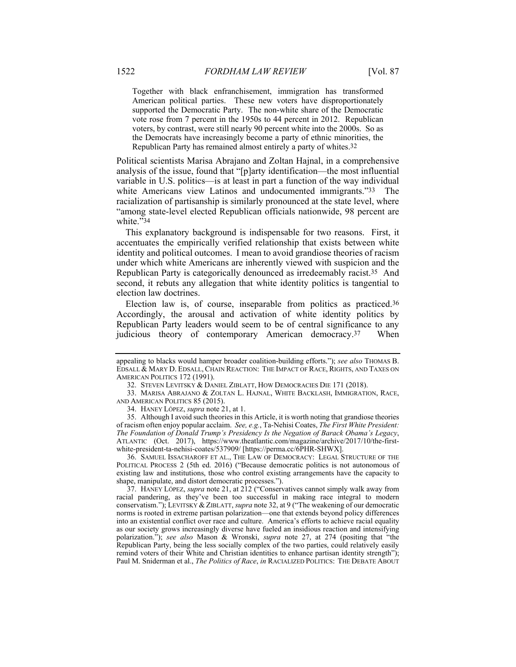Together with black enfranchisement, immigration has transformed American political parties. These new voters have disproportionately supported the Democratic Party. The non-white share of the Democratic vote rose from 7 percent in the 1950s to 44 percent in 2012. Republican voters, by contrast, were still nearly 90 percent white into the 2000s. So as the Democrats have increasingly become a party of ethnic minorities, the Republican Party has remained almost entirely a party of whites.32

Political scientists Marisa Abrajano and Zoltan Hajnal, in a comprehensive analysis of the issue, found that "[p]arty identification—the most influential variable in U.S. politics—is at least in part a function of the way individual white Americans view Latinos and undocumented immigrants."33 The racialization of partisanship is similarly pronounced at the state level, where "among state-level elected Republican officials nationwide, 98 percent are white."34

This explanatory background is indispensable for two reasons. First, it accentuates the empirically verified relationship that exists between white identity and political outcomes. I mean to avoid grandiose theories of racism under which white Americans are inherently viewed with suspicion and the Republican Party is categorically denounced as irredeemably racist.35 And second, it rebuts any allegation that white identity politics is tangential to election law doctrines.

Election law is, of course, inseparable from politics as practiced.36 Accordingly, the arousal and activation of white identity politics by Republican Party leaders would seem to be of central significance to any judicious theory of contemporary American democracy.37 When

 36. SAMUEL ISSACHAROFF ET AL., THE LAW OF DEMOCRACY: LEGAL STRUCTURE OF THE POLITICAL PROCESS 2 (5th ed. 2016) ("Because democratic politics is not autonomous of existing law and institutions, those who control existing arrangements have the capacity to shape, manipulate, and distort democratic processes.").

 37. HANEY LÓPEZ, *supra* note 21, at 212 ("Conservatives cannot simply walk away from racial pandering, as they've been too successful in making race integral to modern conservatism."); LEVITSKY & ZIBLATT, *supra* note 32, at 9 ("The weakening of our democratic norms is rooted in extreme partisan polarization—one that extends beyond policy differences into an existential conflict over race and culture. America's efforts to achieve racial equality as our society grows increasingly diverse have fueled an insidious reaction and intensifying polarization."); *see also* Mason & Wronski, *supra* note 27, at 274 (positing that "the Republican Party, being the less socially complex of the two parties, could relatively easily remind voters of their White and Christian identities to enhance partisan identity strength"); Paul M. Sniderman et al., *The Politics of Race*, *in* RACIALIZED POLITICS: THE DEBATE ABOUT

appealing to blacks would hamper broader coalition-building efforts."); see also THOMAS B. EDSALL & MARY D. EDSALL, CHAIN REACTION: THE IMPACT OF RACE, RIGHTS, AND TAXES ON AMERICAN POLITICS 172 (1991).

 <sup>32.</sup> STEVEN LEVITSKY & DANIEL ZIBLATT, HOW DEMOCRACIES DIE 171 (2018).

 <sup>33.</sup> MARISA ABRAJANO & ZOLTAN L. HAJNAL, WHITE BACKLASH, IMMIGRATION, RACE, AND AMERICAN POLITICS 85 (2015).

 <sup>34.</sup> HANEY LÓPEZ, *supra* note 21, at 1.

 <sup>35.</sup> Although I avoid such theories in this Article, it is worth noting that grandiose theories of racism often enjoy popular acclaim. *See, e.g.*, Ta-Nehisi Coates, *The First White President: The Foundation of Donald Trump's Presidency Is the Negation of Barack Obama's Legacy*, ATLANTIC (Oct. 2017), https://www.theatlantic.com/magazine/archive/2017/10/the-firstwhite-president-ta-nehisi-coates/537909/ [https://perma.cc/6PHR-SHWX].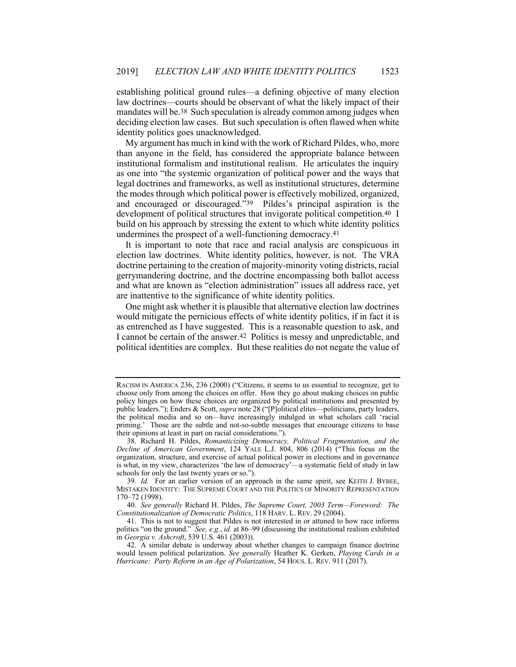establishing political ground rules—a defining objective of many election law doctrines—courts should be observant of what the likely impact of their mandates will be.38 Such speculation is already common among judges when deciding election law cases. But such speculation is often flawed when white identity politics goes unacknowledged.

My argument has much in kind with the work of Richard Pildes, who, more than anyone in the field, has considered the appropriate balance between institutional formalism and institutional realism. He articulates the inquiry as one into "the systemic organization of political power and the ways that legal doctrines and frameworks, as well as institutional structures, determine the modes through which political power is effectively mobilized, organized, and encouraged or discouraged."39 Pildes's principal aspiration is the development of political structures that invigorate political competition.40 I build on his approach by stressing the extent to which white identity politics undermines the prospect of a well-functioning democracy.41

It is important to note that race and racial analysis are conspicuous in election law doctrines. White identity politics, however, is not. The VRA doctrine pertaining to the creation of majority-minority voting districts, racial gerrymandering doctrine, and the doctrine encompassing both ballot access and what are known as "election administration" issues all address race, yet are inattentive to the significance of white identity politics.

One might ask whether it is plausible that alternative election law doctrines would mitigate the pernicious effects of white identity politics, if in fact it is as entrenched as I have suggested. This is a reasonable question to ask, and I cannot be certain of the answer.42 Politics is messy and unpredictable, and political identities are complex. But these realities do not negate the value of

RACISM IN AMERICA 236, 236 (2000) ("Citizens, it seems to us essential to recognize, get to choose only from among the choices on offer. How they go about making choices on public policy hinges on how these choices are organized by political institutions and presented by public leaders."); Enders & Scott, *supra* note 28 ("[P]olitical elites—politicians, party leaders, the political media and so on—have increasingly indulged in what scholars call 'racial priming.' Those are the subtle and not-so-subtle messages that encourage citizens to base their opinions at least in part on racial considerations.").

 <sup>38.</sup> Richard H. Pildes, *Romanticizing Democracy, Political Fragmentation, and the Decline of American Government*, 124 YALE L.J. 804, 806 (2014) ("This focus on the organization, structure, and exercise of actual political power in elections and in governance is what, in my view, characterizes 'the law of democracy'—a systematic field of study in law schools for only the last twenty years or so.").

<sup>39.</sup> Id. For an earlier version of an approach in the same spirit, see KEITH J. BYBEE, MISTAKEN IDENTITY: THE SUPREME COURT AND THE POLITICS OF MINORITY REPRESENTATION 170–72 (1998).

<sup>40</sup>*. See generally* Richard H. Pildes, *The Supreme Court, 2003 Term—Foreword: The Constitutionalization of Democratic Politics*, 118 HARV. L. REV. 29 (2004).

 <sup>41.</sup> This is not to suggest that Pildes is not interested in or attuned to how race informs politics "on the ground." *See, e.g.*, *id.* at 86–99 (discussing the institutional realism exhibited in *Georgia v. Ashcroft*, 539 U.S. 461 (2003)).

 <sup>42.</sup> A similar debate is underway about whether changes to campaign finance doctrine would lessen political polarization. *See generally* Heather K. Gerken, *Playing Cards in a Hurricane: Party Reform in an Age of Polarization*, 54 HOUS. L. REV. 911 (2017).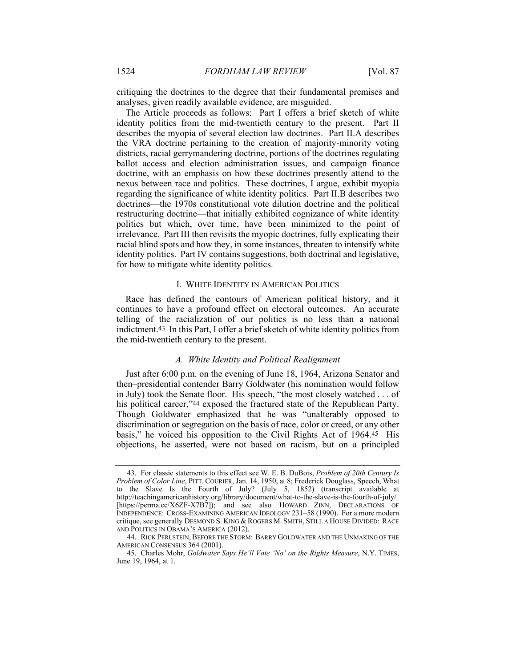critiquing the doctrines to the degree that their fundamental premises and analyses, given readily available evidence, are misguided.

The Article proceeds as follows: Part I offers a brief sketch of white identity politics from the mid-twentieth century to the present. Part II describes the myopia of several election law doctrines. Part II.A describes the VRA doctrine pertaining to the creation of majority-minority voting districts, racial gerrymandering doctrine, portions of the doctrines regulating ballot access and election administration issues, and campaign finance doctrine, with an emphasis on how these doctrines presently attend to the nexus between race and politics. These doctrines, I argue, exhibit myopia regarding the significance of white identity politics. Part II.B describes two doctrines—the 1970s constitutional vote dilution doctrine and the political restructuring doctrine—that initially exhibited cognizance of white identity politics but which, over time, have been minimized to the point of irrelevance. Part III then revisits the myopic doctrines, fully explicating their racial blind spots and how they, in some instances, threaten to intensify white identity politics. Part IV contains suggestions, both doctrinal and legislative, for how to mitigate white identity politics.

#### I. WHITE IDENTITY IN AMERICAN POLITICS

Race has defined the contours of American political history, and it continues to have a profound effect on electoral outcomes. An accurate telling of the racialization of our politics is no less than a national indictment.43 In this Part, I offer a brief sketch of white identity politics from the mid-twentieth century to the present.

#### *A. White Identity and Political Realignment*

Just after 6:00 p.m. on the evening of June 18, 1964, Arizona Senator and then–presidential contender Barry Goldwater (his nomination would follow in July) took the Senate floor. His speech, "the most closely watched . . . of his political career,"44 exposed the fractured state of the Republican Party. Though Goldwater emphasized that he was "unalterably opposed to discrimination or segregation on the basis of race, color or creed, or any other basis," he voiced his opposition to the Civil Rights Act of 1964.45 His objections, he asserted, were not based on racism, but on a principled

 <sup>43.</sup> For classic statements to this effect see W. E. B. DuBois, *Problem of 20th Century Is Problem of Color Line*, PITT. COURIER, Jan. 14, 1950, at 8; Frederick Douglass, Speech, What to the Slave Is the Fourth of July? (July 5, 1852) (transcript available at http://teachingamericanhistory.org/library/document/what-to-the-slave-is-the-fourth-of-july/ [https://perma.cc/X6ZF-X7B7]); and see also HOWARD ZINN, DECLARATIONS OF INDEPENDENCE: CROSS-EXAMINING AMERICAN IDEOLOGY 231–58 (1990). For a more modern critique, see generally DESMOND S. KING & ROGERS M. SMITH, STILL A HOUSE DIVIDED: RACE AND POLITICS IN OBAMA'S AMERICA (2012).

<sup>44.</sup> RICK PERLSTEIN, BEFORE THE STORM: BARRY GOLDWATER AND THE UNMAKING OF THE AMERICAN CONSENSUS 364 (2001).

 <sup>45.</sup> Charles Mohr, *Goldwater Says He'll Vote 'No' on the Rights Measure*, N.Y. TIMES, June 19, 1964, at 1.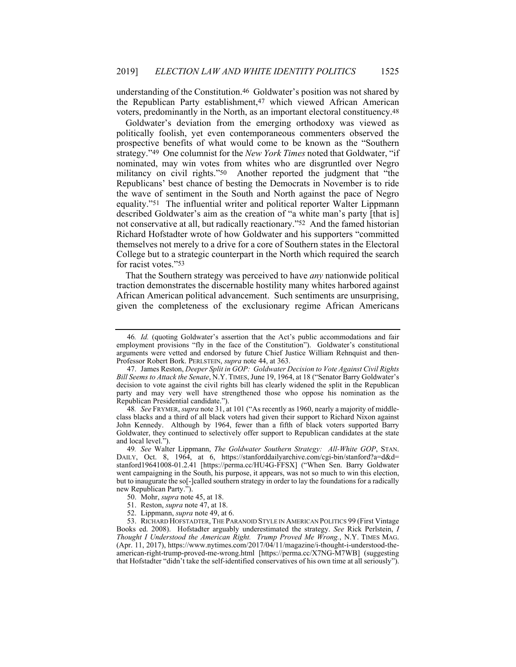understanding of the Constitution.46 Goldwater's position was not shared by the Republican Party establishment,47 which viewed African American voters, predominantly in the North, as an important electoral constituency.48

Goldwater's deviation from the emerging orthodoxy was viewed as politically foolish, yet even contemporaneous commenters observed the prospective benefits of what would come to be known as the "Southern strategy."49 One columnist for the *New York Times* noted that Goldwater, "if nominated, may win votes from whites who are disgruntled over Negro militancy on civil rights."50 Another reported the judgment that "the Republicans' best chance of besting the Democrats in November is to ride the wave of sentiment in the South and North against the pace of Negro equality."51 The influential writer and political reporter Walter Lippmann described Goldwater's aim as the creation of "a white man's party [that is] not conservative at all, but radically reactionary."52 And the famed historian Richard Hofstadter wrote of how Goldwater and his supporters "committed themselves not merely to a drive for a core of Southern states in the Electoral College but to a strategic counterpart in the North which required the search for racist votes."53

That the Southern strategy was perceived to have *any* nationwide political traction demonstrates the discernable hostility many whites harbored against African American political advancement. Such sentiments are unsurprising, given the completeness of the exclusionary regime African Americans

48*. See* FRYMER, *supra* note 31, at 101 ("As recently as 1960, nearly a majority of middleclass blacks and a third of all black voters had given their support to Richard Nixon against John Kennedy. Although by 1964, fewer than a fifth of black voters supported Barry Goldwater, they continued to selectively offer support to Republican candidates at the state and local level.").

<sup>46</sup>*. Id.* (quoting Goldwater's assertion that the Act's public accommodations and fair employment provisions "fly in the face of the Constitution"). Goldwater's constitutional arguments were vetted and endorsed by future Chief Justice William Rehnquist and then-Professor Robert Bork. PERLSTEIN, *supra* note 44, at 363.

 <sup>47.</sup> James Reston, *Deeper Split in GOP: Goldwater Decision to Vote Against Civil Rights Bill Seems to Attack the Senate*, N.Y. TIMES, June 19, 1964, at 18 ("Senator Barry Goldwater's decision to vote against the civil rights bill has clearly widened the split in the Republican party and may very well have strengthened those who oppose his nomination as the Republican Presidential candidate.").

<sup>49</sup>*. See* Walter Lippmann, *The Goldwater Southern Strategy: All-White GOP*, STAN. DAILY, Oct. 8, 1964, at 6, https://stanforddailyarchive.com/cgi-bin/stanford?a=d&d= stanford19641008-01.2.41 [https://perma.cc/HU4G-FFSX] ("When Sen. Barry Goldwater went campaigning in the South, his purpose, it appears, was not so much to win this election, but to inaugurate the so[-]called southern strategy in order to lay the foundations for a radically new Republican Party.").

 <sup>50.</sup> Mohr, *supra* note 45, at 18.

 <sup>51.</sup> Reston, *supra* note 47, at 18.

 <sup>52.</sup> Lippmann, *supra* note 49, at 6.

 <sup>53.</sup> RICHARD HOFSTADTER,THE PARANOID STYLE IN AMERICAN POLITICS 99 (First Vintage Books ed. 2008). Hofstadter arguably underestimated the strategy. *See* Rick Perlstein, *I Thought I Understood the American Right. Trump Proved Me Wrong.*, N.Y. TIMES MAG. (Apr. 11, 2017), https://www.nytimes.com/2017/04/11/magazine/i-thought-i-understood-theamerican-right-trump-proved-me-wrong.html [https://perma.cc/X7NG-M7WB] (suggesting that Hofstadter "didn't take the self-identified conservatives of his own time at all seriously").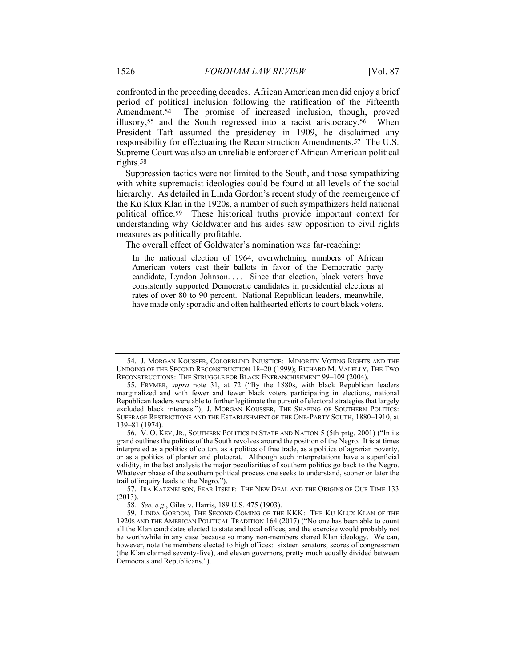confronted in the preceding decades. African American men did enjoy a brief period of political inclusion following the ratification of the Fifteenth Amendment.<sup>54</sup> The promise of increased inclusion, though, proved illusory,55 and the South regressed into a racist aristocracy.56 When President Taft assumed the presidency in 1909, he disclaimed any responsibility for effectuating the Reconstruction Amendments.57 The U.S. Supreme Court was also an unreliable enforcer of African American political rights.58

Suppression tactics were not limited to the South, and those sympathizing with white supremacist ideologies could be found at all levels of the social hierarchy. As detailed in Linda Gordon's recent study of the reemergence of the Ku Klux Klan in the 1920s, a number of such sympathizers held national political office.59 These historical truths provide important context for understanding why Goldwater and his aides saw opposition to civil rights measures as politically profitable.

The overall effect of Goldwater's nomination was far-reaching:

In the national election of 1964, overwhelming numbers of African American voters cast their ballots in favor of the Democratic party candidate, Lyndon Johnson.... Since that election, black voters have consistently supported Democratic candidates in presidential elections at rates of over 80 to 90 percent. National Republican leaders, meanwhile, have made only sporadic and often halfhearted efforts to court black voters.

 <sup>54.</sup> J. MORGAN KOUSSER, COLORBLIND INJUSTICE: MINORITY VOTING RIGHTS AND THE UNDOING OF THE SECOND RECONSTRUCTION 18–20 (1999); RICHARD M. VALELLY, THE TWO RECONSTRUCTIONS: THE STRUGGLE FOR BLACK ENFRANCHISEMENT 99–109 (2004).

 <sup>55.</sup> FRYMER, *supra* note 31, at 72 ("By the 1880s, with black Republican leaders marginalized and with fewer and fewer black voters participating in elections, national Republican leaders were able to further legitimate the pursuit of electoral strategies that largely excluded black interests."); J. MORGAN KOUSSER, THE SHAPING OF SOUTHERN POLITICS: SUFFRAGE RESTRICTIONS AND THE ESTABLISHMENT OF THE ONE-PARTY SOUTH, 1880–1910, at 139–81 (1974).

 <sup>56.</sup> V. O. KEY, JR., SOUTHERN POLITICS IN STATE AND NATION 5 (5th prtg. 2001) ("In its grand outlines the politics of the South revolves around the position of the Negro. It is at times interpreted as a politics of cotton, as a politics of free trade, as a politics of agrarian poverty, or as a politics of planter and plutocrat. Although such interpretations have a superficial validity, in the last analysis the major peculiarities of southern politics go back to the Negro. Whatever phase of the southern political process one seeks to understand, sooner or later the trail of inquiry leads to the Negro.").

 <sup>57.</sup> IRA KATZNELSON, FEAR ITSELF: THE NEW DEAL AND THE ORIGINS OF OUR TIME 133 (2013).

<sup>58</sup>*. See, e.g.*, Giles v. Harris, 189 U.S. 475 (1903).

 <sup>59.</sup> LINDA GORDON, THE SECOND COMING OF THE KKK: THE KU KLUX KLAN OF THE 1920S AND THE AMERICAN POLITICAL TRADITION 164 (2017) ("No one has been able to count all the Klan candidates elected to state and local offices, and the exercise would probably not be worthwhile in any case because so many non-members shared Klan ideology. We can, however, note the members elected to high offices: sixteen senators, scores of congressmen (the Klan claimed seventy-five), and eleven governors, pretty much equally divided between Democrats and Republicans.").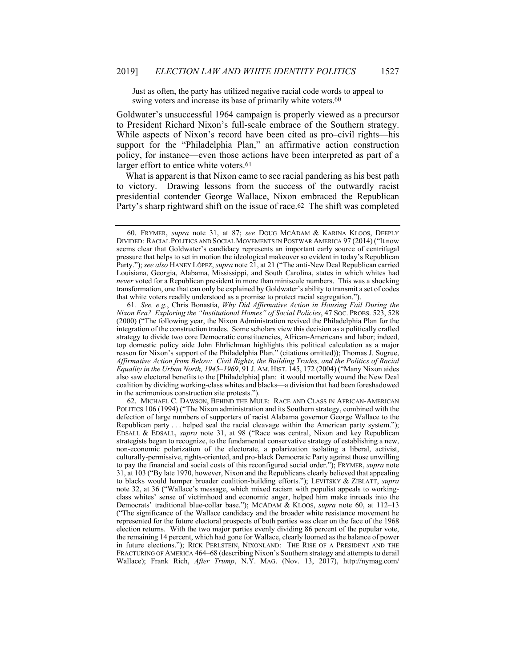Just as often, the party has utilized negative racial code words to appeal to swing voters and increase its base of primarily white voters.<sup>60</sup>

Goldwater's unsuccessful 1964 campaign is properly viewed as a precursor to President Richard Nixon's full-scale embrace of the Southern strategy. While aspects of Nixon's record have been cited as pro–civil rights—his support for the "Philadelphia Plan," an affirmative action construction policy, for instance—even those actions have been interpreted as part of a larger effort to entice white voters.61

What is apparent is that Nixon came to see racial pandering as his best path to victory. Drawing lessons from the success of the outwardly racist presidential contender George Wallace, Nixon embraced the Republican Party's sharp rightward shift on the issue of race.62 The shift was completed

 <sup>60.</sup> FRYMER, *supra* note 31, at 87; *see* DOUG MCADAM & KARINA KLOOS, DEEPLY DIVIDED: RACIAL POLITICS AND SOCIAL MOVEMENTS IN POSTWAR AMERICA 97 (2014) ("It now seems clear that Goldwater's candidacy represents an important early source of centrifugal pressure that helps to set in motion the ideological makeover so evident in today's Republican Party."); see also HANEY LÓPEZ, *supra* note 21, at 21 ("The anti-New Deal Republican carried Louisiana, Georgia, Alabama, Mississippi, and South Carolina, states in which whites had *never* voted for a Republican president in more than miniscule numbers. This was a shocking transformation, one that can only be explained by Goldwater's ability to transmit a set of codes that white voters readily understood as a promise to protect racial segregation.").

<sup>61</sup>*. See, e.g.*, Chris Bonastia, *Why Did Affirmative Action in Housing Fail During the Nixon Era? Exploring the "Institutional Homes" of Social Policies*, 47 SOC. PROBS. 523, 528 (2000) ("The following year, the Nixon Administration revived the Philadelphia Plan for the integration of the construction trades. Some scholars view this decision as a politically crafted strategy to divide two core Democratic constituencies, African-Americans and labor; indeed, top domestic policy aide John Ehrlichman highlights this political calculation as a major reason for Nixon's support of the Philadelphia Plan." (citations omitted)); Thomas J. Sugrue, *Affirmative Action from Below: Civil Rights, the Building Trades, and the Politics of Racial Equality in the Urban North, 1945–1969*, 91 J. AM. HIST. 145, 172 (2004) ("Many Nixon aides also saw electoral benefits to the [Philadelphia] plan: it would mortally wound the New Deal coalition by dividing working-class whites and blacks—a division that had been foreshadowed in the acrimonious construction site protests.").

 <sup>62.</sup> MICHAEL C. DAWSON, BEHIND THE MULE: RACE AND CLASS IN AFRICAN-AMERICAN POLITICS 106 (1994) ("The Nixon administration and its Southern strategy, combined with the defection of large numbers of supporters of racist Alabama governor George Wallace to the Republican party . . . helped seal the racial cleavage within the American party system."); EDSALL & EDSALL, *supra* note 31, at 98 ("Race was central, Nixon and key Republican strategists began to recognize, to the fundamental conservative strategy of establishing a new, non-economic polarization of the electorate, a polarization isolating a liberal, activist, culturally-permissive, rights-oriented, and pro-black Democratic Party against those unwilling to pay the financial and social costs of this reconfigured social order."); FRYMER, *supra* note 31, at 103 ("By late 1970, however, Nixon and the Republicans clearly believed that appealing to blacks would hamper broader coalition-building efforts."); LEVITSKY & ZIBLATT, *supra* note 32, at 36 ("Wallace's message, which mixed racism with populist appeals to workingclass whites' sense of victimhood and economic anger, helped him make inroads into the Democrats' traditional blue-collar base."); MCADAM & KLOOS, *supra* note 60, at 112-13 ("The significance of the Wallace candidacy and the broader white resistance movement he represented for the future electoral prospects of both parties was clear on the face of the 1968 election returns. With the two major parties evenly dividing 86 percent of the popular vote, the remaining 14 percent, which had gone for Wallace, clearly loomed as the balance of power in future elections."); RICK PERLSTEIN, NIXONLAND: THE RISE OF A PRESIDENT AND THE FRACTURING OF AMERICA 464–68 (describing Nixon's Southern strategy and attempts to derail Wallace); Frank Rich, *After Trump*, N.Y. MAG. (Nov. 13, 2017), http://nymag.com/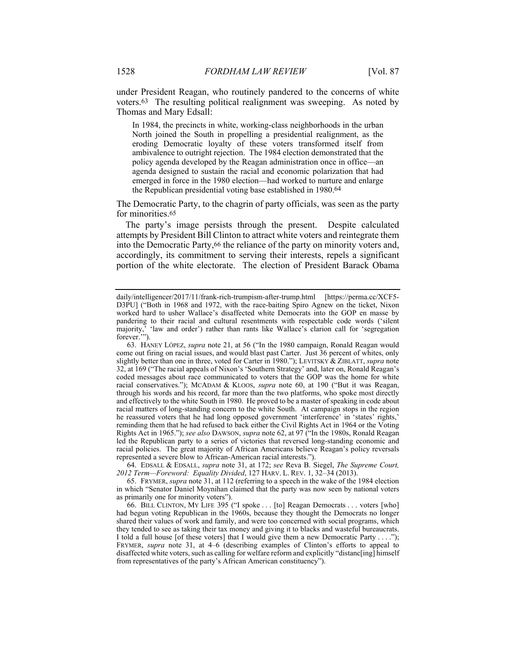under President Reagan, who routinely pandered to the concerns of white voters.63 The resulting political realignment was sweeping. As noted by Thomas and Mary Edsall:

In 1984, the precincts in white, working-class neighborhoods in the urban North joined the South in propelling a presidential realignment, as the eroding Democratic loyalty of these voters transformed itself from ambivalence to outright rejection. The 1984 election demonstrated that the policy agenda developed by the Reagan administration once in office—an agenda designed to sustain the racial and economic polarization that had emerged in force in the 1980 election—had worked to nurture and enlarge the Republican presidential voting base established in 1980.64

The Democratic Party, to the chagrin of party officials, was seen as the party for minorities.<sup>65</sup>

The party's image persists through the present. Despite calculated attempts by President Bill Clinton to attract white voters and reintegrate them into the Democratic Party,66 the reliance of the party on minority voters and, accordingly, its commitment to serving their interests, repels a significant portion of the white electorate. The election of President Barack Obama

 64. EDSALL & EDSALL, *supra* note 31, at 172; *see* Reva B. Siegel, *The Supreme Court, 2012 Term—Foreword: Equality Divided*, 127 HARV. L. REV. 1, 32–34 (2013).

 65. FRYMER, *supra* note 31, at 112 (referring to a speech in the wake of the 1984 election in which "Senator Daniel Moynihan claimed that the party was now seen by national voters as primarily one for minority voters").

 66. BILL CLINTON, MY LIFE 395 ("I spoke . . . [to] Reagan Democrats . . . voters [who] had begun voting Republican in the 1960s, because they thought the Democrats no longer shared their values of work and family, and were too concerned with social programs, which they tended to see as taking their tax money and giving it to blacks and wasteful bureaucrats. I told a full house [of these voters] that I would give them a new Democratic Party . . . . FRYMER, *supra* note 31, at 4–6 (describing examples of Clinton's efforts to appeal to disaffected white voters, such as calling for welfare reform and explicitly "distanc[ing] himself from representatives of the party's African American constituency").

daily/intelligencer/2017/11/frank-rich-trumpism-after-trump.html [https://perma.cc/XCF5- D3PU] ("Both in 1968 and 1972, with the race-baiting Spiro Agnew on the ticket, Nixon worked hard to usher Wallace's disaffected white Democrats into the GOP en masse by pandering to their racial and cultural resentments with respectable code words ('silent majority,' 'law and order') rather than rants like Wallace's clarion call for 'segregation forever.'").

 <sup>63.</sup> HANEY LÓPEZ, *supra* note 21, at 56 ("In the 1980 campaign, Ronald Reagan would come out firing on racial issues, and would blast past Carter. Just 36 percent of whites, only slightly better than one in three, voted for Carter in 1980."); LEVITSKY & ZIBLATT, *supra* note 32, at 169 ("The racial appeals of Nixon's 'Southern Strategy' and, later on, Ronald Reagan's coded messages about race communicated to voters that the GOP was the home for white racial conservatives."); MCADAM & KLOOS, *supra* note 60, at 190 ("But it was Reagan, through his words and his record, far more than the two platforms, who spoke most directly and effectively to the white South in 1980. He proved to be a master of speaking in code about racial matters of long-standing concern to the white South. At campaign stops in the region he reassured voters that he had long opposed government 'interference' in 'states' rights,' reminding them that he had refused to back either the Civil Rights Act in 1964 or the Voting Rights Act in 1965."); *see also* DAWSON, *supra* note 62, at 97 ("In the 1980s, Ronald Reagan led the Republican party to a series of victories that reversed long-standing economic and racial policies. The great majority of African Americans believe Reagan's policy reversals represented a severe blow to African-American racial interests.")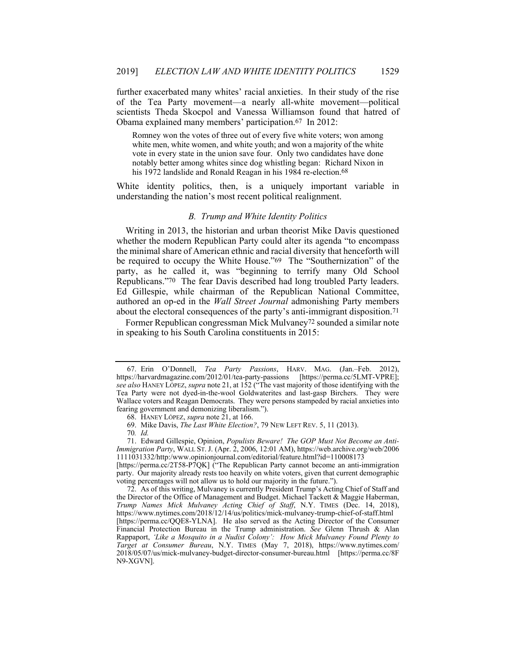further exacerbated many whites' racial anxieties. In their study of the rise of the Tea Party movement—a nearly all-white movement—political scientists Theda Skocpol and Vanessa Williamson found that hatred of Obama explained many members' participation.67 In 2012:

Romney won the votes of three out of every five white voters; won among white men, white women, and white youth; and won a majority of the white vote in every state in the union save four. Only two candidates have done notably better among whites since dog whistling began: Richard Nixon in his 1972 landslide and Ronald Reagan in his 1984 re-election.<sup>68</sup>

White identity politics, then, is a uniquely important variable in understanding the nation's most recent political realignment.

#### *B. Trump and White Identity Politics*

Writing in 2013, the historian and urban theorist Mike Davis questioned whether the modern Republican Party could alter its agenda "to encompass the minimal share of American ethnic and racial diversity that henceforth will be required to occupy the White House."69 The "Southernization" of the party, as he called it, was "beginning to terrify many Old School Republicans."70 The fear Davis described had long troubled Party leaders. Ed Gillespie, while chairman of the Republican National Committee, authored an op-ed in the *Wall Street Journal* admonishing Party members about the electoral consequences of the party's anti-immigrant disposition.71

Former Republican congressman Mick Mulvaney72 sounded a similar note in speaking to his South Carolina constituents in 2015:

[https://perma.cc/2T58-P7QK] ("The Republican Party cannot become an anti-immigration party. Our majority already rests too heavily on white voters, given that current demographic voting percentages will not allow us to hold our majority in the future.").

 72. As of this writing, Mulvaney is currently President Trump's Acting Chief of Staff and the Director of the Office of Management and Budget. Michael Tackett & Maggie Haberman, *Trump Names Mick Mulvaney Acting Chief of Staff*, N.Y. TIMES (Dec. 14, 2018), https://www.nytimes.com/2018/12/14/us/politics/mick-mulvaney-trump-chief-of-staff.html [https://perma.cc/QQE8-YLNA]. He also served as the Acting Director of the Consumer Financial Protection Bureau in the Trump administration. *See* Glenn Thrush & Alan Rappaport, *'Like a Mosquito in a Nudist Colony': How Mick Mulvaney Found Plenty to Target at Consumer Bureau*, N.Y. TIMES (May 7, 2018), https://www.nytimes.com/ 2018/05/07/us/mick-mulvaney-budget-director-consumer-bureau.html [https://perma.cc/8F N9-XGVN].

 <sup>67.</sup> Erin O'Donnell, *Tea Party Passions*, HARV. MAG. (Jan.–Feb. 2012), https://harvardmagazine.com/2012/01/tea-party-passions [https://perma.cc/5LMT-VPRE]; *see also* HANEY LÓPEZ, *supra* note 21, at 152 ("The vast majority of those identifying with the Tea Party were not dyed-in-the-wool Goldwaterites and last-gasp Birchers. They were Wallace voters and Reagan Democrats. They were persons stampeded by racial anxieties into fearing government and demonizing liberalism.").

 <sup>68.</sup> HANEY LÓPEZ, *supra* note 21, at 166.

 <sup>69.</sup> Mike Davis, *The Last White Election?*, 79 NEW LEFT REV. 5, 11 (2013).

<sup>70</sup>*. Id.*

 <sup>71.</sup> Edward Gillespie, Opinion, *Populists Beware! The GOP Must Not Become an Anti-Immigration Party*, WALL ST. J. (Apr. 2, 2006, 12:01 AM), https://web.archive.org/web/2006 1111031332/http:/www.opinionjournal.com/editorial/feature.html?id=110008173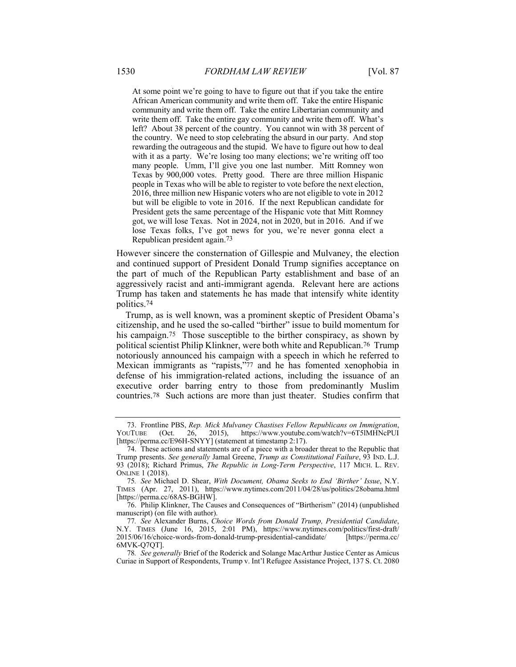At some point we're going to have to figure out that if you take the entire African American community and write them off. Take the entire Hispanic community and write them off. Take the entire Libertarian community and write them off. Take the entire gay community and write them off. What's left? About 38 percent of the country. You cannot win with 38 percent of the country. We need to stop celebrating the absurd in our party. And stop rewarding the outrageous and the stupid. We have to figure out how to deal with it as a party. We're losing too many elections; we're writing off too many people. Umm, I'll give you one last number. Mitt Romney won Texas by 900,000 votes. Pretty good. There are three million Hispanic people in Texas who will be able to register to vote before the next election, 2016, three million new Hispanic voters who are not eligible to vote in 2012 but will be eligible to vote in 2016. If the next Republican candidate for President gets the same percentage of the Hispanic vote that Mitt Romney got, we will lose Texas. Not in 2024, not in 2020, but in 2016. And if we lose Texas folks, I've got news for you, we're never gonna elect a Republican president again.73

However sincere the consternation of Gillespie and Mulvaney, the election and continued support of President Donald Trump signifies acceptance on the part of much of the Republican Party establishment and base of an aggressively racist and anti-immigrant agenda. Relevant here are actions Trump has taken and statements he has made that intensify white identity politics.74

Trump, as is well known, was a prominent skeptic of President Obama's citizenship, and he used the so-called "birther" issue to build momentum for his campaign.<sup>75</sup> Those susceptible to the birther conspiracy, as shown by political scientist Philip Klinkner, were both white and Republican.76 Trump notoriously announced his campaign with a speech in which he referred to Mexican immigrants as "rapists,"77 and he has fomented xenophobia in defense of his immigration-related actions, including the issuance of an executive order barring entry to those from predominantly Muslim countries.78 Such actions are more than just theater. Studies confirm that

 <sup>73.</sup> Frontline PBS, *Rep. Mick Mulvaney Chastises Fellow Republicans on Immigration*, YOUTUBE (Oct. 26, 2015), https://www.youtube.com/watch?v=6T5lMHNcPUI [https://perma.cc/E96H-SNYY] (statement at timestamp 2:17).

 <sup>74.</sup> These actions and statements are of a piece with a broader threat to the Republic that Trump presents. *See generally* Jamal Greene, *Trump as Constitutional Failure*, 93 IND. L.J. 93 (2018); Richard Primus, *The Republic in Long-Term Perspective*, 117 MICH. L. REV. ONLINE 1 (2018).

<sup>75</sup>*. See* Michael D. Shear, *With Document, Obama Seeks to End 'Birther' Issue*, N.Y. TIMES (Apr. 27, 2011), https://www.nytimes.com/2011/04/28/us/politics/28obama.html [https://perma.cc/68AS-BGHW].

 <sup>76.</sup> Philip Klinkner, The Causes and Consequences of "Birtherism" (2014) (unpublished manuscript) (on file with author).

<sup>77</sup>*. See* Alexander Burns, *Choice Words from Donald Trump, Presidential Candidate*, N.Y. TIMES (June 16, 2015, 2:01 PM), https://www.nytimes.com/politics/first-draft/ 2015/06/16/choice-words-from-donald-trump-presidential-candidate/ [https://perma.cc/ 6MVK-Q7QT].

<sup>78</sup>*. See generally* Brief of the Roderick and Solange MacArthur Justice Center as Amicus Curiae in Support of Respondents, Trump v. Int'l Refugee Assistance Project, 137 S. Ct. 2080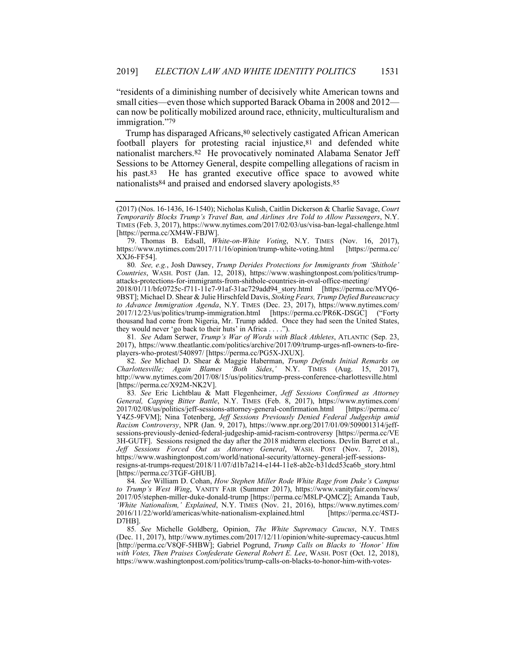"residents of a diminishing number of decisively white American towns and small cities—even those which supported Barack Obama in 2008 and 2012 can now be politically mobilized around race, ethnicity, multiculturalism and immigration."79

Trump has disparaged Africans,80 selectively castigated African American football players for protesting racial injustice,81 and defended white nationalist marchers.82 He provocatively nominated Alabama Senator Jeff Sessions to be Attorney General, despite compelling allegations of racism in his past.<sup>83</sup> He has granted executive office space to avowed white nationalists84 and praised and endorsed slavery apologists.85

80*. See, e.g.*, Josh Dawsey, *Trump Derides Protections for Immigrants from 'Shithole' Countries*, WASH. POST (Jan. 12, 2018), https://www.washingtonpost.com/politics/trumpattacks-protections-for-immigrants-from-shithole-countries-in-oval-office-meeting/

2018/01/11/bfc0725c-f711-11e7-91af-31ac729add94\_story.html [https://perma.cc/MYQ6- 9BST]; Michael D. Shear & Julie Hirschfeld Davis, *Stoking Fears, Trump Defied Bureaucracy to Advance Immigration Agenda*, N.Y. TIMES (Dec. 23, 2017), https://www.nytimes.com/ 2017/12/23/us/politics/trump-immigration.html [https://perma.cc/PR6K-DSGC] ("Forty thousand had come from Nigeria, Mr. Trump added. Once they had seen the United States, they would never 'go back to their huts' in Africa . . . .").

81*. See* Adam Serwer, *Trump's War of Words with Black Athletes*, ATLANTIC (Sep. 23, 2017), https://www.theatlantic.com/politics/archive/2017/09/trump-urges-nfl-owners-to-fireplayers-who-protest/540897/ [https://perma.cc/PG5X-JXUX].

82*. See* Michael D. Shear & Maggie Haberman, *Trump Defends Initial Remarks on Charlottesville; Again Blames 'Both Sides*,*'* N.Y. TIMES (Aug. 15, 2017), http://www.nytimes.com/2017/08/15/us/politics/trump-press-conference-charlottesville.html [https://perma.cc/X92M-NK2V].

83*. See* Eric Lichtblau & Matt Flegenheimer, *Jeff Sessions Confirmed as Attorney General, Capping Bitter Battle*, N.Y. TIMES (Feb. 8, 2017), https://www.nytimes.com/ 2017/02/08/us/politics/jeff-sessions-attorney-general-confirmation.html [https://perma.cc/ Y4Z5-9FVM]; Nina Totenberg, *Jeff Sessions Previously Denied Federal Judgeship amid Racism Controversy*, NPR (Jan. 9, 2017), https://www.npr.org/2017/01/09/509001314/jeffsessions-previously-denied-federal-judgeship-amid-racism-controversy [https://perma.cc/VE 3H-GUTF]. Sessions resigned the day after the 2018 midterm elections. Devlin Barret et al., *Jeff Sessions Forced Out as Attorney General*, WASH. POST (Nov. 7, 2018), https://www.washingtonpost.com/world/national-security/attorney-general-jeff-sessionsresigns-at-trumps-request/2018/11/07/d1b7a214-e144-11e8-ab2c-b31dcd53ca6b\_story.html [https://perma.cc/3TGF-GHUB].

84*. See* William D. Cohan, *How Stephen Miller Rode White Rage from Duke's Campus to Trump's West Wing*, VANITY FAIR (Summer 2017), https://www.vanityfair.com/news/ 2017/05/stephen-miller-duke-donald-trump [https://perma.cc/M8LP-QMCZ]; Amanda Taub, *'White Nationalism,' Explained*, N.Y. TIMES (Nov. 21, 2016), https://www.nytimes.com/ 2016/11/22/world/americas/white-nationalism-explained.html [https://perma.cc/4STJ-D7HB].

85*. See* Michelle Goldberg, Opinion, *The White Supremacy Caucus*, N.Y. TIMES (Dec. 11, 2017), http://www.nytimes.com/2017/12/11/opinion/white-supremacy-caucus.html [http://perma.cc/V8QF-5HBW]; Gabriel Pogrund, *Trump Calls on Blacks to 'Honor' Him with Votes, Then Praises Confederate General Robert E. Lee*, WASH. POST (Oct. 12, 2018), https://www.washingtonpost.com/politics/trump-calls-on-blacks-to-honor-him-with-votes-

<sup>(2017) (</sup>Nos. 16-1436, 16-1540); Nicholas Kulish, Caitlin Dickerson & Charlie Savage, *Court Temporarily Blocks Trump's Travel Ban, and Airlines Are Told to Allow Passengers*, N.Y. TIMES (Feb. 3, 2017), https://www.nytimes.com/2017/02/03/us/visa-ban-legal-challenge.html [https://perma.cc/XM4W-FBJW].

 <sup>79.</sup> Thomas B. Edsall, *White-on-White Voting*, N.Y. TIMES (Nov. 16, 2017), https://www.nytimes.com/2017/11/16/opinion/trump-white-voting.html [https://perma.cc/ XXJ6-FF54].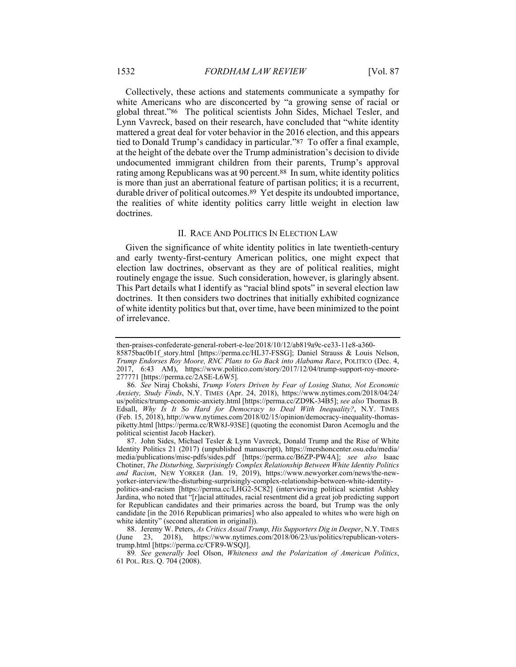Collectively, these actions and statements communicate a sympathy for white Americans who are disconcerted by "a growing sense of racial or global threat."86 The political scientists John Sides, Michael Tesler, and Lynn Vavreck, based on their research, have concluded that "white identity mattered a great deal for voter behavior in the 2016 election, and this appears tied to Donald Trump's candidacy in particular."87 To offer a final example, at the height of the debate over the Trump administration's decision to divide undocumented immigrant children from their parents, Trump's approval rating among Republicans was at 90 percent.88 In sum, white identity politics is more than just an aberrational feature of partisan politics; it is a recurrent, durable driver of political outcomes.89 Yet despite its undoubted importance, the realities of white identity politics carry little weight in election law doctrines.

### II. RACE AND POLITICS IN ELECTION LAW

Given the significance of white identity politics in late twentieth-century and early twenty-first-century American politics, one might expect that election law doctrines, observant as they are of political realities, might routinely engage the issue. Such consideration, however, is glaringly absent. This Part details what I identify as "racial blind spots" in several election law doctrines. It then considers two doctrines that initially exhibited cognizance of white identity politics but that, over time, have been minimized to the point of irrelevance.

then-praises-confederate-general-robert-e-lee/2018/10/12/ab819a9c-ce33-11e8-a360- 85875bac0b1f story.html [https://perma.cc/HL37-FSSG]; Daniel Strauss & Louis Nelson, *Trump Endorses Roy Moore, RNC Plans to Go Back into Alabama Race*, POLITICO (Dec. 4, 2017, 6:43 AM), https://www.politico.com/story/2017/12/04/trump-support-roy-moore-277771 [https://perma.cc/2ASE-L6W5].

<sup>86</sup>*. See* Niraj Chokshi, *Trump Voters Driven by Fear of Losing Status, Not Economic Anxiety, Study Finds*, N.Y. TIMES (Apr. 24, 2018), https://www.nytimes.com/2018/04/24/ us/politics/trump-economic-anxiety.html [https://perma.cc/ZD9K-34B5]; *see also* Thomas B. Edsall, *Why Is It So Hard for Democracy to Deal With Inequality?*, N.Y. TIMES (Feb. 15, 2018), http://www.nytimes.com/2018/02/15/opinion/democracy-inequality-thomaspiketty.html [https://perma.cc/RW8J-93SE] (quoting the economist Daron Acemoglu and the political scientist Jacob Hacker).

 <sup>87.</sup> John Sides, Michael Tesler & Lynn Vavreck, Donald Trump and the Rise of White Identity Politics 21 (2017) (unpublished manuscript), https://mershoncenter.osu.edu/media/ media/publications/misc-pdfs/sides.pdf [https://perma.cc/B6ZP-PW4A]; *see also* Isaac Chotiner, *The Disturbing, Surprisingly Complex Relationship Between White Identity Politics and Racism*, NEW YORKER (Jan. 19, 2019), https://www.newyorker.com/news/the-newyorker-interview/the-disturbing-surprisingly-complex-relationship-between-white-identitypolitics-and-racism [https://perma.cc/LHG2-5C82] (interviewing political scientist Ashley Jardina, who noted that "[r]acial attitudes, racial resentment did a great job predicting support for Republican candidates and their primaries across the board, but Trump was the only candidate [in the 2016 Republican primaries] who also appealed to whites who were high on white identity" (second alteration in original)).

 <sup>88.</sup> Jeremy W. Peters, *As Critics Assail Trump, His Supporters Dig in Deeper*, N.Y.TIMES (June 23, 2018), https://www.nytimes.com/2018/06/23/us/politics/republican-voterstrump.html [https://perma.cc/CFR9-WSQJ].

<sup>89</sup>*. See generally* Joel Olson, *Whiteness and the Polarization of American Politics*, 61 POL. RES. Q. 704 (2008).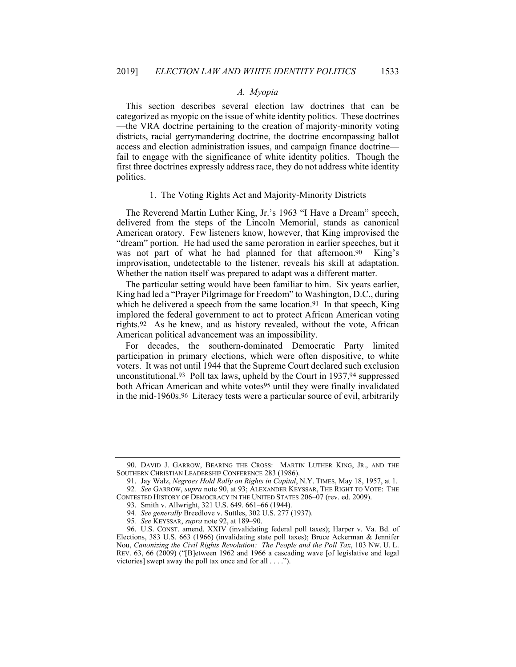## *A. Myopia*

This section describes several election law doctrines that can be categorized as myopic on the issue of white identity politics. These doctrines —the VRA doctrine pertaining to the creation of majority-minority voting districts, racial gerrymandering doctrine, the doctrine encompassing ballot access and election administration issues, and campaign finance doctrine fail to engage with the significance of white identity politics. Though the first three doctrines expressly address race, they do not address white identity politics.

### 1. The Voting Rights Act and Majority-Minority Districts

The Reverend Martin Luther King, Jr.'s 1963 "I Have a Dream" speech, delivered from the steps of the Lincoln Memorial, stands as canonical American oratory. Few listeners know, however, that King improvised the "dream" portion. He had used the same peroration in earlier speeches, but it was not part of what he had planned for that afternoon.<sup>90</sup> King's improvisation, undetectable to the listener, reveals his skill at adaptation. Whether the nation itself was prepared to adapt was a different matter.

The particular setting would have been familiar to him. Six years earlier, King had led a "Prayer Pilgrimage for Freedom" to Washington, D.C., during which he delivered a speech from the same location.<sup>91</sup> In that speech, King implored the federal government to act to protect African American voting rights.92 As he knew, and as history revealed, without the vote, African American political advancement was an impossibility.

For decades, the southern-dominated Democratic Party limited participation in primary elections, which were often dispositive, to white voters. It was not until 1944 that the Supreme Court declared such exclusion unconstitutional.93 Poll tax laws, upheld by the Court in 1937,94 suppressed both African American and white votes<sup>95</sup> until they were finally invalidated in the mid-1960s.96 Literacy tests were a particular source of evil, arbitrarily

 <sup>90.</sup> DAVID J. GARROW, BEARING THE CROSS: MARTIN LUTHER KING, JR., AND THE SOUTHERN CHRISTIAN LEADERSHIP CONFERENCE 283 (1986).

 <sup>91.</sup> Jay Walz, *Negroes Hold Rally on Rights in Capital*, N.Y. TIMES, May 18, 1957, at 1. 92*. See* GARROW, *supra* note 90, at 93; ALEXANDER KEYSSAR, THE RIGHT TO VOTE: THE

CONTESTED HISTORY OF DEMOCRACY IN THE UNITED STATES 206–07 (rev. ed. 2009). 93. Smith v. Allwright, 321 U.S. 649. 661–66 (1944).

<sup>94</sup>*. See generally* Breedlove v. Suttles, 302 U.S. 277 (1937).

<sup>95</sup>*. See* KEYSSAR, *supra* note 92, at 189–90.

 <sup>96.</sup> U.S. CONST. amend. XXIV (invalidating federal poll taxes); Harper v. Va. Bd. of Elections, 383 U.S. 663 (1966) (invalidating state poll taxes); Bruce Ackerman & Jennifer Nou, *Canonizing the Civil Rights Revolution: The People and the Poll Tax*, 103 NW. U. L. REV. 63, 66 (2009) ("[B]etween 1962 and 1966 a cascading wave [of legislative and legal victories] swept away the poll tax once and for all . . . .").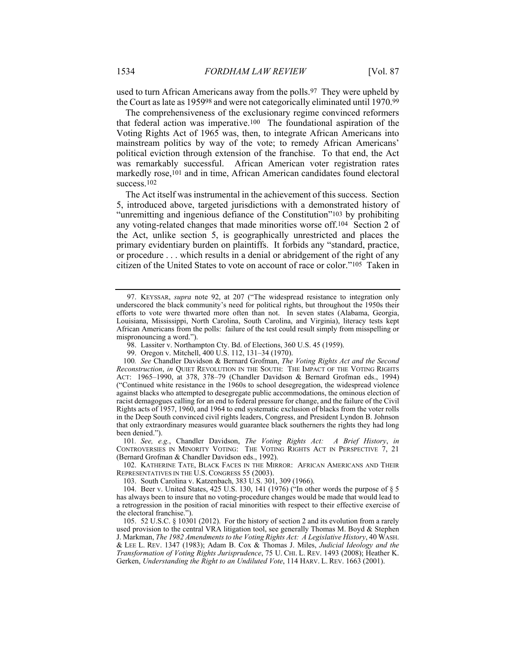used to turn African Americans away from the polls.97 They were upheld by the Court as late as 195998 and were not categorically eliminated until 1970.99

The comprehensiveness of the exclusionary regime convinced reformers that federal action was imperative.100 The foundational aspiration of the Voting Rights Act of 1965 was, then, to integrate African Americans into mainstream politics by way of the vote; to remedy African Americans' political eviction through extension of the franchise. To that end, the Act was remarkably successful. African American voter registration rates markedly rose,101 and in time, African American candidates found electoral success.102

The Act itself was instrumental in the achievement of this success. Section 5, introduced above, targeted jurisdictions with a demonstrated history of "unremitting and ingenious defiance of the Constitution"103 by prohibiting any voting-related changes that made minorities worse off.104 Section 2 of the Act, unlike section 5, is geographically unrestricted and places the primary evidentiary burden on plaintiffs. It forbids any "standard, practice, or procedure . . . which results in a denial or abridgement of the right of any citizen of the United States to vote on account of race or color."105 Taken in

98. Lassiter v. Northampton Cty. Bd. of Elections, 360 U.S. 45 (1959).

99. Oregon v. Mitchell, 400 U.S. 112, 131–34 (1970).

100*. See* Chandler Davidson & Bernard Grofman, *The Voting Rights Act and the Second Reconstruction*, *in* QUIET REVOLUTION IN THE SOUTH: THE IMPACT OF THE VOTING RIGHTS ACT: 1965–1990, at 378, 378–79 (Chandler Davidson & Bernard Grofman eds., 1994) ("Continued white resistance in the 1960s to school desegregation, the widespread violence against blacks who attempted to desegregate public accommodations, the ominous election of racist demagogues calling for an end to federal pressure for change, and the failure of the Civil Rights acts of 1957, 1960, and 1964 to end systematic exclusion of blacks from the voter rolls in the Deep South convinced civil rights leaders, Congress, and President Lyndon B. Johnson that only extraordinary measures would guarantee black southerners the rights they had long been denied.").

101*. See, e.g.*, Chandler Davidson, *The Voting Rights Act: A Brief History*, *in*  CONTROVERSIES IN MINORITY VOTING: THE VOTING RIGHTS ACT IN PERSPECTIVE 7, 21 (Bernard Grofman & Chandler Davidson eds., 1992).

 102. KATHERINE TATE, BLACK FACES IN THE MIRROR: AFRICAN AMERICANS AND THEIR REPRESENTATIVES IN THE U.S. CONGRESS 55 (2003).

103. South Carolina v. Katzenbach, 383 U.S. 301, 309 (1966).

 104. Beer v. United States, 425 U.S. 130, 141 (1976) ("In other words the purpose of § 5 has always been to insure that no voting-procedure changes would be made that would lead to a retrogression in the position of racial minorities with respect to their effective exercise of the electoral franchise.").

 105. 52 U.S.C. § 10301 (2012). For the history of section 2 and its evolution from a rarely used provision to the central VRA litigation tool, see generally Thomas M. Boyd & Stephen J. Markman, *The 1982 Amendments to the Voting Rights Act: A Legislative History*, 40 WASH. & LEE L. REV. 1347 (1983); Adam B. Cox & Thomas J. Miles, *Judicial Ideology and the Transformation of Voting Rights Jurisprudence*, 75 U. CHI. L. REV. 1493 (2008); Heather K. Gerken, *Understanding the Right to an Undiluted Vote*, 114 HARV. L. REV. 1663 (2001).

 <sup>97.</sup> KEYSSAR, *supra* note 92, at 207 ("The widespread resistance to integration only underscored the black community's need for political rights, but throughout the 1950s their efforts to vote were thwarted more often than not. In seven states (Alabama, Georgia, Louisiana, Mississippi, North Carolina, South Carolina, and Virginia), literacy tests kept African Americans from the polls: failure of the test could result simply from misspelling or mispronouncing a word.").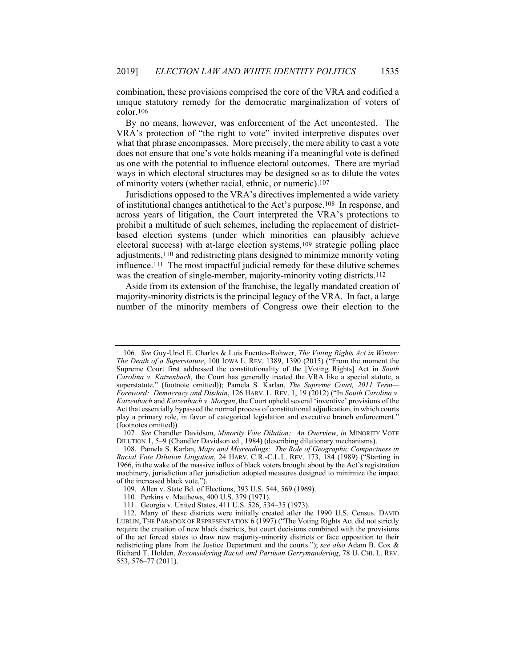combination, these provisions comprised the core of the VRA and codified a unique statutory remedy for the democratic marginalization of voters of color.106

By no means, however, was enforcement of the Act uncontested. The VRA's protection of "the right to vote" invited interpretive disputes over what that phrase encompasses. More precisely, the mere ability to cast a vote does not ensure that one's vote holds meaning if a meaningful vote is defined as one with the potential to influence electoral outcomes. There are myriad ways in which electoral structures may be designed so as to dilute the votes of minority voters (whether racial, ethnic, or numeric).107

Jurisdictions opposed to the VRA's directives implemented a wide variety of institutional changes antithetical to the Act's purpose.108 In response, and across years of litigation, the Court interpreted the VRA's protections to prohibit a multitude of such schemes, including the replacement of districtbased election systems (under which minorities can plausibly achieve electoral success) with at-large election systems,109 strategic polling place adjustments,110 and redistricting plans designed to minimize minority voting influence.111 The most impactful judicial remedy for these dilutive schemes was the creation of single-member, majority-minority voting districts.<sup>112</sup>

Aside from its extension of the franchise, the legally mandated creation of majority-minority districts is the principal legacy of the VRA. In fact, a large number of the minority members of Congress owe their election to the

<sup>106</sup>*. See* Guy-Uriel E. Charles & Luis Fuentes-Rohwer, *The Voting Rights Act in Winter: The Death of a Superstatute*, 100 IOWA L. REV. 1389, 1390 (2015) ("From the moment the Supreme Court first addressed the constitutionality of the [Voting Rights] Act in *South Carolina v. Katzenbach*, the Court has generally treated the VRA like a special statute, a superstatute." (footnote omitted)); Pamela S. Karlan, *The Supreme Court, 2011 Term— Foreword: Democracy and Disdain*, 126 HARV. L. REV. 1, 19 (2012) ("In *South Carolina v. Katzenbach* and *Katzenbach v. Morgan*, the Court upheld several 'inventive' provisions of the Act that essentially bypassed the normal process of constitutional adjudication, in which courts play a primary role, in favor of categorical legislation and executive branch enforcement." (footnotes omitted)).

<sup>107</sup>*. See* Chandler Davidson, *Minority Vote Dilution: An Overview*, *in* MINORITY VOTE DILUTION 1, 5–9 (Chandler Davidson ed., 1984) (describing dilutionary mechanisms).

 <sup>108.</sup> Pamela S. Karlan, *Maps and Misreadings: The Role of Geographic Compactness in Racial Vote Dilution Litigation*, 24 HARV. C.R.-C.L.L. REV. 173, 184 (1989) ("Starting in 1966, in the wake of the massive influx of black voters brought about by the Act's registration machinery, jurisdiction after jurisdiction adopted measures designed to minimize the impact of the increased black vote.").

 <sup>109.</sup> Allen v. State Bd. of Elections, 393 U.S. 544, 569 (1969).

<sup>110</sup>*.* Perkins v. Matthews, 400 U.S. 379 (1971).

<sup>111</sup>*.* Georgia v. United States, 411 U.S. 526, 534–35 (1973).

 <sup>112.</sup> Many of these districts were initially created after the 1990 U.S. Census. DAVID LUBLIN, THE PARADOX OF REPRESENTATION 6 (1997) ("The Voting Rights Act did not strictly require the creation of new black districts, but court decisions combined with the provisions of the act forced states to draw new majority-minority districts or face opposition to their redistricting plans from the Justice Department and the courts."); *see also* Adam B. Cox & Richard T. Holden, *Reconsidering Racial and Partisan Gerrymandering*, 78 U. CHI. L. REV. 553, 576–77 (2011).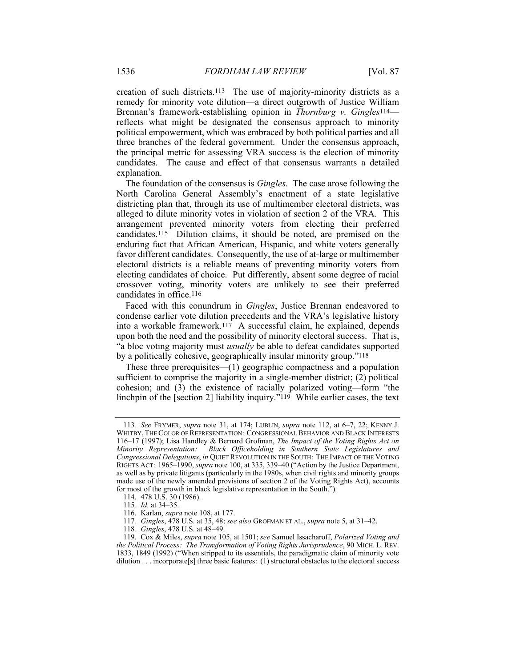creation of such districts.113 The use of majority-minority districts as a remedy for minority vote dilution—a direct outgrowth of Justice William Brennan's framework-establishing opinion in *Thornburg v. Gingles*114 reflects what might be designated the consensus approach to minority political empowerment, which was embraced by both political parties and all three branches of the federal government. Under the consensus approach, the principal metric for assessing VRA success is the election of minority candidates. The cause and effect of that consensus warrants a detailed explanation.

The foundation of the consensus is *Gingles*. The case arose following the North Carolina General Assembly's enactment of a state legislative districting plan that, through its use of multimember electoral districts, was alleged to dilute minority votes in violation of section 2 of the VRA. This arrangement prevented minority voters from electing their preferred candidates.115 Dilution claims, it should be noted, are premised on the enduring fact that African American, Hispanic, and white voters generally favor different candidates. Consequently, the use of at-large or multimember electoral districts is a reliable means of preventing minority voters from electing candidates of choice. Put differently, absent some degree of racial crossover voting, minority voters are unlikely to see their preferred candidates in office.116

Faced with this conundrum in *Gingles*, Justice Brennan endeavored to condense earlier vote dilution precedents and the VRA's legislative history into a workable framework.<sup>117</sup> A successful claim, he explained, depends upon both the need and the possibility of minority electoral success. That is, "a bloc voting majority must *usually* be able to defeat candidates supported by a politically cohesive, geographically insular minority group."118

These three prerequisites—(1) geographic compactness and a population sufficient to comprise the majority in a single-member district; (2) political cohesion; and (3) the existence of racially polarized voting—form "the linchpin of the [section 2] liability inquiry."119 While earlier cases, the text

<sup>113</sup>*. See* FRYMER, *supra* note 31, at 174; LUBLIN, *supra* note 112, at 6–7, 22; KENNY J. WHITBY, THE COLOR OF REPRESENTATION: CONGRESSIONAL BEHAVIOR AND BLACK INTERESTS 116–17 (1997); Lisa Handley & Bernard Grofman, *The Impact of the Voting Rights Act on Minority Representation: Black Officeholding in Southern State Legislatures and Congressional Delegations*, *in* QUIET REVOLUTION IN THE SOUTH: THE IMPACT OF THE VOTING RIGHTS ACT: 1965–1990, *supra* note 100, at 335, 339–40 ("Action by the Justice Department, as well as by private litigants (particularly in the 1980s, when civil rights and minority groups made use of the newly amended provisions of section 2 of the Voting Rights Act), accounts for most of the growth in black legislative representation in the South.").

 <sup>114. 478</sup> U.S. 30 (1986).

<sup>115</sup>*. Id.* at 34–35.

 <sup>116.</sup> Karlan, *supra* note 108, at 177.

<sup>117</sup>*. Gingles*, 478 U.S. at 35, 48; *see also* GROFMAN ET AL., *supra* note 5, at 31–42.

<sup>118</sup>*. Gingles*, 478 U.S. at 48–49.

 <sup>119.</sup> Cox & Miles, *supra* note 105, at 1501; *see* Samuel Issacharoff, *Polarized Voting and the Political Process: The Transformation of Voting Rights Jurisprudence*, 90 MICH. L. REV. 1833, 1849 (1992) ("When stripped to its essentials, the paradigmatic claim of minority vote dilution . . . incorporate[s] three basic features: (1) structural obstacles to the electoral success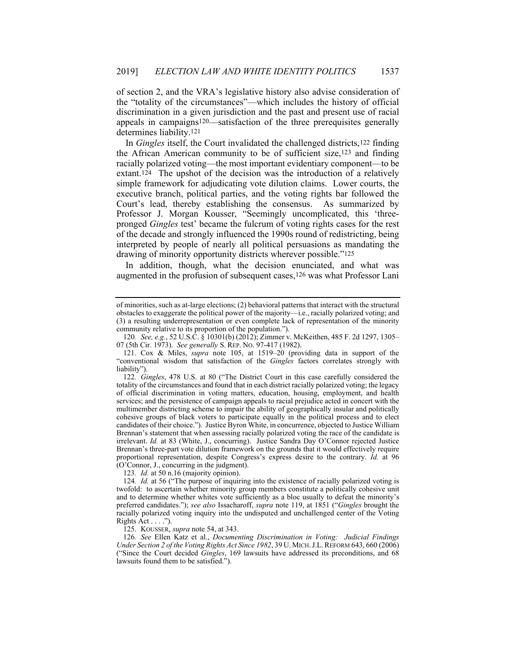of section 2, and the VRA's legislative history also advise consideration of the "totality of the circumstances"—which includes the history of official discrimination in a given jurisdiction and the past and present use of racial appeals in campaigns120—satisfaction of the three prerequisites generally determines liability.121

In *Gingles* itself, the Court invalidated the challenged districts,122 finding the African American community to be of sufficient size,123 and finding racially polarized voting—the most important evidentiary component—to be extant.124 The upshot of the decision was the introduction of a relatively simple framework for adjudicating vote dilution claims. Lower courts, the executive branch, political parties, and the voting rights bar followed the Court's lead, thereby establishing the consensus. As summarized by Professor J. Morgan Kousser, "Seemingly uncomplicated, this 'threepronged *Gingles* test' became the fulcrum of voting rights cases for the rest of the decade and strongly influenced the 1990s round of redistricting, being interpreted by people of nearly all political persuasions as mandating the drawing of minority opportunity districts wherever possible."125

In addition, though, what the decision enunciated, and what was augmented in the profusion of subsequent cases,<sup>126</sup> was what Professor Lani

125. KOUSSER, *supra* note 54, at 343.

126*. See* Ellen Katz et al., *Documenting Discrimination in Voting: Judicial Findings Under Section 2 of the Voting Rights Act Since 1982*, 39 U. MICH.J.L.REFORM 643, 660 (2006) ("Since the Court decided *Gingles*, 169 lawsuits have addressed its preconditions, and 68 lawsuits found them to be satisfied.").

of minorities, such as at-large elections; (2) behavioral patterns that interact with the structural obstacles to exaggerate the political power of the majority—i.e., racially polarized voting; and (3) a resulting underrepresentation or even complete lack of representation of the minority community relative to its proportion of the population.").

<sup>120</sup>*. See, e.g.*, 52 U.S.C. § 10301(b) (2012); Zimmer v. McKeithen, 485 F. 2d 1297, 1305– 07 (5th Cir. 1973). *See generally* S. REP. NO. 97-417 (1982).

 <sup>121.</sup> Cox & Miles, *supra* note 105, at 1519–20 (providing data in support of the "conventional wisdom that satisfaction of the *Gingles* factors correlates strongly with liability").

<sup>122</sup>*. Gingles*, 478 U.S. at 80 ("The District Court in this case carefully considered the totality of the circumstances and found that in each district racially polarized voting; the legacy of official discrimination in voting matters, education, housing, employment, and health services; and the persistence of campaign appeals to racial prejudice acted in concert with the multimember districting scheme to impair the ability of geographically insular and politically cohesive groups of black voters to participate equally in the political process and to elect candidates of their choice."). Justice Byron White, in concurrence, objected to Justice William Brennan's statement that when assessing racially polarized voting the race of the candidate is irrelevant. *Id.* at 83 (White, J., concurring). Justice Sandra Day O'Connor rejected Justice Brennan's three-part vote dilution framework on the grounds that it would effectively require proportional representation, despite Congress's express desire to the contrary. *Id.* at 96 (O'Connor, J., concurring in the judgment).

<sup>123</sup>*. Id.* at 50 n.16 (majority opinion).

<sup>124</sup>*. Id.* at 56 ("The purpose of inquiring into the existence of racially polarized voting is twofold: to ascertain whether minority group members constitute a politically cohesive unit and to determine whether whites vote sufficiently as a bloc usually to defeat the minority's preferred candidates."); *see also* Issacharoff, *supra* note 119, at 1851 ("*Gingles* brought the racially polarized voting inquiry into the undisputed and unchallenged center of the Voting Rights Act . . . .").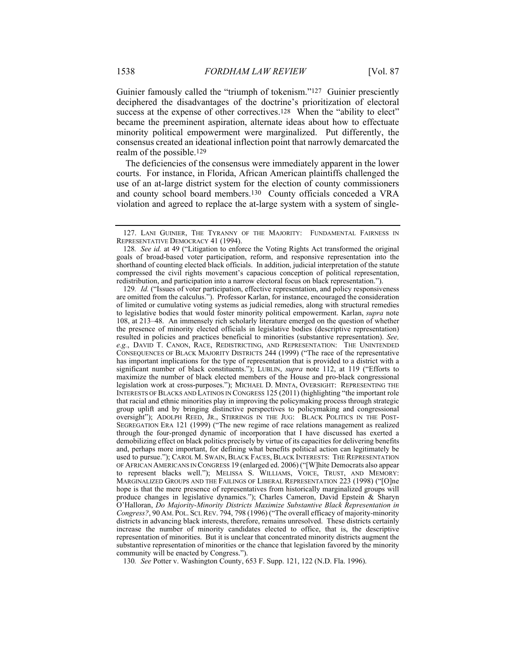Guinier famously called the "triumph of tokenism."<sup>127</sup> Guinier presciently deciphered the disadvantages of the doctrine's prioritization of electoral success at the expense of other correctives.<sup>128</sup> When the "ability to elect" became the preeminent aspiration, alternate ideas about how to effectuate minority political empowerment were marginalized. Put differently, the consensus created an ideational inflection point that narrowly demarcated the realm of the possible.129

The deficiencies of the consensus were immediately apparent in the lower courts. For instance, in Florida, African American plaintiffs challenged the use of an at-large district system for the election of county commissioners and county school board members.130 County officials conceded a VRA violation and agreed to replace the at-large system with a system of single-

130*. See* Potter v. Washington County, 653 F. Supp. 121, 122 (N.D. Fla. 1996).

 <sup>127.</sup> LANI GUINIER, THE TYRANNY OF THE MAJORITY: FUNDAMENTAL FAIRNESS IN REPRESENTATIVE DEMOCRACY 41 (1994).

<sup>128</sup>*. See id.* at 49 ("Litigation to enforce the Voting Rights Act transformed the original goals of broad-based voter participation, reform, and responsive representation into the shorthand of counting elected black officials. In addition, judicial interpretation of the statute compressed the civil rights movement's capacious conception of political representation, redistribution, and participation into a narrow electoral focus on black representation.").

<sup>129</sup>*. Id.* ("Issues of voter participation, effective representation, and policy responsiveness are omitted from the calculus."). Professor Karlan, for instance, encouraged the consideration of limited or cumulative voting systems as judicial remedies, along with structural remedies to legislative bodies that would foster minority political empowerment. Karlan, *supra* note 108, at 213–48. An immensely rich scholarly literature emerged on the question of whether the presence of minority elected officials in legislative bodies (descriptive representation) resulted in policies and practices beneficial to minorities (substantive representation). *See, e.g.*, DAVID T. CANON, RACE, REDISTRICTING, AND REPRESENTATION: THE UNINTENDED CONSEQUENCES OF BLACK MAJORITY DISTRICTS 244 (1999) ("The race of the representative has important implications for the type of representation that is provided to a district with a significant number of black constituents."); LUBLIN, *supra* note 112, at 119 ("Efforts to maximize the number of black elected members of the House and pro-black congressional legislation work at cross-purposes."); MICHAEL D. MINTA, OVERSIGHT: REPRESENTING THE INTERESTS OF BLACKS AND LATINOS IN CONGRESS 125 (2011) (highlighting "the important role that racial and ethnic minorities play in improving the policymaking process through strategic group uplift and by bringing distinctive perspectives to policymaking and congressional oversight"); ADOLPH REED, JR., STIRRINGS IN THE JUG: BLACK POLITICS IN THE POST-SEGREGATION ERA 121 (1999) ("The new regime of race relations management as realized through the four-pronged dynamic of incorporation that I have discussed has exerted a demobilizing effect on black politics precisely by virtue of its capacities for delivering benefits and, perhaps more important, for defining what benefits political action can legitimately be used to pursue."); CAROL M. SWAIN, BLACK FACES, BLACK INTERESTS: THE REPRESENTATION OF AFRICAN AMERICANS IN CONGRESS 19 (enlarged ed. 2006) ("[W]hite Democrats also appear to represent blacks well."); MELISSA S. WILLIAMS, VOICE, TRUST, AND MEMORY: MARGINALIZED GROUPS AND THE FAILINGS OF LIBERAL REPRESENTATION 223 (1998) ("[O]ne hope is that the mere presence of representatives from historically marginalized groups will produce changes in legislative dynamics."); Charles Cameron, David Epstein & Sharyn O'Halloran, *Do Majority-Minority Districts Maximize Substantive Black Representation in Congress?*, 90 AM. POL. SCI.REV. 794, 798 (1996) ("The overall efficacy of majority-minority districts in advancing black interests, therefore, remains unresolved. These districts certainly increase the number of minority candidates elected to office, that is, the descriptive representation of minorities. But it is unclear that concentrated minority districts augment the substantive representation of minorities or the chance that legislation favored by the minority community will be enacted by Congress.").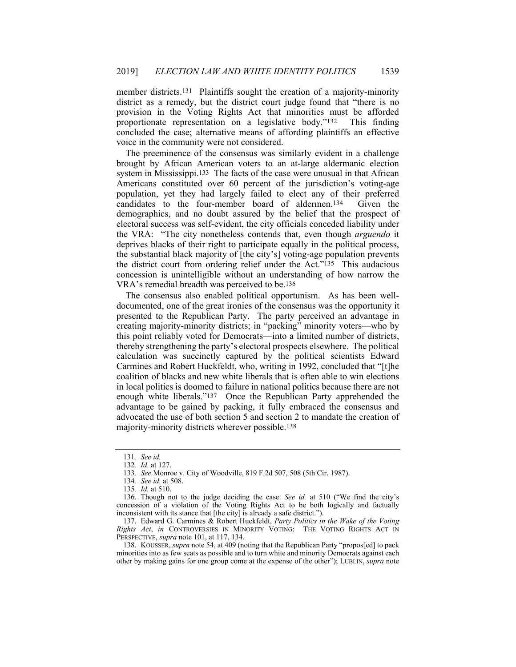member districts.<sup>131</sup> Plaintiffs sought the creation of a majority-minority district as a remedy, but the district court judge found that "there is no provision in the Voting Rights Act that minorities must be afforded proportionate representation on a legislative body."132 This finding concluded the case; alternative means of affording plaintiffs an effective voice in the community were not considered.

The preeminence of the consensus was similarly evident in a challenge brought by African American voters to an at-large aldermanic election system in Mississippi.133 The facts of the case were unusual in that African Americans constituted over 60 percent of the jurisdiction's voting-age population, yet they had largely failed to elect any of their preferred candidates to the four-member board of aldermen.134 Given the demographics, and no doubt assured by the belief that the prospect of electoral success was self-evident, the city officials conceded liability under the VRA: "The city nonetheless contends that, even though *arguendo* it deprives blacks of their right to participate equally in the political process, the substantial black majority of [the city's] voting-age population prevents the district court from ordering relief under the Act."135 This audacious concession is unintelligible without an understanding of how narrow the VRA's remedial breadth was perceived to be.136

The consensus also enabled political opportunism. As has been welldocumented, one of the great ironies of the consensus was the opportunity it presented to the Republican Party. The party perceived an advantage in creating majority-minority districts; in "packing" minority voters—who by this point reliably voted for Democrats—into a limited number of districts, thereby strengthening the party's electoral prospects elsewhere. The political calculation was succinctly captured by the political scientists Edward Carmines and Robert Huckfeldt, who, writing in 1992, concluded that "[t]he coalition of blacks and new white liberals that is often able to win elections in local politics is doomed to failure in national politics because there are not enough white liberals."137 Once the Republican Party apprehended the advantage to be gained by packing, it fully embraced the consensus and advocated the use of both section 5 and section 2 to mandate the creation of majority-minority districts wherever possible.138

 138. KOUSSER, *supra* note 54, at 409 (noting that the Republican Party "propos[ed] to pack minorities into as few seats as possible and to turn white and minority Democrats against each other by making gains for one group come at the expense of the other"); LUBLIN, *supra* note

<sup>131</sup>*. See id.* 132*. Id.* at 127.

<sup>133</sup>*. See* Monroe v. City of Woodville, 819 F.2d 507, 508 (5th Cir. 1987).

<sup>134</sup>*. See id.* at 508.

<sup>135</sup>*. Id.* at 510.

 <sup>136.</sup> Though not to the judge deciding the case. *See id.* at 510 ("We find the city's concession of a violation of the Voting Rights Act to be both logically and factually inconsistent with its stance that [the city] is already a safe district.").

 <sup>137.</sup> Edward G. Carmines & Robert Huckfeldt, *Party Politics in the Wake of the Voting Rights Act*, *in* CONTROVERSIES IN MINORITY VOTING: THE VOTING RIGHTS ACT IN PERSPECTIVE, *supra* note 101, at 117, 134.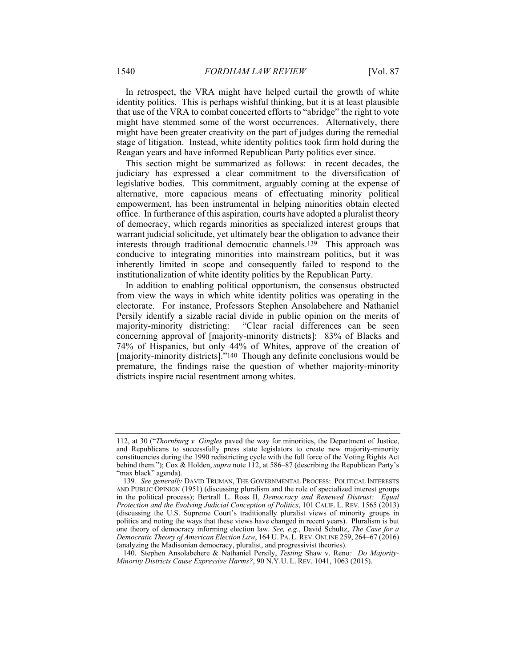In retrospect, the VRA might have helped curtail the growth of white identity politics. This is perhaps wishful thinking, but it is at least plausible that use of the VRA to combat concerted efforts to "abridge" the right to vote might have stemmed some of the worst occurrences. Alternatively, there might have been greater creativity on the part of judges during the remedial stage of litigation. Instead, white identity politics took firm hold during the Reagan years and have informed Republican Party politics ever since.

This section might be summarized as follows: in recent decades, the judiciary has expressed a clear commitment to the diversification of legislative bodies. This commitment, arguably coming at the expense of alternative, more capacious means of effectuating minority political empowerment, has been instrumental in helping minorities obtain elected office. In furtherance of this aspiration, courts have adopted a pluralist theory of democracy, which regards minorities as specialized interest groups that warrant judicial solicitude, yet ultimately bear the obligation to advance their interests through traditional democratic channels.139 This approach was conducive to integrating minorities into mainstream politics, but it was inherently limited in scope and consequently failed to respond to the institutionalization of white identity politics by the Republican Party.

In addition to enabling political opportunism, the consensus obstructed from view the ways in which white identity politics was operating in the electorate. For instance, Professors Stephen Ansolabehere and Nathaniel Persily identify a sizable racial divide in public opinion on the merits of majority-minority districting: "Clear racial differences can be seen concerning approval of [majority-minority districts]: 83% of Blacks and 74% of Hispanics, but only 44% of Whites, approve of the creation of [majority-minority districts]."140 Though any definite conclusions would be premature, the findings raise the question of whether majority-minority districts inspire racial resentment among whites.

<sup>112,</sup> at 30 ("*Thornburg v. Gingles* paved the way for minorities, the Department of Justice, and Republicans to successfully press state legislators to create new majority-minority constituencies during the 1990 redistricting cycle with the full force of the Voting Rights Act behind them."); Cox & Holden, *supra* note 112, at 586–87 (describing the Republican Party's "max black" agenda).

<sup>139</sup>*. See generally* DAVID TRUMAN, THE GOVERNMENTAL PROCESS: POLITICAL INTERESTS AND PUBLIC OPINION (1951) (discussing pluralism and the role of specialized interest groups in the political process); Bertrall L. Ross II, *Democracy and Renewed Distrust: Equal Protection and the Evolving Judicial Conception of Politics*, 101 CALIF. L. REV. 1565 (2013) (discussing the U.S. Supreme Court's traditionally pluralist views of minority groups in politics and noting the ways that these views have changed in recent years). Pluralism is but one theory of democracy informing election law. *See, e.g.*, David Schultz, *The Case for a Democratic Theory of American Election Law*, 164 U. PA. L.REV. ONLINE 259, 264–67 (2016) (analyzing the Madisonian democracy, pluralist, and progressivist theories).

 <sup>140.</sup> Stephen Ansolabehere & Nathaniel Persily, *Testing* Shaw v. Reno*: Do Majority-Minority Districts Cause Expressive Harms?*, 90 N.Y.U. L. REV. 1041, 1063 (2015).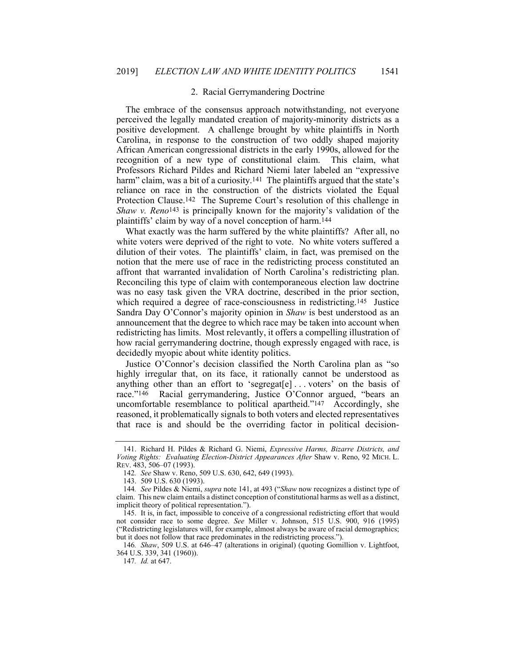#### 2. Racial Gerrymandering Doctrine

The embrace of the consensus approach notwithstanding, not everyone perceived the legally mandated creation of majority-minority districts as a positive development. A challenge brought by white plaintiffs in North Carolina, in response to the construction of two oddly shaped majority African American congressional districts in the early 1990s, allowed for the recognition of a new type of constitutional claim. This claim, what Professors Richard Pildes and Richard Niemi later labeled an "expressive harm" claim, was a bit of a curiosity.<sup>141</sup> The plaintiffs argued that the state's reliance on race in the construction of the districts violated the Equal Protection Clause.142 The Supreme Court's resolution of this challenge in *Shaw v. Reno*143 is principally known for the majority's validation of the plaintiffs' claim by way of a novel conception of harm.144

What exactly was the harm suffered by the white plaintiffs? After all, no white voters were deprived of the right to vote. No white voters suffered a dilution of their votes. The plaintiffs' claim, in fact, was premised on the notion that the mere use of race in the redistricting process constituted an affront that warranted invalidation of North Carolina's redistricting plan. Reconciling this type of claim with contemporaneous election law doctrine was no easy task given the VRA doctrine, described in the prior section, which required a degree of race-consciousness in redistricting.<sup>145</sup> Justice Sandra Day O'Connor's majority opinion in *Shaw* is best understood as an announcement that the degree to which race may be taken into account when redistricting has limits. Most relevantly, it offers a compelling illustration of how racial gerrymandering doctrine, though expressly engaged with race, is decidedly myopic about white identity politics.

Justice O'Connor's decision classified the North Carolina plan as "so highly irregular that, on its face, it rationally cannot be understood as anything other than an effort to 'segregat[e] . . . voters' on the basis of race."146 Racial gerrymandering, Justice O'Connor argued, "bears an uncomfortable resemblance to political apartheid."147 Accordingly, she reasoned, it problematically signals to both voters and elected representatives that race is and should be the overriding factor in political decision-

 <sup>141.</sup> Richard H. Pildes & Richard G. Niemi, *Expressive Harms, Bizarre Districts, and Voting Rights: Evaluating Election-District Appearances After* Shaw v. Reno, 92 MICH. L. REV. 483, 506–07 (1993).

<sup>142</sup>*. See* Shaw v. Reno, 509 U.S. 630, 642, 649 (1993).

 <sup>143. 509</sup> U.S. 630 (1993).

<sup>144</sup>*. See* Pildes & Niemi, *supra* note 141, at 493 ("*Shaw* now recognizes a distinct type of claim. This new claim entails a distinct conception of constitutional harms as well as a distinct, implicit theory of political representation.").

 <sup>145.</sup> It is, in fact, impossible to conceive of a congressional redistricting effort that would not consider race to some degree. *See* Miller v. Johnson, 515 U.S. 900, 916 (1995) ("Redistricting legislatures will, for example, almost always be aware of racial demographics; but it does not follow that race predominates in the redistricting process.").

<sup>146</sup>*. Shaw*, 509 U.S. at 646–47 (alterations in original) (quoting Gomillion v. Lightfoot, 364 U.S. 339, 341 (1960)).

<sup>147</sup>*. Id.* at 647.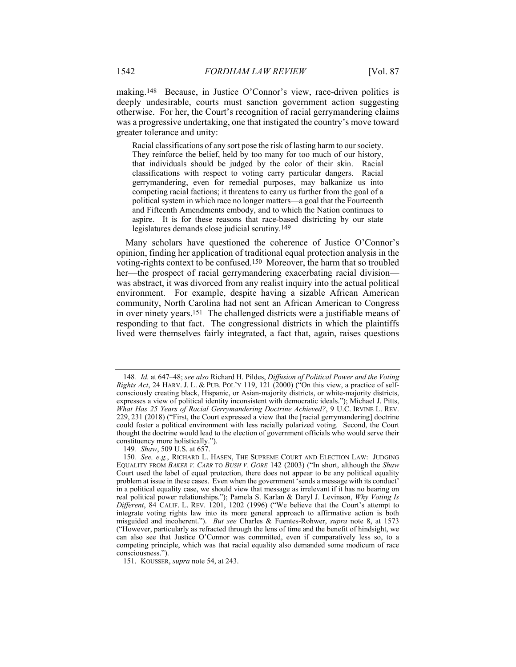making.148 Because, in Justice O'Connor's view, race-driven politics is deeply undesirable, courts must sanction government action suggesting otherwise. For her, the Court's recognition of racial gerrymandering claims was a progressive undertaking, one that instigated the country's move toward greater tolerance and unity:

Racial classifications of any sort pose the risk of lasting harm to our society. They reinforce the belief, held by too many for too much of our history, that individuals should be judged by the color of their skin. Racial classifications with respect to voting carry particular dangers. Racial gerrymandering, even for remedial purposes, may balkanize us into competing racial factions; it threatens to carry us further from the goal of a political system in which race no longer matters—a goal that the Fourteenth and Fifteenth Amendments embody, and to which the Nation continues to aspire. It is for these reasons that race-based districting by our state legislatures demands close judicial scrutiny.149

Many scholars have questioned the coherence of Justice O'Connor's opinion, finding her application of traditional equal protection analysis in the voting-rights context to be confused.150 Moreover, the harm that so troubled her—the prospect of racial gerrymandering exacerbating racial division was abstract, it was divorced from any realist inquiry into the actual political environment. For example, despite having a sizable African American community, North Carolina had not sent an African American to Congress in over ninety years.151 The challenged districts were a justifiable means of responding to that fact. The congressional districts in which the plaintiffs lived were themselves fairly integrated, a fact that, again, raises questions

<sup>148</sup>*. Id.* at 647–48; *see also* Richard H. Pildes, *Diffusion of Political Power and the Voting Rights Act*, 24 HARV. J. L. & PUB. POL'Y 119, 121 (2000) ("On this view, a practice of selfconsciously creating black, Hispanic, or Asian-majority districts, or white-majority districts, expresses a view of political identity inconsistent with democratic ideals."); Michael J. Pitts, *What Has 25 Years of Racial Gerrymandering Doctrine Achieved?*, 9 U.C. IRVINE L. REV. 229, 231 (2018) ("First, the Court expressed a view that the [racial gerrymandering] doctrine could foster a political environment with less racially polarized voting. Second, the Court thought the doctrine would lead to the election of government officials who would serve their constituency more holistically.").

<sup>149</sup>*. Shaw*, 509 U.S. at 657.

<sup>150</sup>*. See, e.g.*, RICHARD L. HASEN, THE SUPREME COURT AND ELECTION LAW: JUDGING EQUALITY FROM *BAKER V. CARR* TO *BUSH V. GORE* 142 (2003) ("In short, although the *Shaw* Court used the label of equal protection, there does not appear to be any political equality problem at issue in these cases. Even when the government 'sends a message with its conduct' in a political equality case, we should view that message as irrelevant if it has no bearing on real political power relationships."); Pamela S. Karlan & Daryl J. Levinson, *Why Voting Is Different*, 84 CALIF. L. REV. 1201, 1202 (1996) ("We believe that the Court's attempt to integrate voting rights law into its more general approach to affirmative action is both misguided and incoherent."). *But see* Charles & Fuentes-Rohwer, *supra* note 8, at 1573 ("However, particularly as refracted through the lens of time and the benefit of hindsight, we can also see that Justice O'Connor was committed, even if comparatively less so, to a competing principle, which was that racial equality also demanded some modicum of race consciousness.").

 <sup>151.</sup> KOUSSER, *supra* note 54, at 243.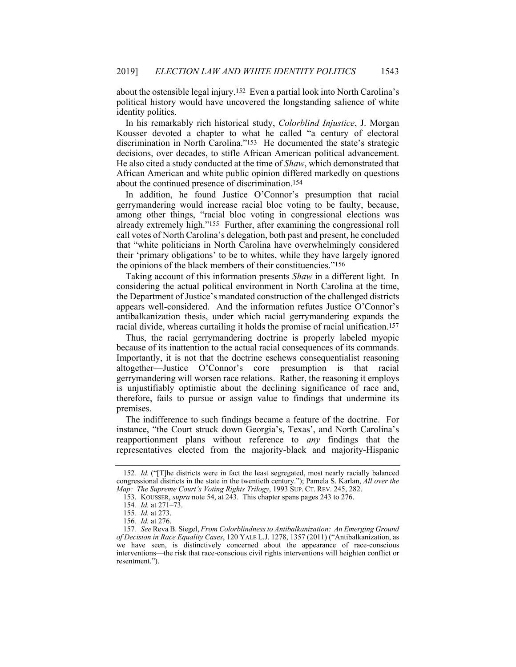about the ostensible legal injury.152 Even a partial look into North Carolina's political history would have uncovered the longstanding salience of white identity politics.

In his remarkably rich historical study, *Colorblind Injustice*, J. Morgan Kousser devoted a chapter to what he called "a century of electoral discrimination in North Carolina."153 He documented the state's strategic decisions, over decades, to stifle African American political advancement. He also cited a study conducted at the time of *Shaw*, which demonstrated that African American and white public opinion differed markedly on questions about the continued presence of discrimination.154

In addition, he found Justice O'Connor's presumption that racial gerrymandering would increase racial bloc voting to be faulty, because, among other things, "racial bloc voting in congressional elections was already extremely high."155 Further, after examining the congressional roll call votes of North Carolina's delegation, both past and present, he concluded that "white politicians in North Carolina have overwhelmingly considered their 'primary obligations' to be to whites, while they have largely ignored the opinions of the black members of their constituencies."156

Taking account of this information presents *Shaw* in a different light. In considering the actual political environment in North Carolina at the time, the Department of Justice's mandated construction of the challenged districts appears well-considered. And the information refutes Justice O'Connor's antibalkanization thesis, under which racial gerrymandering expands the racial divide, whereas curtailing it holds the promise of racial unification.157

Thus, the racial gerrymandering doctrine is properly labeled myopic because of its inattention to the actual racial consequences of its commands. Importantly, it is not that the doctrine eschews consequentialist reasoning altogether—Justice O'Connor's core presumption is that racial gerrymandering will worsen race relations. Rather, the reasoning it employs is unjustifiably optimistic about the declining significance of race and, therefore, fails to pursue or assign value to findings that undermine its premises.

The indifference to such findings became a feature of the doctrine. For instance, "the Court struck down Georgia's, Texas', and North Carolina's reapportionment plans without reference to *any* findings that the representatives elected from the majority-black and majority-Hispanic

<sup>152</sup>*. Id.* ("[T]he districts were in fact the least segregated, most nearly racially balanced congressional districts in the state in the twentieth century."); Pamela S. Karlan, *All over the Map: The Supreme Court's Voting Rights Trilogy*, 1993 SUP. CT. REV. 245, 282.

 <sup>153.</sup> KOUSSER, *supra* note 54, at 243. This chapter spans pages 243 to 276.

<sup>154</sup>*. Id.* at 271–73.

<sup>155</sup>*. Id.* at 273.

<sup>156</sup>*. Id.* at 276.

<sup>157</sup>*. See* Reva B. Siegel, *From Colorblindness to Antibalkanization: An Emerging Ground of Decision in Race Equality Cases*, 120 YALE L.J. 1278, 1357 (2011) ("Antibalkanization, as we have seen, is distinctively concerned about the appearance of race-conscious interventions—the risk that race-conscious civil rights interventions will heighten conflict or resentment.").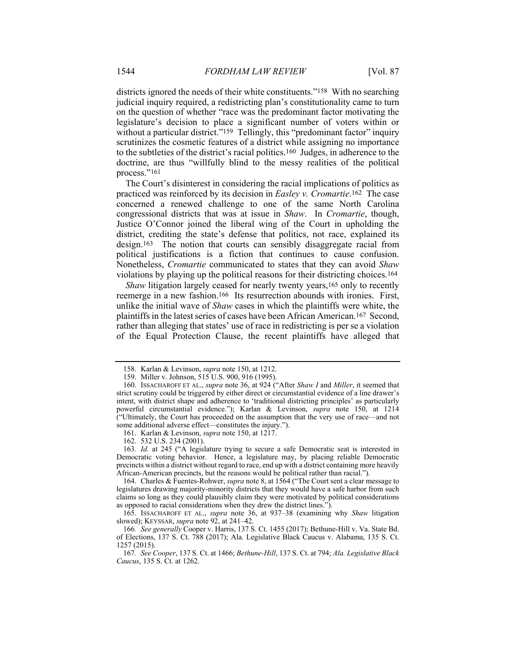districts ignored the needs of their white constituents."158 With no searching judicial inquiry required, a redistricting plan's constitutionality came to turn on the question of whether "race was the predominant factor motivating the legislature's decision to place a significant number of voters within or without a particular district."<sup>159</sup> Tellingly, this "predominant factor" inquiry scrutinizes the cosmetic features of a district while assigning no importance to the subtleties of the district's racial politics.160 Judges, in adherence to the doctrine, are thus "willfully blind to the messy realities of the political process."161

The Court's disinterest in considering the racial implications of politics as practiced was reinforced by its decision in *Easley v. Cromartie*.162 The case concerned a renewed challenge to one of the same North Carolina congressional districts that was at issue in *Shaw*. In *Cromartie*, though, Justice O'Connor joined the liberal wing of the Court in upholding the district, crediting the state's defense that politics, not race, explained its design.163 The notion that courts can sensibly disaggregate racial from political justifications is a fiction that continues to cause confusion. Nonetheless, *Cromartie* communicated to states that they can avoid *Shaw* violations by playing up the political reasons for their districting choices.164

*Shaw* litigation largely ceased for nearly twenty years,<sup>165</sup> only to recently reemerge in a new fashion.166 Its resurrection abounds with ironies. First, unlike the initial wave of *Shaw* cases in which the plaintiffs were white, the plaintiffs in the latest series of cases have been African American.167 Second, rather than alleging that states' use of race in redistricting is per se a violation of the Equal Protection Clause, the recent plaintiffs have alleged that

162. 532 U.S. 234 (2001).

163*. Id.* at 245 ("A legislature trying to secure a safe Democratic seat is interested in Democratic voting behavior. Hence, a legislature may, by placing reliable Democratic precincts within a district without regard to race, end up with a district containing more heavily African-American precincts, but the reasons would be political rather than racial.").

 <sup>158.</sup> Karlan & Levinson, *supra* note 150, at 1212.

 <sup>159.</sup> Miller v. Johnson, 515 U.S. 900, 916 (1995).

 <sup>160.</sup> ISSACHAROFF ET AL., *supra* note 36, at 924 ("After *Shaw I* and *Miller*, it seemed that strict scrutiny could be triggered by either direct or circumstantial evidence of a line drawer's intent, with district shape and adherence to 'traditional districting principles' as particularly powerful circumstantial evidence."); Karlan & Levinson, *supra* note 150, at 1214 ("Ultimately, the Court has proceeded on the assumption that the very use of race—and not some additional adverse effect—constitutes the injury.").

 <sup>161.</sup> Karlan & Levinson, *supra* note 150, at 1217.

 <sup>164.</sup> Charles & Fuentes-Rohwer, *supra* note 8, at 1564 ("The Court sent a clear message to legislatures drawing majority-minority districts that they would have a safe harbor from such claims so long as they could plausibly claim they were motivated by political considerations as opposed to racial considerations when they drew the district lines.").

 <sup>165.</sup> ISSACHAROFF ET AL., *supra* note 36, at 937–38 (examining why *Shaw* litigation slowed); KEYSSAR, *supra* note 92, at 241–42.

<sup>166</sup>*. See generally* Cooper v. Harris, 137 S. Ct. 1455 (2017); Bethune-Hill v. Va. State Bd. of Elections, 137 S. Ct. 788 (2017); Ala. Legislative Black Caucus v. Alabama, 135 S. Ct. 1257 (2015).

<sup>167</sup>*. See Cooper*, 137 S. Ct. at 1466; *Bethune-Hill*, 137 S. Ct. at 794; *Ala. Legislative Black Caucus*, 135 S. Ct. at 1262.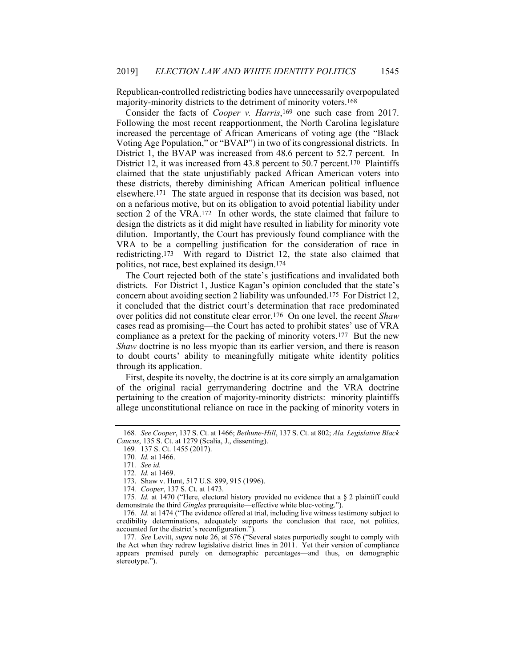Republican-controlled redistricting bodies have unnecessarily overpopulated majority-minority districts to the detriment of minority voters.168

Consider the facts of *Cooper v. Harris*,169 one such case from 2017. Following the most recent reapportionment, the North Carolina legislature increased the percentage of African Americans of voting age (the "Black Voting Age Population," or "BVAP") in two of its congressional districts. In District 1, the BVAP was increased from 48.6 percent to 52.7 percent. In District 12, it was increased from 43.8 percent to 50.7 percent.<sup>170</sup> Plaintiffs claimed that the state unjustifiably packed African American voters into these districts, thereby diminishing African American political influence elsewhere.171 The state argued in response that its decision was based, not on a nefarious motive, but on its obligation to avoid potential liability under section 2 of the VRA.172 In other words, the state claimed that failure to design the districts as it did might have resulted in liability for minority vote dilution. Importantly, the Court has previously found compliance with the VRA to be a compelling justification for the consideration of race in redistricting.173 With regard to District 12, the state also claimed that politics, not race, best explained its design.174

The Court rejected both of the state's justifications and invalidated both districts. For District 1, Justice Kagan's opinion concluded that the state's concern about avoiding section 2 liability was unfounded.175 For District 12, it concluded that the district court's determination that race predominated over politics did not constitute clear error.176 On one level, the recent *Shaw* cases read as promising—the Court has acted to prohibit states' use of VRA compliance as a pretext for the packing of minority voters.177 But the new *Shaw* doctrine is no less myopic than its earlier version, and there is reason to doubt courts' ability to meaningfully mitigate white identity politics through its application.

First, despite its novelty, the doctrine is at its core simply an amalgamation of the original racial gerrymandering doctrine and the VRA doctrine pertaining to the creation of majority-minority districts: minority plaintiffs allege unconstitutional reliance on race in the packing of minority voters in

<sup>168</sup>*. See Cooper*, 137 S. Ct. at 1466; *Bethune-Hill*, 137 S. Ct. at 802; *Ala. Legislative Black Caucus*, 135 S. Ct. at 1279 (Scalia, J., dissenting).

<sup>169</sup>*.* 137 S. Ct. 1455 (2017).

<sup>170</sup>*. Id.* at 1466.

<sup>171</sup>*. See id.*

<sup>172</sup>*. Id.* at 1469.

 <sup>173.</sup> Shaw v. Hunt, 517 U.S. 899, 915 (1996).

<sup>174</sup>*. Cooper*, 137 S. Ct. at 1473.

<sup>175</sup>*. Id.* at 1470 ("Here, electoral history provided no evidence that a § 2 plaintiff could demonstrate the third *Gingles* prerequisite—effective white bloc-voting.").

<sup>176</sup>*. Id.* at 1474 ("The evidence offered at trial, including live witness testimony subject to credibility determinations, adequately supports the conclusion that race, not politics, accounted for the district's reconfiguration.").

<sup>177</sup>*. See* Levitt, *supra* note 26, at 576 ("Several states purportedly sought to comply with the Act when they redrew legislative district lines in 2011. Yet their version of compliance appears premised purely on demographic percentages—and thus, on demographic stereotype.").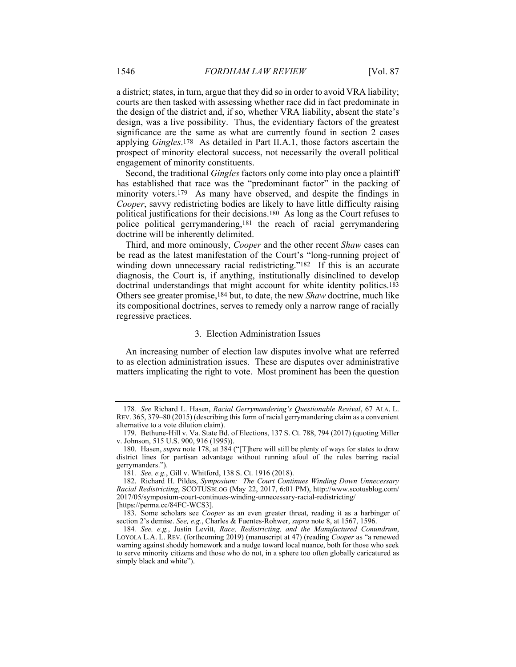a district; states, in turn, argue that they did so in order to avoid VRA liability; courts are then tasked with assessing whether race did in fact predominate in the design of the district and, if so, whether VRA liability, absent the state's design, was a live possibility. Thus, the evidentiary factors of the greatest significance are the same as what are currently found in section 2 cases applying *Gingles*.178 As detailed in Part II.A.1, those factors ascertain the prospect of minority electoral success, not necessarily the overall political engagement of minority constituents.

Second, the traditional *Gingles* factors only come into play once a plaintiff has established that race was the "predominant factor" in the packing of minority voters.179 As many have observed, and despite the findings in *Cooper*, savvy redistricting bodies are likely to have little difficulty raising political justifications for their decisions.180 As long as the Court refuses to police political gerrymandering,181 the reach of racial gerrymandering doctrine will be inherently delimited.

Third, and more ominously, *Cooper* and the other recent *Shaw* cases can be read as the latest manifestation of the Court's "long-running project of winding down unnecessary racial redistricting."<sup>182</sup> If this is an accurate diagnosis, the Court is, if anything, institutionally disinclined to develop doctrinal understandings that might account for white identity politics.<sup>183</sup> Others see greater promise,184 but, to date, the new *Shaw* doctrine, much like its compositional doctrines, serves to remedy only a narrow range of racially regressive practices.

#### 3. Election Administration Issues

An increasing number of election law disputes involve what are referred to as election administration issues. These are disputes over administrative matters implicating the right to vote. Most prominent has been the question

<sup>178</sup>*. See* Richard L. Hasen, *Racial Gerrymandering's Questionable Revival*, 67 ALA. L. REV. 365, 379–80 (2015) (describing this form of racial gerrymandering claim as a convenient alternative to a vote dilution claim).

 <sup>179.</sup> Bethune-Hill v. Va. State Bd. of Elections, 137 S. Ct. 788, 794 (2017) (quoting Miller v. Johnson, 515 U.S. 900, 916 (1995)).

 <sup>180.</sup> Hasen, *supra* note 178, at 384 ("[T]here will still be plenty of ways for states to draw district lines for partisan advantage without running afoul of the rules barring racial gerrymanders.").

<sup>181</sup>*. See, e.g.*, Gill v. Whitford, 138 S. Ct. 1916 (2018).

 <sup>182.</sup> Richard H. Pildes, *Symposium: The Court Continues Winding Down Unnecessary Racial Redistricting*, SCOTUSBLOG (May 22, 2017, 6:01 PM), http://www.scotusblog.com/ 2017/05/symposium-court-continues-winding-unnecessary-racial-redistricting/

<sup>[</sup>https://perma.cc/84FC-WCS3].

 <sup>183.</sup> Some scholars see *Cooper* as an even greater threat, reading it as a harbinger of section 2's demise. *See, e.g.*, Charles & Fuentes-Rohwer, *supra* note 8, at 1567, 1596.

<sup>184</sup>*. See, e.g.*, Justin Levitt, *Race, Redistricting, and the Manufactured Conundrum*, LOYOLA L.A. L. REV. (forthcoming 2019) (manuscript at 47) (reading *Cooper* as "a renewed warning against shoddy homework and a nudge toward local nuance, both for those who seek to serve minority citizens and those who do not, in a sphere too often globally caricatured as simply black and white").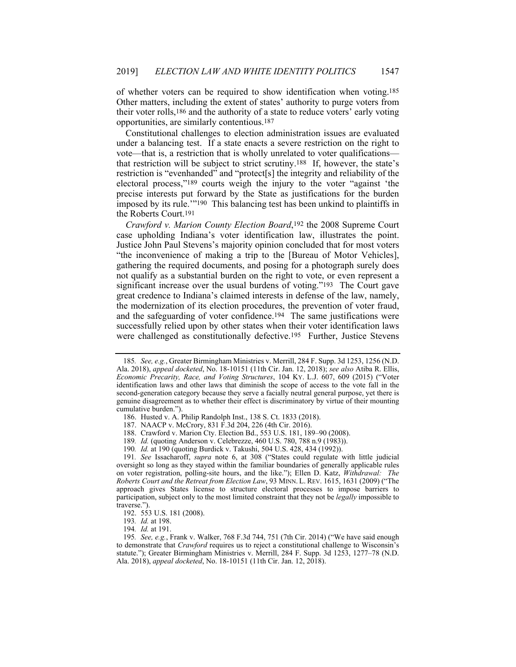of whether voters can be required to show identification when voting.185 Other matters, including the extent of states' authority to purge voters from their voter rolls,186 and the authority of a state to reduce voters' early voting opportunities, are similarly contentious.187

Constitutional challenges to election administration issues are evaluated under a balancing test. If a state enacts a severe restriction on the right to vote—that is, a restriction that is wholly unrelated to voter qualifications that restriction will be subject to strict scrutiny.188 If, however, the state's restriction is "evenhanded" and "protect[s] the integrity and reliability of the electoral process,"189 courts weigh the injury to the voter "against 'the precise interests put forward by the State as justifications for the burden imposed by its rule.'"190 This balancing test has been unkind to plaintiffs in the Roberts Court.191

*Crawford v. Marion County Election Board*,192 the 2008 Supreme Court case upholding Indiana's voter identification law, illustrates the point. Justice John Paul Stevens's majority opinion concluded that for most voters "the inconvenience of making a trip to the [Bureau of Motor Vehicles], gathering the required documents, and posing for a photograph surely does not qualify as a substantial burden on the right to vote, or even represent a significant increase over the usual burdens of voting."193 The Court gave great credence to Indiana's claimed interests in defense of the law, namely, the modernization of its election procedures, the prevention of voter fraud, and the safeguarding of voter confidence.194 The same justifications were successfully relied upon by other states when their voter identification laws were challenged as constitutionally defective.<sup>195</sup> Further, Justice Stevens

191*. See* Issacharoff, *supra* note 6, at 308 ("States could regulate with little judicial oversight so long as they stayed within the familiar boundaries of generally applicable rules on voter registration, polling-site hours, and the like."); Ellen D. Katz, *Withdrawal: The Roberts Court and the Retreat from Election Law*, 93 MINN. L. REV. 1615, 1631 (2009) ("The approach gives States license to structure electoral processes to impose barriers to participation, subject only to the most limited constraint that they not be *legally* impossible to traverse.").

<sup>185</sup>*. See, e.g.*, Greater Birmingham Ministries v. Merrill, 284 F. Supp. 3d 1253, 1256 (N.D. Ala. 2018), *appeal docketed*, No. 18-10151 (11th Cir. Jan. 12, 2018); *see also* Atiba R. Ellis, *Economic Precarity, Race, and Voting Structures*, 104 KY. L.J. 607, 609 (2015) ("Voter identification laws and other laws that diminish the scope of access to the vote fall in the second-generation category because they serve a facially neutral general purpose, yet there is genuine disagreement as to whether their effect is discriminatory by virtue of their mounting cumulative burden.").

 <sup>186.</sup> Husted v. A. Philip Randolph Inst., 138 S. Ct. 1833 (2018).

 <sup>187.</sup> NAACP v. McCrory, 831 F.3d 204, 226 (4th Cir. 2016).

 <sup>188.</sup> Crawford v. Marion Cty. Election Bd., 553 U.S. 181, 189–90 (2008).

<sup>189</sup>*. Id.* (quoting Anderson v. Celebrezze, 460 U.S. 780, 788 n.9 (1983)).

<sup>190</sup>*. Id.* at 190 (quoting Burdick v. Takushi, 504 U.S. 428, 434 (1992)).

 <sup>192. 553</sup> U.S. 181 (2008).

<sup>193</sup>*. Id.* at 198.

<sup>194</sup>*. Id.* at 191.

<sup>195</sup>*. See, e.g.*, Frank v. Walker, 768 F.3d 744, 751 (7th Cir. 2014) ("We have said enough to demonstrate that *Crawford* requires us to reject a constitutional challenge to Wisconsin's statute."); Greater Birmingham Ministries v. Merrill, 284 F. Supp. 3d 1253, 1277–78 (N.D. Ala. 2018), *appeal docketed*, No. 18-10151 (11th Cir. Jan. 12, 2018).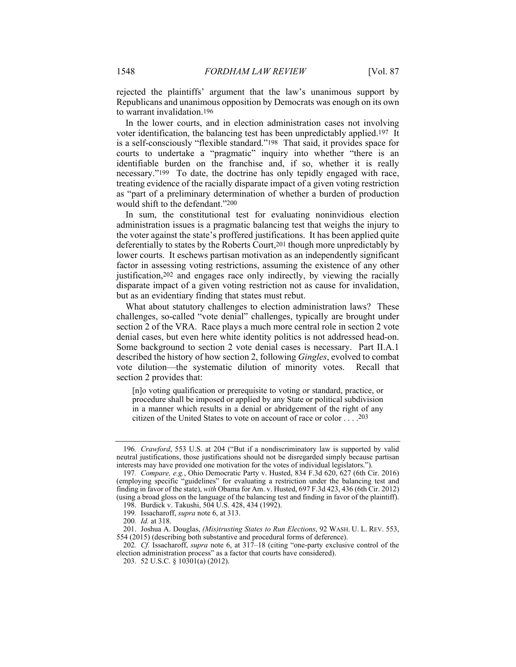rejected the plaintiffs' argument that the law's unanimous support by Republicans and unanimous opposition by Democrats was enough on its own to warrant invalidation.196

In the lower courts, and in election administration cases not involving voter identification, the balancing test has been unpredictably applied.197 It is a self-consciously "flexible standard."198 That said, it provides space for courts to undertake a "pragmatic" inquiry into whether "there is an identifiable burden on the franchise and, if so, whether it is really necessary."199 To date, the doctrine has only tepidly engaged with race, treating evidence of the racially disparate impact of a given voting restriction as "part of a preliminary determination of whether a burden of production would shift to the defendant."200

In sum, the constitutional test for evaluating noninvidious election administration issues is a pragmatic balancing test that weighs the injury to the voter against the state's proffered justifications. It has been applied quite deferentially to states by the Roberts Court,201 though more unpredictably by lower courts. It eschews partisan motivation as an independently significant factor in assessing voting restrictions, assuming the existence of any other justification,202 and engages race only indirectly, by viewing the racially disparate impact of a given voting restriction not as cause for invalidation, but as an evidentiary finding that states must rebut.

What about statutory challenges to election administration laws? These challenges, so-called "vote denial" challenges, typically are brought under section 2 of the VRA. Race plays a much more central role in section 2 vote denial cases, but even here white identity politics is not addressed head-on. Some background to section 2 vote denial cases is necessary. Part II.A.1 described the history of how section 2, following *Gingles*, evolved to combat vote dilution—the systematic dilution of minority votes. Recall that section 2 provides that:

[n]o voting qualification or prerequisite to voting or standard, practice, or procedure shall be imposed or applied by any State or political subdivision in a manner which results in a denial or abridgement of the right of any citizen of the United States to vote on account of race or color . . . .203

<sup>196</sup>*. Crawford*, 553 U.S. at 204 ("But if a nondiscriminatory law is supported by valid neutral justifications, those justifications should not be disregarded simply because partisan interests may have provided one motivation for the votes of individual legislators.").

<sup>197</sup>*. Compare, e.g.*, Ohio Democratic Party v. Husted, 834 F.3d 620, 627 (6th Cir. 2016) (employing specific "guidelines" for evaluating a restriction under the balancing test and finding in favor of the state), *with* Obama for Am. v. Husted, 697 F.3d 423, 436 (6th Cir. 2012) (using a broad gloss on the language of the balancing test and finding in favor of the plaintiff).

 <sup>198.</sup> Burdick v. Takushi, 504 U.S. 428, 434 (1992).

<sup>199</sup>*.* Issacharoff, *supra* note 6, at 313.

<sup>200</sup>*. Id.* at 318.

 <sup>201.</sup> Joshua A. Douglas, *(Mis)trusting States to Run Elections*, 92 WASH. U. L. REV. 553, 554 (2015) (describing both substantive and procedural forms of deference).

<sup>202</sup>*. Cf.* Issacharoff, *supra* note 6, at 317–18 (citing "one-party exclusive control of the election administration process" as a factor that courts have considered).

 <sup>203. 52</sup> U.S.C. § 10301(a) (2012).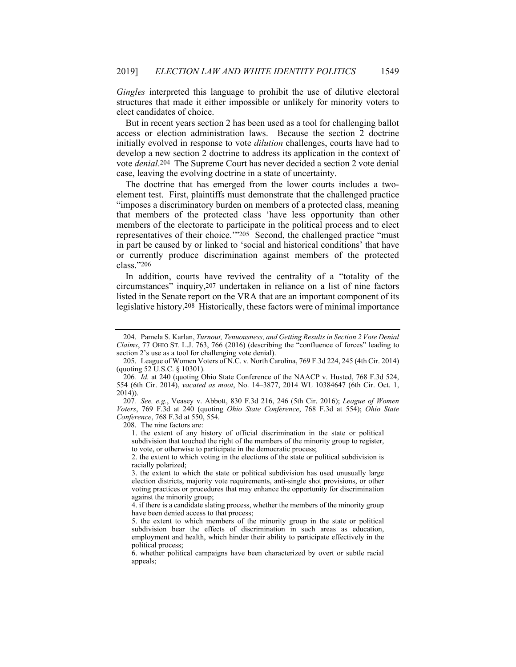*Gingles* interpreted this language to prohibit the use of dilutive electoral structures that made it either impossible or unlikely for minority voters to elect candidates of choice.

But in recent years section 2 has been used as a tool for challenging ballot access or election administration laws. Because the section 2 doctrine initially evolved in response to vote *dilution* challenges, courts have had to develop a new section 2 doctrine to address its application in the context of vote *denial*.204 The Supreme Court has never decided a section 2 vote denial case, leaving the evolving doctrine in a state of uncertainty.

The doctrine that has emerged from the lower courts includes a twoelement test. First, plaintiffs must demonstrate that the challenged practice "imposes a discriminatory burden on members of a protected class, meaning that members of the protected class 'have less opportunity than other members of the electorate to participate in the political process and to elect representatives of their choice.'"205 Second, the challenged practice "must in part be caused by or linked to 'social and historical conditions' that have or currently produce discrimination against members of the protected class."206

In addition, courts have revived the centrality of a "totality of the circumstances" inquiry,207 undertaken in reliance on a list of nine factors listed in the Senate report on the VRA that are an important component of its legislative history.208 Historically, these factors were of minimal importance

207*. See, e.g.*, Veasey v. Abbott, 830 F.3d 216, 246 (5th Cir. 2016); *League of Women Voters*, 769 F.3d at 240 (quoting *Ohio State Conference*, 768 F.3d at 554); *Ohio State Conference*, 768 F.3d at 550, 554.

208. The nine factors are:

1. the extent of any history of official discrimination in the state or political subdivision that touched the right of the members of the minority group to register, to vote, or otherwise to participate in the democratic process;

2. the extent to which voting in the elections of the state or political subdivision is racially polarized;

3. the extent to which the state or political subdivision has used unusually large election districts, majority vote requirements, anti-single shot provisions, or other voting practices or procedures that may enhance the opportunity for discrimination against the minority group;

4. if there is a candidate slating process, whether the members of the minority group have been denied access to that process;

5. the extent to which members of the minority group in the state or political subdivision bear the effects of discrimination in such areas as education, employment and health, which hinder their ability to participate effectively in the political process;

6. whether political campaigns have been characterized by overt or subtle racial appeals;

 <sup>204.</sup> Pamela S. Karlan, *Turnout, Tenuousness, and Getting Results in Section 2 Vote Denial Claims*, 77 OHIO ST. L.J. 763, 766 (2016) (describing the "confluence of forces" leading to section 2's use as a tool for challenging vote denial).

 <sup>205.</sup> League of Women Voters of N.C. v. North Carolina, 769 F.3d 224, 245 (4th Cir. 2014) (quoting 52 U.S.C. § 10301).

<sup>206</sup>*. Id.* at 240 (quoting Ohio State Conference of the NAACP v. Husted, 768 F.3d 524, 554 (6th Cir. 2014), *vacated as moot*, No. 14–3877, 2014 WL 10384647 (6th Cir. Oct. 1, 2014)).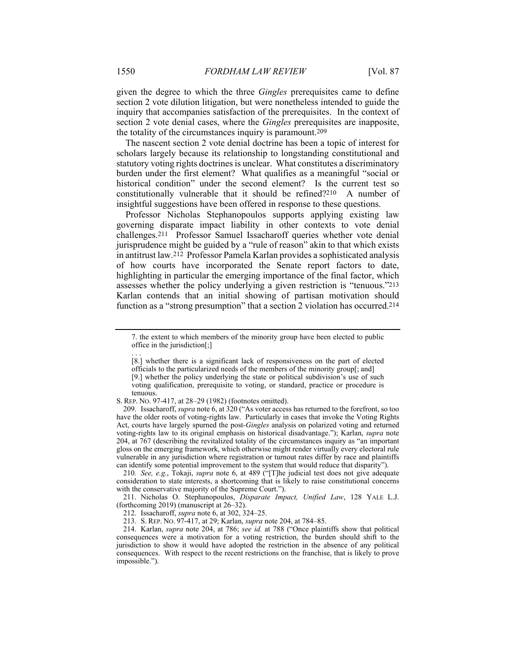given the degree to which the three *Gingles* prerequisites came to define section 2 vote dilution litigation, but were nonetheless intended to guide the inquiry that accompanies satisfaction of the prerequisites. In the context of section 2 vote denial cases, where the *Gingles* prerequisites are inapposite, the totality of the circumstances inquiry is paramount.209

The nascent section 2 vote denial doctrine has been a topic of interest for scholars largely because its relationship to longstanding constitutional and statutory voting rights doctrines is unclear. What constitutes a discriminatory burden under the first element? What qualifies as a meaningful "social or historical condition" under the second element? Is the current test so constitutionally vulnerable that it should be refined?210 A number of insightful suggestions have been offered in response to these questions.

Professor Nicholas Stephanopoulos supports applying existing law governing disparate impact liability in other contexts to vote denial challenges.211 Professor Samuel Issacharoff queries whether vote denial jurisprudence might be guided by a "rule of reason" akin to that which exists in antitrust law.212 Professor Pamela Karlan provides a sophisticated analysis of how courts have incorporated the Senate report factors to date, highlighting in particular the emerging importance of the final factor, which assesses whether the policy underlying a given restriction is "tenuous."213 Karlan contends that an initial showing of partisan motivation should function as a "strong presumption" that a section 2 violation has occurred.214

S. REP. NO. 97-417, at 28–29 (1982) (footnotes omitted).

210*. See, e.g.*, Tokaji, *supra* note 6, at 489 ("[T]he judicial test does not give adequate consideration to state interests, a shortcoming that is likely to raise constitutional concerns with the conservative majority of the Supreme Court.").

 211. Nicholas O. Stephanopoulos, *Disparate Impact, Unified Law*, 128 YALE L.J. (forthcoming 2019) (manuscript at 26–32).

. . .

<sup>7.</sup> the extent to which members of the minority group have been elected to public office in the jurisdiction[;]

<sup>[8.]</sup> whether there is a significant lack of responsiveness on the part of elected

officials to the particularized needs of the members of the minority group[; and] [9.] whether the policy underlying the state or political subdivision's use of such

voting qualification, prerequisite to voting, or standard, practice or procedure is tenuous.

 <sup>209.</sup> Issacharoff, *supra* note 6, at 320 ("As voter access has returned to the forefront, so too have the older roots of voting-rights law. Particularly in cases that invoke the Voting Rights Act, courts have largely spurned the post-*Gingles* analysis on polarized voting and returned voting-rights law to its original emphasis on historical disadvantage."); Karlan, *supra* note 204, at 767 (describing the revitalized totality of the circumstances inquiry as "an important gloss on the emerging framework, which otherwise might render virtually every electoral rule vulnerable in any jurisdiction where registration or turnout rates differ by race and plaintiffs can identify some potential improvement to the system that would reduce that disparity").

 <sup>212.</sup> Issacharoff, *supra* note 6, at 302, 324–25.

 <sup>213.</sup> S. REP. NO. 97-417, at 29; Karlan, *supra* note 204, at 784–85.

 <sup>214.</sup> Karlan, *supra* note 204, at 786; *see id.* at 788 ("Once plaintiffs show that political consequences were a motivation for a voting restriction, the burden should shift to the jurisdiction to show it would have adopted the restriction in the absence of any political consequences. With respect to the recent restrictions on the franchise, that is likely to prove impossible.").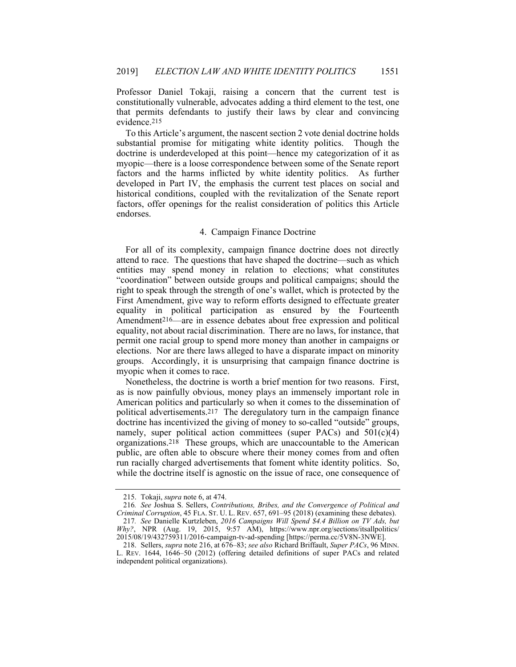Professor Daniel Tokaji, raising a concern that the current test is constitutionally vulnerable, advocates adding a third element to the test, one that permits defendants to justify their laws by clear and convincing evidence.215

To this Article's argument, the nascent section 2 vote denial doctrine holds substantial promise for mitigating white identity politics. Though the doctrine is underdeveloped at this point—hence my categorization of it as myopic—there is a loose correspondence between some of the Senate report factors and the harms inflicted by white identity politics. As further developed in Part IV, the emphasis the current test places on social and historical conditions, coupled with the revitalization of the Senate report factors, offer openings for the realist consideration of politics this Article endorses.

## 4. Campaign Finance Doctrine

For all of its complexity, campaign finance doctrine does not directly attend to race. The questions that have shaped the doctrine—such as which entities may spend money in relation to elections; what constitutes "coordination" between outside groups and political campaigns; should the right to speak through the strength of one's wallet, which is protected by the First Amendment, give way to reform efforts designed to effectuate greater equality in political participation as ensured by the Fourteenth Amendment216—are in essence debates about free expression and political equality, not about racial discrimination. There are no laws, for instance, that permit one racial group to spend more money than another in campaigns or elections. Nor are there laws alleged to have a disparate impact on minority groups. Accordingly, it is unsurprising that campaign finance doctrine is myopic when it comes to race.

Nonetheless, the doctrine is worth a brief mention for two reasons. First, as is now painfully obvious, money plays an immensely important role in American politics and particularly so when it comes to the dissemination of political advertisements.217 The deregulatory turn in the campaign finance doctrine has incentivized the giving of money to so-called "outside" groups, namely, super political action committees (super PACs) and  $501(c)(4)$ organizations.218 These groups, which are unaccountable to the American public, are often able to obscure where their money comes from and often run racially charged advertisements that foment white identity politics. So, while the doctrine itself is agnostic on the issue of race, one consequence of

 <sup>215.</sup> Tokaji, *supra* note 6, at 474.

<sup>216</sup>*. See* Joshua S. Sellers, *Contributions, Bribes, and the Convergence of Political and Criminal Corruption*, 45 FLA. ST. U. L. REV. 657, 691–95 (2018) (examining these debates).

<sup>217</sup>*. See* Danielle Kurtzleben, *2016 Campaigns Will Spend \$4.4 Billion on TV Ads, but Why?*, NPR (Aug. 19, 2015, 9:57 AM), https://www.npr.org/sections/itsallpolitics/ 2015/08/19/432759311/2016-campaign-tv-ad-spending [https://perma.cc/5V8N-3NWE].

 <sup>218.</sup> Sellers, *supra* note 216, at 676–83; *see also* Richard Briffault, *Super PACs*, 96 MINN. L. REV. 1644, 1646–50 (2012) (offering detailed definitions of super PACs and related independent political organizations).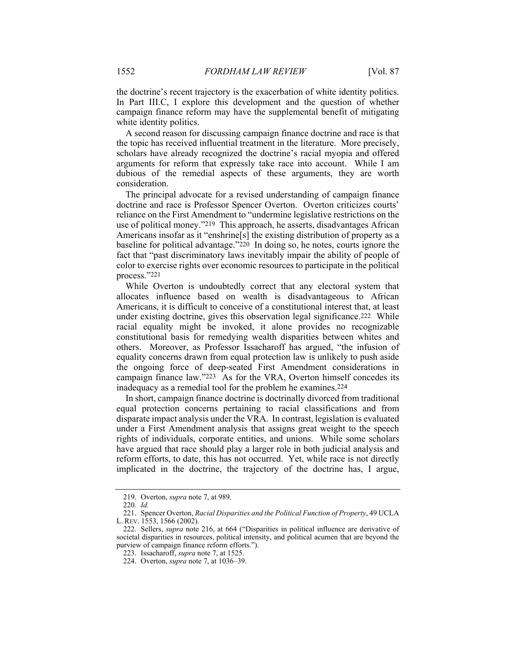the doctrine's recent trajectory is the exacerbation of white identity politics. In Part III.C, I explore this development and the question of whether campaign finance reform may have the supplemental benefit of mitigating white identity politics.

A second reason for discussing campaign finance doctrine and race is that the topic has received influential treatment in the literature. More precisely, scholars have already recognized the doctrine's racial myopia and offered arguments for reform that expressly take race into account. While I am dubious of the remedial aspects of these arguments, they are worth consideration.

The principal advocate for a revised understanding of campaign finance doctrine and race is Professor Spencer Overton. Overton criticizes courts' reliance on the First Amendment to "undermine legislative restrictions on the use of political money."219 This approach, he asserts, disadvantages African Americans insofar as it "enshrine[s] the existing distribution of property as a baseline for political advantage."220 In doing so, he notes, courts ignore the fact that "past discriminatory laws inevitably impair the ability of people of color to exercise rights over economic resources to participate in the political process."221

While Overton is undoubtedly correct that any electoral system that allocates influence based on wealth is disadvantageous to African Americans, it is difficult to conceive of a constitutional interest that, at least under existing doctrine, gives this observation legal significance.222 While racial equality might be invoked, it alone provides no recognizable constitutional basis for remedying wealth disparities between whites and others. Moreover, as Professor Issacharoff has argued, "the infusion of equality concerns drawn from equal protection law is unlikely to push aside the ongoing force of deep-seated First Amendment considerations in campaign finance law."223 As for the VRA, Overton himself concedes its inadequacy as a remedial tool for the problem he examines.224

In short, campaign finance doctrine is doctrinally divorced from traditional equal protection concerns pertaining to racial classifications and from disparate impact analysis under the VRA. In contrast, legislation is evaluated under a First Amendment analysis that assigns great weight to the speech rights of individuals, corporate entities, and unions. While some scholars have argued that race should play a larger role in both judicial analysis and reform efforts, to date, this has not occurred. Yet, while race is not directly implicated in the doctrine, the trajectory of the doctrine has, I argue,

 <sup>219.</sup> Overton, *supra* note 7, at 989.

<sup>220</sup>*. Id.*

 <sup>221.</sup> Spencer Overton, *Racial Disparities and the Political Function of Property*, 49 UCLA L. REV. 1553, 1566 (2002).

 <sup>222.</sup> Sellers, *supra* note 216, at 664 ("Disparities in political influence are derivative of societal disparities in resources, political intensity, and political acumen that are beyond the purview of campaign finance reform efforts.").

 <sup>223.</sup> Issacharoff, *supra* note 7, at 1525.

 <sup>224.</sup> Overton, *supra* note 7, at 1036–39.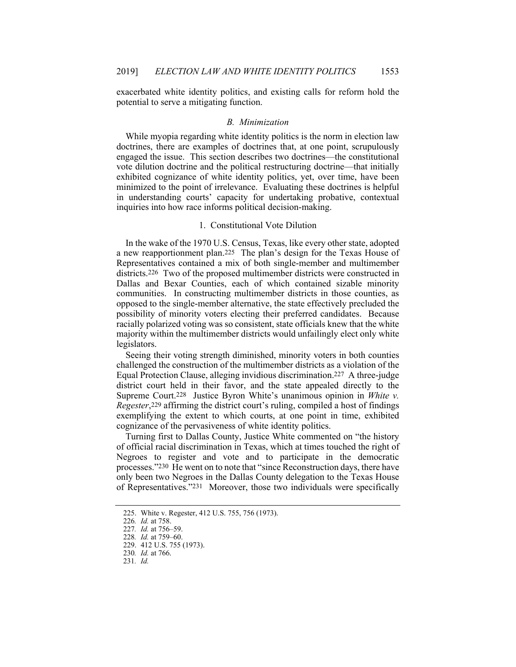exacerbated white identity politics, and existing calls for reform hold the potential to serve a mitigating function.

#### *B. Minimization*

While myopia regarding white identity politics is the norm in election law doctrines, there are examples of doctrines that, at one point, scrupulously engaged the issue. This section describes two doctrines—the constitutional vote dilution doctrine and the political restructuring doctrine—that initially exhibited cognizance of white identity politics, yet, over time, have been minimized to the point of irrelevance. Evaluating these doctrines is helpful in understanding courts' capacity for undertaking probative, contextual inquiries into how race informs political decision-making.

## 1. Constitutional Vote Dilution

In the wake of the 1970 U.S. Census, Texas, like every other state, adopted a new reapportionment plan.225 The plan's design for the Texas House of Representatives contained a mix of both single-member and multimember districts.226 Two of the proposed multimember districts were constructed in Dallas and Bexar Counties, each of which contained sizable minority communities. In constructing multimember districts in those counties, as opposed to the single-member alternative, the state effectively precluded the possibility of minority voters electing their preferred candidates. Because racially polarized voting was so consistent, state officials knew that the white majority within the multimember districts would unfailingly elect only white legislators.

Seeing their voting strength diminished, minority voters in both counties challenged the construction of the multimember districts as a violation of the Equal Protection Clause, alleging invidious discrimination.227 A three-judge district court held in their favor, and the state appealed directly to the Supreme Court.228 Justice Byron White's unanimous opinion in *White v. Regester*,229 affirming the district court's ruling, compiled a host of findings exemplifying the extent to which courts, at one point in time, exhibited cognizance of the pervasiveness of white identity politics.

Turning first to Dallas County, Justice White commented on "the history of official racial discrimination in Texas, which at times touched the right of Negroes to register and vote and to participate in the democratic processes."230 He went on to note that "since Reconstruction days, there have only been two Negroes in the Dallas County delegation to the Texas House of Representatives."231 Moreover, those two individuals were specifically

 <sup>225.</sup> White v. Regester, 412 U.S. 755, 756 (1973).

<sup>226</sup>*. Id.* at 758.

<sup>227</sup>*. Id.* at 756–59.

<sup>228</sup>*. Id.* at 759–60. 229. 412 U.S. 755 (1973).

<sup>230</sup>*. Id.* at 766.

<sup>231</sup>*. Id.*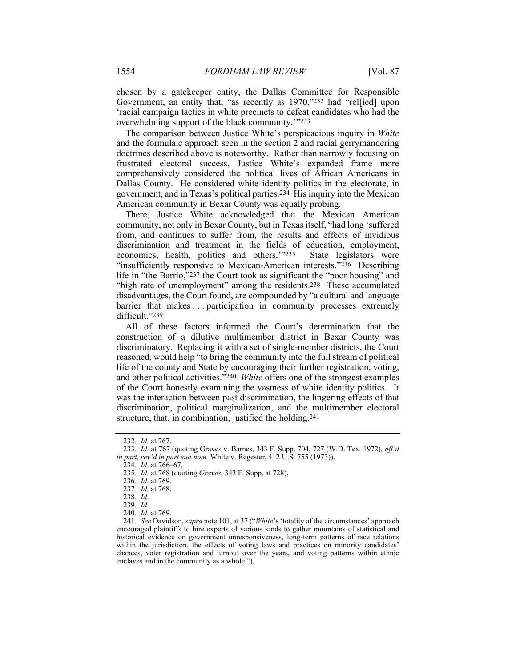chosen by a gatekeeper entity, the Dallas Committee for Responsible Government, an entity that, "as recently as 1970,"232 had "rel[ied] upon 'racial campaign tactics in white precincts to defeat candidates who had the overwhelming support of the black community.'"233

The comparison between Justice White's perspicacious inquiry in *White* and the formulaic approach seen in the section 2 and racial gerrymandering doctrines described above is noteworthy. Rather than narrowly focusing on frustrated electoral success, Justice White's expanded frame more comprehensively considered the political lives of African Americans in Dallas County. He considered white identity politics in the electorate, in government, and in Texas's political parties.234 His inquiry into the Mexican American community in Bexar County was equally probing.

There, Justice White acknowledged that the Mexican American community, not only in Bexar County, but in Texas itself, "had long 'suffered from, and continues to suffer from, the results and effects of invidious discrimination and treatment in the fields of education, employment, economics, health, politics and others.'"235 State legislators were "insufficiently responsive to Mexican-American interests."236 Describing life in "the Barrio,"237 the Court took as significant the "poor housing" and "high rate of unemployment" among the residents.<sup>238</sup> These accumulated disadvantages, the Court found, are compounded by "a cultural and language barrier that makes . . . participation in community processes extremely difficult."239

All of these factors informed the Court's determination that the construction of a dilutive multimember district in Bexar County was discriminatory. Replacing it with a set of single-member districts, the Court reasoned, would help "to bring the community into the full stream of political life of the county and State by encouraging their further registration, voting, and other political activities."240 *White* offers one of the strongest examples of the Court honestly examining the vastness of white identity politics. It was the interaction between past discrimination, the lingering effects of that discrimination, political marginalization, and the multimember electoral structure, that, in combination, justified the holding.241

<sup>232</sup>*. Id.* at 767.

<sup>233</sup>*. Id.* at 767 (quoting Graves v. Barnes, 343 F. Supp. 704, 727 (W.D. Tex. 1972), *aff'd in part, rev'd in part sub nom.* White v. Regester, 412 U.S. 755 (1973)).

<sup>234</sup>*. Id.* at 766–67.

<sup>235</sup>*. Id.* at 768 (quoting *Graves*, 343 F. Supp. at 728).

<sup>236</sup>*. Id.* at 769.

<sup>237</sup>*. Id.* at 768.

<sup>238</sup>*. Id.*

<sup>239</sup>*. Id.* 

<sup>240</sup>*. Id.* at 769.

<sup>241</sup>*. See* Davidson, *supra* note 101, at 37 ("*White*'s 'totality of the circumstances' approach encouraged plaintiffs to hire experts of various kinds to gather mountains of statistical and historical evidence on government unresponsiveness, long-term patterns of race relations within the jurisdiction, the effects of voting laws and practices on minority candidates' chances, voter registration and turnout over the years, and voting patterns within ethnic enclaves and in the community as a whole.").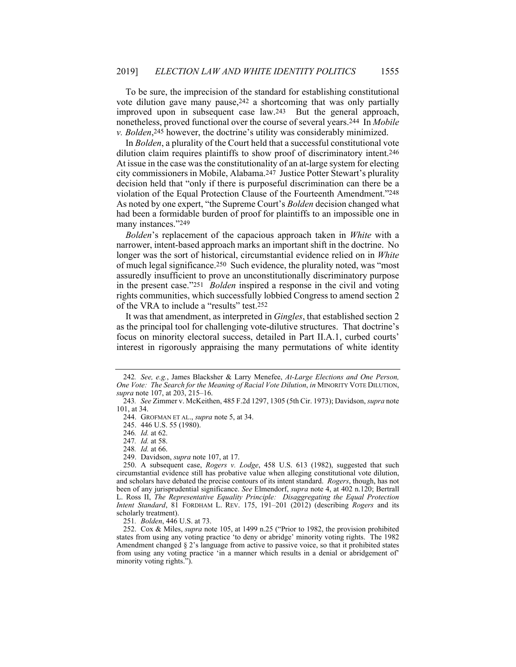To be sure, the imprecision of the standard for establishing constitutional vote dilution gave many pause,242 a shortcoming that was only partially improved upon in subsequent case law.243 But the general approach, nonetheless, proved functional over the course of several years.244 In *Mobile v. Bolden*,245 however, the doctrine's utility was considerably minimized.

In *Bolden*, a plurality of the Court held that a successful constitutional vote dilution claim requires plaintiffs to show proof of discriminatory intent.246 At issue in the case was the constitutionality of an at-large system for electing city commissioners in Mobile, Alabama.247 Justice Potter Stewart's plurality decision held that "only if there is purposeful discrimination can there be a violation of the Equal Protection Clause of the Fourteenth Amendment."248 As noted by one expert, "the Supreme Court's *Bolden* decision changed what had been a formidable burden of proof for plaintiffs to an impossible one in many instances."249

*Bolden*'s replacement of the capacious approach taken in *White* with a narrower, intent-based approach marks an important shift in the doctrine. No longer was the sort of historical, circumstantial evidence relied on in *White* of much legal significance.250 Such evidence, the plurality noted, was "most assuredly insufficient to prove an unconstitutionally discriminatory purpose in the present case."251 *Bolden* inspired a response in the civil and voting rights communities, which successfully lobbied Congress to amend section 2 of the VRA to include a "results" test.252

It was that amendment, as interpreted in *Gingles*, that established section 2 as the principal tool for challenging vote-dilutive structures. That doctrine's focus on minority electoral success, detailed in Part II.A.1, curbed courts' interest in rigorously appraising the many permutations of white identity

248*. Id.* at 66.

251*. Bolden*, 446 U.S. at 73.

 252. Cox & Miles, *supra* note 105, at 1499 n.25 ("Prior to 1982, the provision prohibited states from using any voting practice 'to deny or abridge' minority voting rights. The 1982 Amendment changed § 2's language from active to passive voice, so that it prohibited states from using any voting practice 'in a manner which results in a denial or abridgement of' minority voting rights.").

<sup>242</sup>*. See, e.g.*, James Blacksher & Larry Menefee, *At-Large Elections and One Person, One Vote: The Search for the Meaning of Racial Vote Dilution*, *in* MINORITY VOTE DILUTION, *supra* note 107, at 203, 215–16.

<sup>243</sup>*. See* Zimmer v. McKeithen, 485 F.2d 1297, 1305 (5th Cir. 1973); Davidson, *supra* note 101, at 34.

 <sup>244.</sup> GROFMAN ET AL., *supra* note 5, at 34.

 <sup>245. 446</sup> U.S. 55 (1980).

<sup>246</sup>*. Id.* at 62.

<sup>247</sup>*. Id.* at 58.

 <sup>249.</sup> Davidson, *supra* note 107, at 17.

 <sup>250.</sup> A subsequent case, *Rogers v. Lodge*, 458 U.S. 613 (1982), suggested that such circumstantial evidence still has probative value when alleging constitutional vote dilution, and scholars have debated the precise contours of its intent standard. *Rogers*, though, has not been of any jurisprudential significance. *See* Elmendorf, *supra* note 4, at 402 n.120; Bertrall L. Ross II, *The Representative Equality Principle: Disaggregating the Equal Protection Intent Standard*, 81 FORDHAM L. REV. 175, 191–201 (2012) (describing *Rogers* and its scholarly treatment).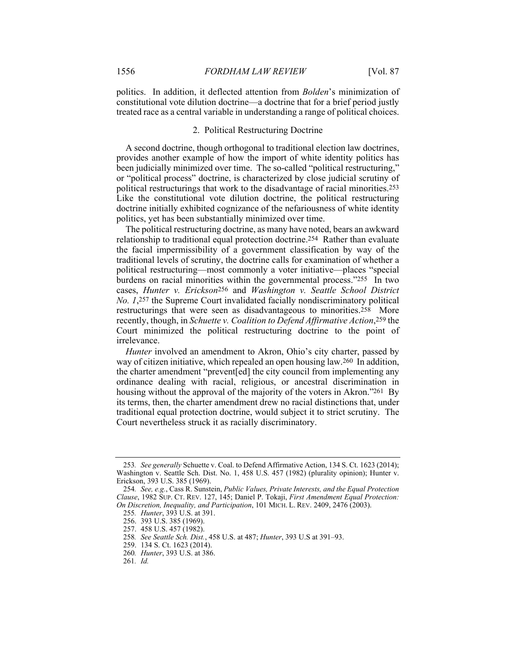politics. In addition, it deflected attention from *Bolden*'s minimization of constitutional vote dilution doctrine—a doctrine that for a brief period justly treated race as a central variable in understanding a range of political choices.

## 2. Political Restructuring Doctrine

A second doctrine, though orthogonal to traditional election law doctrines, provides another example of how the import of white identity politics has been judicially minimized over time. The so-called "political restructuring," or "political process" doctrine, is characterized by close judicial scrutiny of political restructurings that work to the disadvantage of racial minorities.253 Like the constitutional vote dilution doctrine, the political restructuring doctrine initially exhibited cognizance of the nefariousness of white identity politics, yet has been substantially minimized over time.

The political restructuring doctrine, as many have noted, bears an awkward relationship to traditional equal protection doctrine.254 Rather than evaluate the facial impermissibility of a government classification by way of the traditional levels of scrutiny, the doctrine calls for examination of whether a political restructuring—most commonly a voter initiative—places "special burdens on racial minorities within the governmental process."255 In two cases, *Hunter v. Erickson*256 and *Washington v. Seattle School District No. 1*,257 the Supreme Court invalidated facially nondiscriminatory political restructurings that were seen as disadvantageous to minorities.258 More recently, though, in *Schuette v. Coalition to Defend Affirmative Action*,259 the Court minimized the political restructuring doctrine to the point of irrelevance.

*Hunter* involved an amendment to Akron, Ohio's city charter, passed by way of citizen initiative, which repealed an open housing law.260 In addition, the charter amendment "prevent[ed] the city council from implementing any ordinance dealing with racial, religious, or ancestral discrimination in housing without the approval of the majority of the voters in Akron."261 By its terms, then, the charter amendment drew no racial distinctions that, under traditional equal protection doctrine, would subject it to strict scrutiny. The Court nevertheless struck it as racially discriminatory.

<sup>253</sup>*. See generally* Schuette v. Coal. to Defend Affirmative Action, 134 S. Ct. 1623 (2014); Washington v. Seattle Sch. Dist. No. 1, 458 U.S. 457 (1982) (plurality opinion); Hunter v. Erickson, 393 U.S. 385 (1969).

<sup>254</sup>*. See, e.g.*, Cass R. Sunstein, *Public Values, Private Interests, and the Equal Protection Clause*, 1982 SUP. CT. REV. 127, 145; Daniel P. Tokaji, *First Amendment Equal Protection: On Discretion, Inequality, and Participation*, 101 MICH. L. REV. 2409, 2476 (2003).

<sup>255</sup>*. Hunter*, 393 U.S. at 391.

 <sup>256. 393</sup> U.S. 385 (1969).

 <sup>257. 458</sup> U.S. 457 (1982).

<sup>258</sup>*. See Seattle Sch. Dist.*, 458 U.S. at 487; *Hunter*, 393 U.S at 391–93.

 <sup>259. 134</sup> S. Ct. 1623 (2014).

<sup>260</sup>*. Hunter*, 393 U.S. at 386.

<sup>261</sup>*. Id.*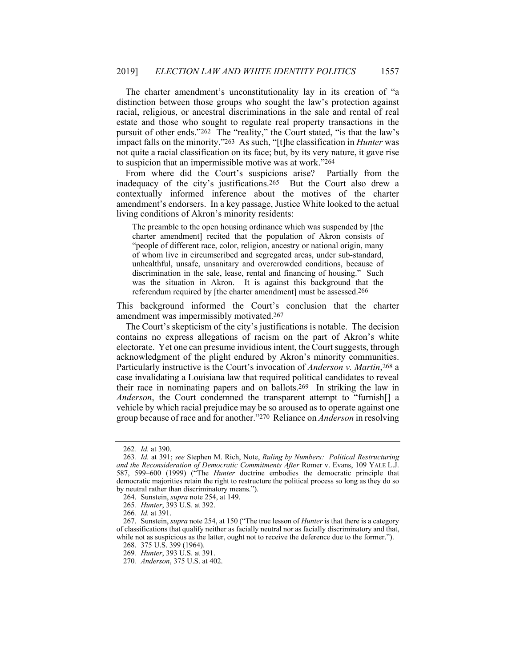The charter amendment's unconstitutionality lay in its creation of "a distinction between those groups who sought the law's protection against racial, religious, or ancestral discriminations in the sale and rental of real estate and those who sought to regulate real property transactions in the pursuit of other ends."262 The "reality," the Court stated, "is that the law's impact falls on the minority."263 As such, "[t]he classification in *Hunter* was not quite a racial classification on its face; but, by its very nature, it gave rise to suspicion that an impermissible motive was at work."264

From where did the Court's suspicions arise? Partially from the inadequacy of the city's justifications.265 But the Court also drew a contextually informed inference about the motives of the charter amendment's endorsers. In a key passage, Justice White looked to the actual living conditions of Akron's minority residents:

The preamble to the open housing ordinance which was suspended by [the charter amendment] recited that the population of Akron consists of "people of different race, color, religion, ancestry or national origin, many of whom live in circumscribed and segregated areas, under sub-standard, unhealthful, unsafe, unsanitary and overcrowded conditions, because of discrimination in the sale, lease, rental and financing of housing." Such was the situation in Akron. It is against this background that the referendum required by [the charter amendment] must be assessed.266

This background informed the Court's conclusion that the charter amendment was impermissibly motivated.267

The Court's skepticism of the city's justifications is notable. The decision contains no express allegations of racism on the part of Akron's white electorate. Yet one can presume invidious intent, the Court suggests, through acknowledgment of the plight endured by Akron's minority communities. Particularly instructive is the Court's invocation of *Anderson v. Martin*,268 a case invalidating a Louisiana law that required political candidates to reveal their race in nominating papers and on ballots.269 In striking the law in *Anderson*, the Court condemned the transparent attempt to "furnish[] a vehicle by which racial prejudice may be so aroused as to operate against one group because of race and for another."270 Reliance on *Anderson* in resolving

<sup>262</sup>*. Id.* at 390.

<sup>263</sup>*. Id.* at 391; *see* Stephen M. Rich, Note, *Ruling by Numbers: Political Restructuring and the Reconsideration of Democratic Commitments After* Romer v. Evans, 109 YALE L.J. 587, 599–600 (1999) ("The *Hunter* doctrine embodies the democratic principle that democratic majorities retain the right to restructure the political process so long as they do so by neutral rather than discriminatory means.").

 <sup>264.</sup> Sunstein, *supra* note 254, at 149.

<sup>265</sup>*. Hunter*, 393 U.S. at 392.

<sup>266</sup>*. Id.* at 391.

 <sup>267.</sup> Sunstein, *supra* note 254, at 150 ("The true lesson of *Hunter* is that there is a category of classifications that qualify neither as facially neutral nor as facially discriminatory and that, while not as suspicious as the latter, ought not to receive the deference due to the former.").

 <sup>268. 375</sup> U.S. 399 (1964).

<sup>269</sup>*. Hunter*, 393 U.S. at 391.

<sup>270</sup>*. Anderson*, 375 U.S. at 402.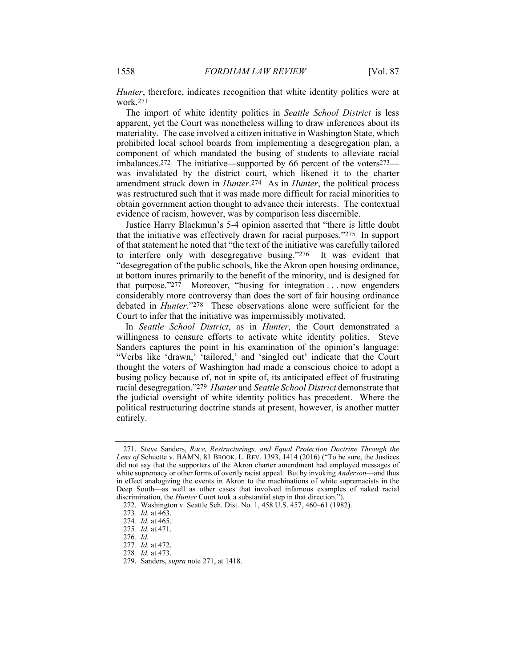*Hunter*, therefore, indicates recognition that white identity politics were at work.271

The import of white identity politics in *Seattle School District* is less apparent, yet the Court was nonetheless willing to draw inferences about its materiality. The case involved a citizen initiative in Washington State, which prohibited local school boards from implementing a desegregation plan, a component of which mandated the busing of students to alleviate racial imbalances.272 The initiative—supported by 66 percent of the voters273 was invalidated by the district court, which likened it to the charter amendment struck down in *Hunter*.274 As in *Hunter*, the political process was restructured such that it was made more difficult for racial minorities to obtain government action thought to advance their interests. The contextual evidence of racism, however, was by comparison less discernible.

Justice Harry Blackmun's 5-4 opinion asserted that "there is little doubt that the initiative was effectively drawn for racial purposes."275 In support of that statement he noted that "the text of the initiative was carefully tailored to interfere only with desegregative busing."276 It was evident that "desegregation of the public schools, like the Akron open housing ordinance, at bottom inures primarily to the benefit of the minority, and is designed for that purpose."277 Moreover, "busing for integration . . . now engenders considerably more controversy than does the sort of fair housing ordinance debated in *Hunter*."278 These observations alone were sufficient for the Court to infer that the initiative was impermissibly motivated.

In *Seattle School District*, as in *Hunter*, the Court demonstrated a willingness to censure efforts to activate white identity politics. Steve Sanders captures the point in his examination of the opinion's language: "Verbs like 'drawn,' 'tailored,' and 'singled out' indicate that the Court thought the voters of Washington had made a conscious choice to adopt a busing policy because of, not in spite of, its anticipated effect of frustrating racial desegregation."279 *Hunter* and *Seattle School District* demonstrate that the judicial oversight of white identity politics has precedent. Where the political restructuring doctrine stands at present, however, is another matter entirely.

 <sup>271.</sup> Steve Sanders, *Race, Restructurings, and Equal Protection Doctrine Through the*  Lens of Schuette v. BAMN, 81 BROOK. L. REV. 1393, 1414 (2016) ("To be sure, the Justices did not say that the supporters of the Akron charter amendment had employed messages of white supremacy or other forms of overtly racist appeal. But by invoking *Anderson*—and thus in effect analogizing the events in Akron to the machinations of white supremacists in the Deep South—as well as other cases that involved infamous examples of naked racial discrimination, the *Hunter* Court took a substantial step in that direction.").

 <sup>272.</sup> Washington v. Seattle Sch. Dist. No. 1, 458 U.S. 457, 460–61 (1982).

<sup>273</sup>*. Id.* at 463.

<sup>274</sup>*. Id.* at 465.

<sup>275</sup>*. Id.* at 471.

<sup>276</sup>*. Id.*

<sup>277</sup>*. Id.* at 472.

<sup>278</sup>*. Id.* at 473.

 <sup>279.</sup> Sanders, *supra* note 271, at 1418.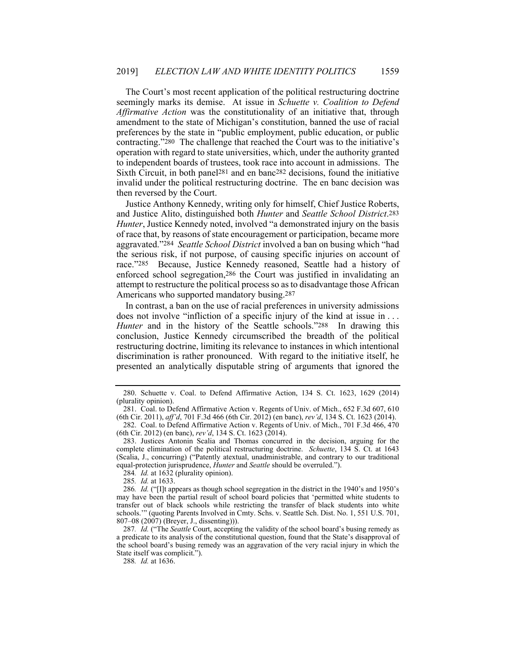The Court's most recent application of the political restructuring doctrine seemingly marks its demise. At issue in *Schuette v. Coalition to Defend Affirmative Action* was the constitutionality of an initiative that, through amendment to the state of Michigan's constitution, banned the use of racial preferences by the state in "public employment, public education, or public contracting."280 The challenge that reached the Court was to the initiative's operation with regard to state universities, which, under the authority granted to independent boards of trustees, took race into account in admissions. The Sixth Circuit, in both panel281 and en banc282 decisions, found the initiative invalid under the political restructuring doctrine. The en banc decision was then reversed by the Court.

Justice Anthony Kennedy, writing only for himself, Chief Justice Roberts, and Justice Alito, distinguished both *Hunter* and *Seattle School District*.283 *Hunter*, Justice Kennedy noted, involved "a demonstrated injury on the basis of race that, by reasons of state encouragement or participation, became more aggravated."284 *Seattle School District* involved a ban on busing which "had the serious risk, if not purpose, of causing specific injuries on account of race."285 Because, Justice Kennedy reasoned, Seattle had a history of enforced school segregation,286 the Court was justified in invalidating an attempt to restructure the political process so as to disadvantage those African Americans who supported mandatory busing.287

In contrast, a ban on the use of racial preferences in university admissions does not involve "infliction of a specific injury of the kind at issue in . . . *Hunter* and in the history of the Seattle schools."<sup>288</sup> In drawing this conclusion, Justice Kennedy circumscribed the breadth of the political restructuring doctrine, limiting its relevance to instances in which intentional discrimination is rather pronounced. With regard to the initiative itself, he presented an analytically disputable string of arguments that ignored the

 282. Coal. to Defend Affirmative Action v. Regents of Univ. of Mich., 701 F.3d 466, 470 (6th Cir. 2012) (en banc), *rev'd*, 134 S. Ct. 1623 (2014).

284*. Id.* at 1632 (plurality opinion).

285*. Id.* at 1633.

288*. Id.* at 1636.

 <sup>280.</sup> Schuette v. Coal. to Defend Affirmative Action, 134 S. Ct. 1623, 1629 (2014) (plurality opinion).

 <sup>281.</sup> Coal. to Defend Affirmative Action v. Regents of Univ. of Mich., 652 F.3d 607, 610 (6th Cir. 2011), *aff'd*, 701 F.3d 466 (6th Cir. 2012) (en banc), *rev'd*, 134 S. Ct. 1623 (2014).

 <sup>283.</sup> Justices Antonin Scalia and Thomas concurred in the decision, arguing for the complete elimination of the political restructuring doctrine. *Schuette*, 134 S. Ct. at 1643 (Scalia, J., concurring) ("Patently atextual, unadministrable, and contrary to our traditional equal-protection jurisprudence, *Hunter* and *Seattle* should be overruled.").

<sup>286</sup>*. Id.* ("[I]t appears as though school segregation in the district in the 1940's and 1950's may have been the partial result of school board policies that 'permitted white students to transfer out of black schools while restricting the transfer of black students into white schools.'" (quoting Parents Involved in Cmty. Schs. v. Seattle Sch. Dist. No. 1, 551 U.S. 701, 807–08 (2007) (Breyer, J., dissenting))).

<sup>287</sup>*. Id.* ("The *Seattle* Court, accepting the validity of the school board's busing remedy as a predicate to its analysis of the constitutional question, found that the State's disapproval of the school board's busing remedy was an aggravation of the very racial injury in which the State itself was complicit.").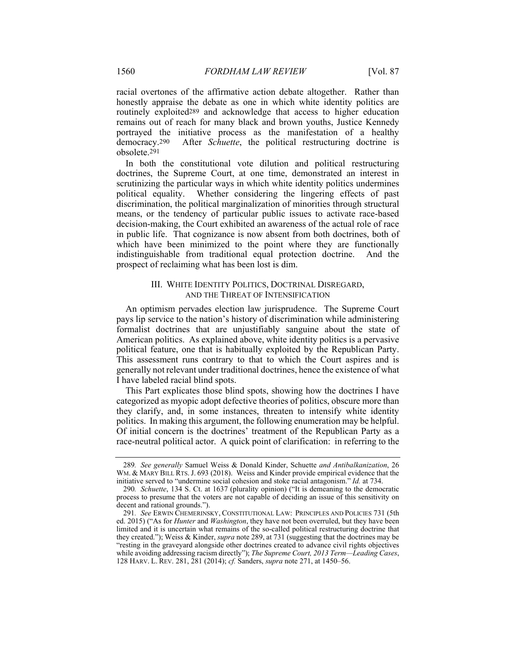racial overtones of the affirmative action debate altogether. Rather than honestly appraise the debate as one in which white identity politics are routinely exploited289 and acknowledge that access to higher education remains out of reach for many black and brown youths, Justice Kennedy portrayed the initiative process as the manifestation of a healthy democracy.290 After *Schuette*, the political restructuring doctrine is obsolete.291

In both the constitutional vote dilution and political restructuring doctrines, the Supreme Court, at one time, demonstrated an interest in scrutinizing the particular ways in which white identity politics undermines political equality. Whether considering the lingering effects of past discrimination, the political marginalization of minorities through structural means, or the tendency of particular public issues to activate race-based decision-making, the Court exhibited an awareness of the actual role of race in public life. That cognizance is now absent from both doctrines, both of which have been minimized to the point where they are functionally indistinguishable from traditional equal protection doctrine. And the prospect of reclaiming what has been lost is dim.

## III. WHITE IDENTITY POLITICS, DOCTRINAL DISREGARD, AND THE THREAT OF INTENSIFICATION

An optimism pervades election law jurisprudence. The Supreme Court pays lip service to the nation's history of discrimination while administering formalist doctrines that are unjustifiably sanguine about the state of American politics. As explained above, white identity politics is a pervasive political feature, one that is habitually exploited by the Republican Party. This assessment runs contrary to that to which the Court aspires and is generally not relevant under traditional doctrines, hence the existence of what I have labeled racial blind spots.

This Part explicates those blind spots, showing how the doctrines I have categorized as myopic adopt defective theories of politics, obscure more than they clarify, and, in some instances, threaten to intensify white identity politics. In making this argument, the following enumeration may be helpful. Of initial concern is the doctrines' treatment of the Republican Party as a race-neutral political actor. A quick point of clarification: in referring to the

<sup>289</sup>*. See generally* Samuel Weiss & Donald Kinder, Schuette *and Antibalkanization*, 26 WM. & MARY BILL RTS.J. 693 (2018). Weiss and Kinder provide empirical evidence that the initiative served to "undermine social cohesion and stoke racial antagonism." *Id.* at 734.

<sup>290</sup>*. Schuette*, 134 S. Ct. at 1637 (plurality opinion) ("It is demeaning to the democratic process to presume that the voters are not capable of deciding an issue of this sensitivity on decent and rational grounds.").

<sup>291</sup>*. See* ERWIN CHEMERINSKY, CONSTITUTIONAL LAW: PRINCIPLES AND POLICIES 731 (5th ed. 2015) ("As for *Hunter* and *Washington*, they have not been overruled, but they have been limited and it is uncertain what remains of the so-called political restructuring doctrine that they created."); Weiss & Kinder, *supra* note 289, at 731 (suggesting that the doctrines may be "resting in the graveyard alongside other doctrines created to advance civil rights objectives while avoiding addressing racism directly"); *The Supreme Court, 2013 Term—Leading Cases*, 128 HARV. L. REV. 281, 281 (2014); *cf.* Sanders, *supra* note 271, at 1450–56.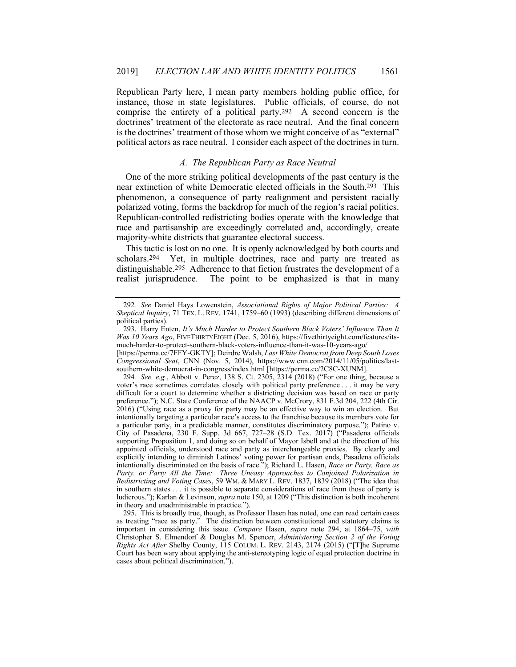Republican Party here, I mean party members holding public office, for instance, those in state legislatures. Public officials, of course, do not comprise the entirety of a political party.292 A second concern is the doctrines' treatment of the electorate as race neutral. And the final concern is the doctrines' treatment of those whom we might conceive of as "external" political actors as race neutral. I consider each aspect of the doctrines in turn.

## *A. The Republican Party as Race Neutral*

One of the more striking political developments of the past century is the near extinction of white Democratic elected officials in the South.293 This phenomenon, a consequence of party realignment and persistent racially polarized voting, forms the backdrop for much of the region's racial politics. Republican-controlled redistricting bodies operate with the knowledge that race and partisanship are exceedingly correlated and, accordingly, create majority-white districts that guarantee electoral success.

This tactic is lost on no one. It is openly acknowledged by both courts and scholars.<sup>294</sup> Yet, in multiple doctrines, race and party are treated as distinguishable.295 Adherence to that fiction frustrates the development of a realist jurisprudence. The point to be emphasized is that in many

294*. See, e.g.*, Abbott v. Perez, 138 S. Ct. 2305, 2314 (2018) ("For one thing, because a voter's race sometimes correlates closely with political party preference . . . it may be very difficult for a court to determine whether a districting decision was based on race or party preference."); N.C. State Conference of the NAACP v. McCrory, 831 F.3d 204, 222 (4th Cir. 2016) ("Using race as a proxy for party may be an effective way to win an election. But intentionally targeting a particular race's access to the franchise because its members vote for a particular party, in a predictable manner, constitutes discriminatory purpose."); Patino v. City of Pasadena, 230 F. Supp. 3d 667, 727–28 (S.D. Tex. 2017) ("Pasadena officials supporting Proposition 1, and doing so on behalf of Mayor Isbell and at the direction of his appointed officials, understood race and party as interchangeable proxies. By clearly and explicitly intending to diminish Latinos' voting power for partisan ends, Pasadena officials intentionally discriminated on the basis of race."); Richard L. Hasen, *Race or Party, Race as*  Party, or Party All the Time: Three Uneasy Approaches to Conjoined Polarization in *Redistricting and Voting Cases*, 59 WM. & MARY L. REV. 1837, 1839 (2018) ("The idea that in southern states . . . it is possible to separate considerations of race from those of party is ludicrous."); Karlan & Levinson, *supra* note 150, at 1209 ("This distinction is both incoherent in theory and unadministrable in practice.").

 295. This is broadly true, though, as Professor Hasen has noted, one can read certain cases as treating "race as party." The distinction between constitutional and statutory claims is important in considering this issue. *Compare* Hasen, *supra* note 294, at 1864–75, *with* Christopher S. Elmendorf & Douglas M. Spencer, *Administering Section 2 of the Voting Rights Act After* Shelby County, 115 COLUM. L. REV. 2143, 2174 (2015) ("[T]he Supreme Court has been wary about applying the anti-stereotyping logic of equal protection doctrine in cases about political discrimination.").

<sup>292</sup>*. See* Daniel Hays Lowenstein, *Associational Rights of Major Political Parties: A Skeptical Inquiry*, 71 TEX. L. REV. 1741, 1759–60 (1993) (describing different dimensions of political parties).

 <sup>293.</sup> Harry Enten, *It's Much Harder to Protect Southern Black Voters' Influence Than It Was 10 Years Ago*, FIVETHIRTYEIGHT (Dec. 5, 2016), https://fivethirtyeight.com/features/itsmuch-harder-to-protect-southern-black-voters-influence-than-it-was-10-years-ago/

<sup>[</sup>https://perma.cc/7FFY-GKTY]; Deirdre Walsh, *Last White Democrat from Deep South Loses Congressional Seat*, CNN (Nov. 5, 2014), https://www.cnn.com/2014/11/05/politics/lastsouthern-white-democrat-in-congress/index.html [https://perma.cc/2C8C-XUNM].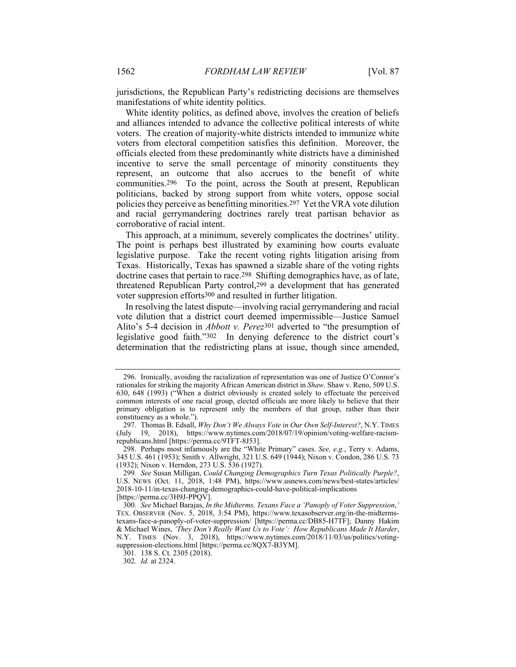jurisdictions, the Republican Party's redistricting decisions are themselves manifestations of white identity politics.

White identity politics, as defined above, involves the creation of beliefs and alliances intended to advance the collective political interests of white voters. The creation of majority-white districts intended to immunize white voters from electoral competition satisfies this definition. Moreover, the officials elected from these predominantly white districts have a diminished incentive to serve the small percentage of minority constituents they represent, an outcome that also accrues to the benefit of white communities.296 To the point, across the South at present, Republican politicians, backed by strong support from white voters, oppose social policies they perceive as benefitting minorities.297 Yet the VRA vote dilution and racial gerrymandering doctrines rarely treat partisan behavior as corroborative of racial intent.

This approach, at a minimum, severely complicates the doctrines' utility. The point is perhaps best illustrated by examining how courts evaluate legislative purpose. Take the recent voting rights litigation arising from Texas. Historically, Texas has spawned a sizable share of the voting rights doctrine cases that pertain to race.<sup>298</sup> Shifting demographics have, as of late, threatened Republican Party control,299 a development that has generated voter suppresion efforts300 and resulted in further litigation.

In resolving the latest dispute—involving racial gerrymandering and racial vote dilution that a district court deemed impermissible—Justice Samuel Alito's 5-4 decision in *Abbott v. Perez*301 adverted to "the presumption of legislative good faith."302 In denying deference to the district court's determination that the redistricting plans at issue, though since amended,

 <sup>296.</sup> Ironically, avoiding the racialization of representation was one of Justice O'Connor's rationales for striking the majority African American district in *Shaw*. Shaw v. Reno, 509 U.S. 630, 648 (1993) ("When a district obviously is created solely to effectuate the perceived common interests of one racial group, elected officials are more likely to believe that their primary obligation is to represent only the members of that group, rather than their constituency as a whole.").

 <sup>297.</sup> Thomas B. Edsall, *Why Don't We Always Vote in Our Own Self-Interest?*, N.Y. TIMES (July 19, 2018), https://www.nytimes.com/2018/07/19/opinion/voting-welfare-racismrepublicans.html [https://perma.cc/9TFT-8J53].

 <sup>298.</sup> Perhaps most infamously are the "White Primary" cases. *See, e.g.*, Terry v. Adams, 345 U.S. 461 (1953); Smith v. Allwright, 321 U.S. 649 (1944); Nixon v. Condon, 286 U.S. 73 (1932); Nixon v. Herndon, 273 U.S. 536 (1927).

<sup>299</sup>*. See* Susan Milligan, *Could Changing Demographics Turn Texas Politically Purple?*, U.S. NEWS (Oct. 11, 2018, 1:48 PM), https://www.usnews.com/news/best-states/articles/ 2018-10-11/in-texas-changing-demographics-could-have-political-implications [https://perma.cc/3H9J-PPQV].

<sup>300</sup>*. See* Michael Barajas, *In the Midterms, Texans Face a 'Panoply of Voter Suppression*,*'* TEX. OBSERVER (Nov. 5, 2018, 3:54 PM), https://www.texasobserver.org/in-the-midtermstexans-face-a-panoply-of-voter-suppression/ [https://perma.cc/DB85-H7TF]; Danny Hakim & Michael Wines, *'They Don't Really Want Us to Vote': How Republicans Made It Harder*, N.Y. TIMES (Nov. 3, 2018), https://www.nytimes.com/2018/11/03/us/politics/votingsuppression-elections.html [https://perma.cc/8QX7-B3YM].

<sup>301</sup>*.* 138 S. Ct. 2305 (2018).

<sup>302</sup>*. Id.* at 2324.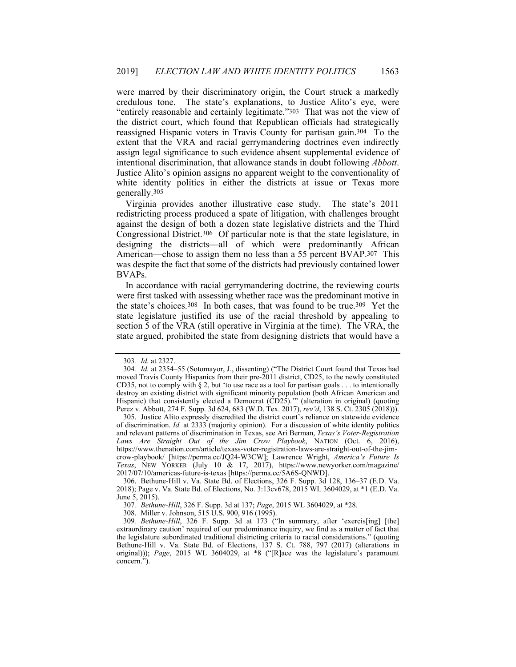were marred by their discriminatory origin, the Court struck a markedly credulous tone. The state's explanations, to Justice Alito's eye, were "entirely reasonable and certainly legitimate."303 That was not the view of the district court, which found that Republican officials had strategically reassigned Hispanic voters in Travis County for partisan gain.304 To the extent that the VRA and racial gerrymandering doctrines even indirectly assign legal significance to such evidence absent supplemental evidence of intentional discrimination, that allowance stands in doubt following *Abbott*. Justice Alito's opinion assigns no apparent weight to the conventionality of white identity politics in either the districts at issue or Texas more generally.305

Virginia provides another illustrative case study. The state's 2011 redistricting process produced a spate of litigation, with challenges brought against the design of both a dozen state legislative districts and the Third Congressional District.306 Of particular note is that the state legislature, in designing the districts—all of which were predominantly African American—chose to assign them no less than a 55 percent BVAP.307 This was despite the fact that some of the districts had previously contained lower BVAPs.

In accordance with racial gerrymandering doctrine, the reviewing courts were first tasked with assessing whether race was the predominant motive in the state's choices.308 In both cases, that was found to be true.309 Yet the state legislature justified its use of the racial threshold by appealing to section 5 of the VRA (still operative in Virginia at the time). The VRA, the state argued, prohibited the state from designing districts that would have a

<sup>303</sup>*. Id.* at 2327.

<sup>304</sup>*. Id.* at 2354–55 (Sotomayor, J., dissenting) ("The District Court found that Texas had moved Travis County Hispanics from their pre-2011 district, CD25, to the newly constituted CD35, not to comply with § 2, but 'to use race as a tool for partisan goals . . . to intentionally destroy an existing district with significant minority population (both African American and Hispanic) that consistently elected a Democrat (CD25)."" (alteration in original) (quoting Perez v. Abbott, 274 F. Supp. 3d 624, 683 (W.D. Tex. 2017), *rev'd*, 138 S. Ct. 2305 (2018))).

 <sup>305.</sup> Justice Alito expressly discredited the district court's reliance on statewide evidence of discrimination. *Id.* at 2333 (majority opinion). For a discussion of white identity politics and relevant patterns of discrimination in Texas, see Ari Berman, *Texas's Voter-Registration Laws Are Straight Out of the Jim Crow Playbook*, NATION (Oct. 6, 2016), https://www.thenation.com/article/texass-voter-registration-laws-are-straight-out-of-the-jimcrow-playbook/ [https://perma.cc/JQ24-W3CW]; Lawrence Wright, *America's Future Is Texas*, NEW YORKER (July 10 & 17, 2017), https://www.newyorker.com/magazine/ 2017/07/10/americas-future-is-texas [https://perma.cc/5A6S-QNWD].

 <sup>306.</sup> Bethune-Hill v. Va. State Bd. of Elections, 326 F. Supp. 3d 128, 136–37 (E.D. Va. 2018); Page v. Va. State Bd. of Elections, No. 3:13cv678, 2015 WL 3604029, at \*1 (E.D. Va. June 5, 2015).

<sup>307</sup>*. Bethune-Hill*, 326 F. Supp. 3d at 137; *Page*, 2015 WL 3604029, at \*28.

 <sup>308.</sup> Miller v. Johnson, 515 U.S. 900, 916 (1995).

<sup>309</sup>*. Bethune-Hill*, 326 F. Supp. 3d at 173 ("In summary, after 'exercis[ing] [the] extraordinary caution' required of our predominance inquiry, we find as a matter of fact that the legislature subordinated traditional districting criteria to racial considerations." (quoting Bethune-Hill v. Va. State Bd. of Elections, 137 S. Ct. 788, 797 (2017) (alterations in original))); *Page*, 2015 WL 3604029, at \*8 ("[R]ace was the legislature's paramount concern.").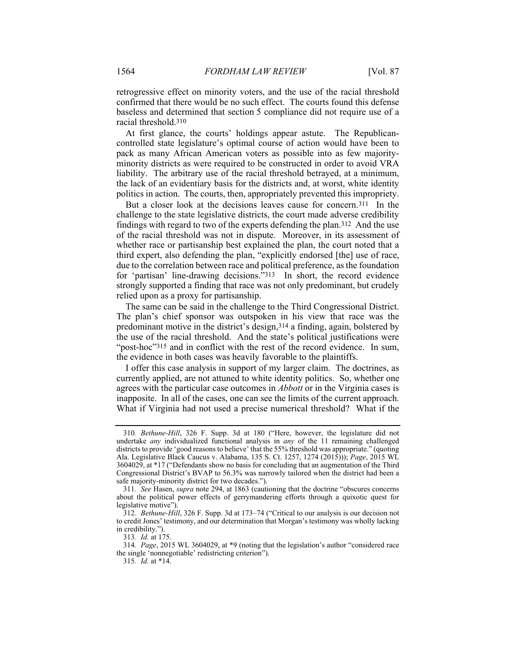retrogressive effect on minority voters, and the use of the racial threshold confirmed that there would be no such effect. The courts found this defense baseless and determined that section 5 compliance did not require use of a racial threshold.310

At first glance, the courts' holdings appear astute. The Republicancontrolled state legislature's optimal course of action would have been to pack as many African American voters as possible into as few majorityminority districts as were required to be constructed in order to avoid VRA liability. The arbitrary use of the racial threshold betrayed, at a minimum, the lack of an evidentiary basis for the districts and, at worst, white identity politics in action. The courts, then, appropriately prevented this impropriety.

But a closer look at the decisions leaves cause for concern.311 In the challenge to the state legislative districts, the court made adverse credibility findings with regard to two of the experts defending the plan.312 And the use of the racial threshold was not in dispute. Moreover, in its assessment of whether race or partisanship best explained the plan, the court noted that a third expert, also defending the plan, "explicitly endorsed [the] use of race, due to the correlation between race and political preference, as the foundation for 'partisan' line-drawing decisions.<sup>3</sup><sup>313</sup> In short, the record evidence strongly supported a finding that race was not only predominant, but crudely relied upon as a proxy for partisanship.

The same can be said in the challenge to the Third Congressional District. The plan's chief sponsor was outspoken in his view that race was the predominant motive in the district's design,314 a finding, again, bolstered by the use of the racial threshold. And the state's political justifications were "post-hoc"315 and in conflict with the rest of the record evidence. In sum, the evidence in both cases was heavily favorable to the plaintiffs.

I offer this case analysis in support of my larger claim. The doctrines, as currently applied, are not attuned to white identity politics. So, whether one agrees with the particular case outcomes in *Abbott* or in the Virginia cases is inapposite. In all of the cases, one can see the limits of the current approach. What if Virginia had not used a precise numerical threshold? What if the

<sup>310</sup>*. Bethune-Hill*, 326 F. Supp. 3d at 180 ("Here, however, the legislature did not undertake *any* individualized functional analysis in *any* of the 11 remaining challenged districts to provide 'good reasons to believe' that the 55% threshold was appropriate." (quoting Ala. Legislative Black Caucus v. Alabama, 135 S. Ct. 1257, 1274 (2015))); *Page*, 2015 WL 3604029, at \*17 ("Defendants show no basis for concluding that an augmentation of the Third Congressional District's BVAP to 56.3% was narrowly tailored when the district had been a safe majority-minority district for two decades.").

<sup>311</sup>*. See* Hasen, *supra* note 294, at 1863 (cautioning that the doctrine "obscures concerns about the political power effects of gerrymandering efforts through a quixotic quest for legislative motive").

<sup>312</sup>*. Bethune-Hill*, 326 F. Supp. 3d at 173–74 ("Critical to our analysis is our decision not to credit Jones' testimony, and our determination that Morgan's testimony was wholly lacking in credibility.")

<sup>313</sup>*. Id.* at 175.

<sup>314</sup>*. Page*, 2015 WL 3604029, at \*9 (noting that the legislation's author "considered race the single 'nonnegotiable' redistricting criterion").

<sup>315</sup>*. Id.* at \*14.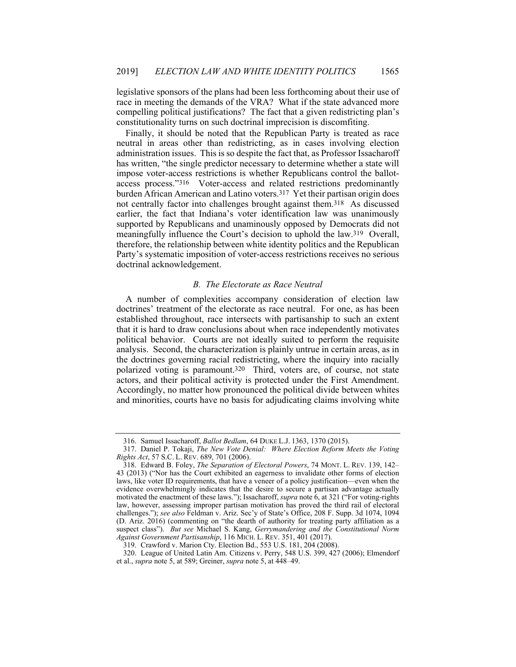legislative sponsors of the plans had been less forthcoming about their use of race in meeting the demands of the VRA? What if the state advanced more compelling political justifications? The fact that a given redistricting plan's constitutionality turns on such doctrinal imprecision is discomfiting.

Finally, it should be noted that the Republican Party is treated as race neutral in areas other than redistricting, as in cases involving election administration issues. This is so despite the fact that, as Professor Issacharoff has written, "the single predictor necessary to determine whether a state will impose voter-access restrictions is whether Republicans control the ballotaccess process."316 Voter-access and related restrictions predominantly burden African American and Latino voters.317 Yet their partisan origin does not centrally factor into challenges brought against them.318 As discussed earlier, the fact that Indiana's voter identification law was unanimously supported by Republicans and unaminously opposed by Democrats did not meaningfully influence the Court's decision to uphold the law.319 Overall, therefore, the relationship between white identity politics and the Republican Party's systematic imposition of voter-access restrictions receives no serious doctrinal acknowledgement.

#### *B. The Electorate as Race Neutral*

A number of complexities accompany consideration of election law doctrines' treatment of the electorate as race neutral. For one, as has been established throughout, race intersects with partisanship to such an extent that it is hard to draw conclusions about when race independently motivates political behavior. Courts are not ideally suited to perform the requisite analysis. Second, the characterization is plainly untrue in certain areas, as in the doctrines governing racial redistricting, where the inquiry into racially polarized voting is paramount.320 Third, voters are, of course, not state actors, and their political activity is protected under the First Amendment. Accordingly, no matter how pronounced the political divide between whites and minorities, courts have no basis for adjudicating claims involving white

 <sup>316.</sup> Samuel Issacharoff, *Ballot Bedlam*, 64 DUKE L.J. 1363, 1370 (2015).

 <sup>317.</sup> Daniel P. Tokaji, *The New Vote Denial: Where Election Reform Meets the Voting Rights Act*, 57 S.C. L. REV. 689, 701 (2006).

 <sup>318.</sup> Edward B. Foley, *The Separation of Electoral Powers*, 74 MONT. L. REV. 139, 142– 43 (2013) ("Nor has the Court exhibited an eagerness to invalidate other forms of election laws, like voter ID requirements, that have a veneer of a policy justification—even when the evidence overwhelmingly indicates that the desire to secure a partisan advantage actually motivated the enactment of these laws."); Issacharoff, *supra* note 6, at 321 ("For voting-rights law, however, assessing improper partisan motivation has proved the third rail of electoral challenges."); *see also* Feldman v. Ariz. Sec'y of State's Office, 208 F. Supp. 3d 1074, 1094 (D. Ariz. 2016) (commenting on "the dearth of authority for treating party affiliation as a suspect class"). *But see* Michael S. Kang, *Gerrymandering and the Constitutional Norm Against Government Partisanship*, 116 MICH. L. REV. 351, 401 (2017).

 <sup>319.</sup> Crawford v. Marion Cty. Election Bd., 553 U.S. 181, 204 (2008).

 <sup>320.</sup> League of United Latin Am. Citizens v. Perry, 548 U.S. 399, 427 (2006); Elmendorf et al., *supra* note 5, at 589; Greiner, *supra* note 5, at 448–49.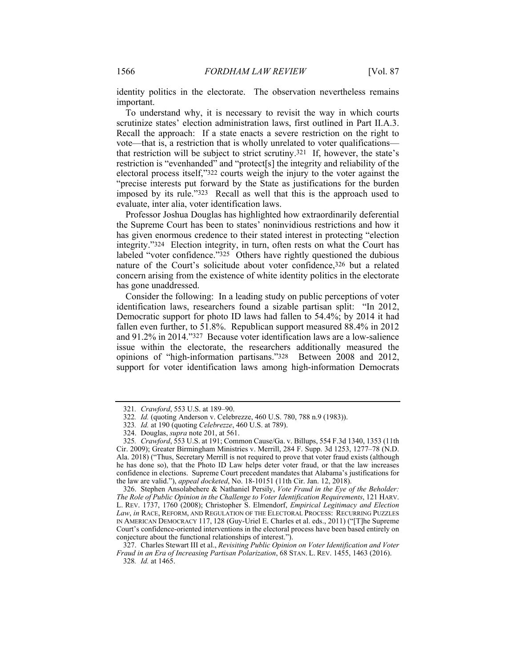identity politics in the electorate. The observation nevertheless remains important.

To understand why, it is necessary to revisit the way in which courts scrutinize states' election administration laws, first outlined in Part II.A.3. Recall the approach: If a state enacts a severe restriction on the right to vote—that is, a restriction that is wholly unrelated to voter qualifications that restriction will be subject to strict scrutiny.321 If, however, the state's restriction is "evenhanded" and "protect[s] the integrity and reliability of the electoral process itself,"322 courts weigh the injury to the voter against the "precise interests put forward by the State as justifications for the burden imposed by its rule."323 Recall as well that this is the approach used to evaluate, inter alia, voter identification laws.

Professor Joshua Douglas has highlighted how extraordinarily deferential the Supreme Court has been to states' noninvidious restrictions and how it has given enormous credence to their stated interest in protecting "election integrity."324 Election integrity, in turn, often rests on what the Court has labeled "voter confidence."<sup>325</sup> Others have rightly questioned the dubious nature of the Court's solicitude about voter confidence,326 but a related concern arising from the existence of white identity politics in the electorate has gone unaddressed.

Consider the following: In a leading study on public perceptions of voter identification laws, researchers found a sizable partisan split: "In 2012, Democratic support for photo ID laws had fallen to 54.4%; by 2014 it had fallen even further, to 51.8%. Republican support measured 88.4% in 2012 and 91.2% in 2014."327 Because voter identification laws are a low-salience issue within the electorate, the researchers additionally measured the opinions of "high-information partisans."328 Between 2008 and 2012, support for voter identification laws among high-information Democrats

 326. Stephen Ansolabehere & Nathaniel Persily, *Vote Fraud in the Eye of the Beholder: The Role of Public Opinion in the Challenge to Voter Identification Requirements*, 121 HARV. L. REV. 1737, 1760 (2008); Christopher S. Elmendorf, *Empirical Legitimacy and Election Law*, *in* RACE, REFORM, AND REGULATION OF THE ELECTORAL PROCESS: RECURRING PUZZLES IN AMERICAN DEMOCRACY 117, 128 (Guy-Uriel E. Charles et al. eds., 2011) ("[T]he Supreme Court's confidence-oriented interventions in the electoral process have been based entirely on conjecture about the functional relationships of interest.").

<sup>321</sup>*. Crawford*, 553 U.S. at 189–90.

<sup>322</sup>*. Id.* (quoting Anderson v. Celebrezze, 460 U.S. 780, 788 n.9 (1983)).

<sup>323</sup>*. Id.* at 190 (quoting *Celebrezze*, 460 U.S. at 789).

 <sup>324.</sup> Douglas, *supra* note 201, at 561.

<sup>325</sup>*. Crawford*, 553 U.S. at 191; Common Cause/Ga. v. Billups, 554 F.3d 1340, 1353 (11th Cir. 2009); Greater Birmingham Ministries v. Merrill, 284 F. Supp. 3d 1253, 1277–78 (N.D. Ala. 2018) ("Thus, Secretary Merrill is not required to prove that voter fraud exists (although he has done so), that the Photo ID Law helps deter voter fraud, or that the law increases confidence in elections. Supreme Court precedent mandates that Alabama's justifications for the law are valid."), *appeal docketed*, No. 18-10151 (11th Cir. Jan. 12, 2018).

 <sup>327.</sup> Charles Stewart III et al., *Revisiting Public Opinion on Voter Identification and Voter Fraud in an Era of Increasing Partisan Polarization*, 68 STAN. L. REV. 1455, 1463 (2016). 328*. Id.* at 1465.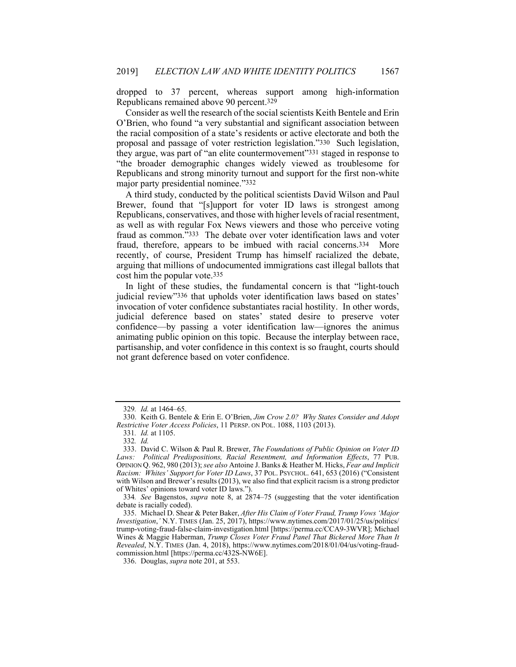dropped to 37 percent, whereas support among high-information Republicans remained above 90 percent.329

Consider as well the research of the social scientists Keith Bentele and Erin O'Brien, who found "a very substantial and significant association between the racial composition of a state's residents or active electorate and both the proposal and passage of voter restriction legislation."330 Such legislation, they argue, was part of "an elite countermovement"331 staged in response to "the broader demographic changes widely viewed as troublesome for Republicans and strong minority turnout and support for the first non-white major party presidential nominee."332

A third study, conducted by the political scientists David Wilson and Paul Brewer, found that "[s]upport for voter ID laws is strongest among Republicans, conservatives, and those with higher levels of racial resentment, as well as with regular Fox News viewers and those who perceive voting fraud as common."333 The debate over voter identification laws and voter fraud, therefore, appears to be imbued with racial concerns.334 More recently, of course, President Trump has himself racialized the debate, arguing that millions of undocumented immigrations cast illegal ballots that cost him the popular vote.335

In light of these studies, the fundamental concern is that "light-touch judicial review"336 that upholds voter identification laws based on states' invocation of voter confidence substantiates racial hostility. In other words, judicial deference based on states' stated desire to preserve voter confidence—by passing a voter identification law—ignores the animus animating public opinion on this topic. Because the interplay between race, partisanship, and voter confidence in this context is so fraught, courts should not grant deference based on voter confidence.

<sup>329</sup>*. Id.* at 1464–65.

 <sup>330.</sup> Keith G. Bentele & Erin E. O'Brien, *Jim Crow 2.0? Why States Consider and Adopt Restrictive Voter Access Policies*, 11 PERSP. ON POL. 1088, 1103 (2013).

<sup>331</sup>*. Id.* at 1105.

<sup>332</sup>*. Id.*

 <sup>333.</sup> David C. Wilson & Paul R. Brewer, *The Foundations of Public Opinion on Voter ID Laws: Political Predispositions, Racial Resentment, and Information Effects*, 77 PUB. OPINION Q. 962, 980 (2013); *see also* Antoine J. Banks & Heather M. Hicks, *Fear and Implicit Racism: Whites' Support for Voter ID Laws*, 37 POL. PSYCHOL. 641, 653 (2016) ("Consistent with Wilson and Brewer's results (2013), we also find that explicit racism is a strong predictor of Whites' opinions toward voter ID laws.").

<sup>334</sup>*. See* Bagenstos, *supra* note 8, at 2874–75 (suggesting that the voter identification debate is racially coded).

 <sup>335.</sup> Michael D. Shear & Peter Baker, *After His Claim of Voter Fraud, Trump Vows 'Major Investigation*,*'* N.Y. TIMES (Jan. 25, 2017), https://www.nytimes.com/2017/01/25/us/politics/ trump-voting-fraud-false-claim-investigation.html [https://perma.cc/CCA9-3WVR]; Michael Wines & Maggie Haberman, *Trump Closes Voter Fraud Panel That Bickered More Than It Revealed*, N.Y. TIMES (Jan. 4, 2018), https://www.nytimes.com/2018/01/04/us/voting-fraudcommission.html [https://perma.cc/432S-NW6E].

 <sup>336.</sup> Douglas, *supra* note 201, at 553.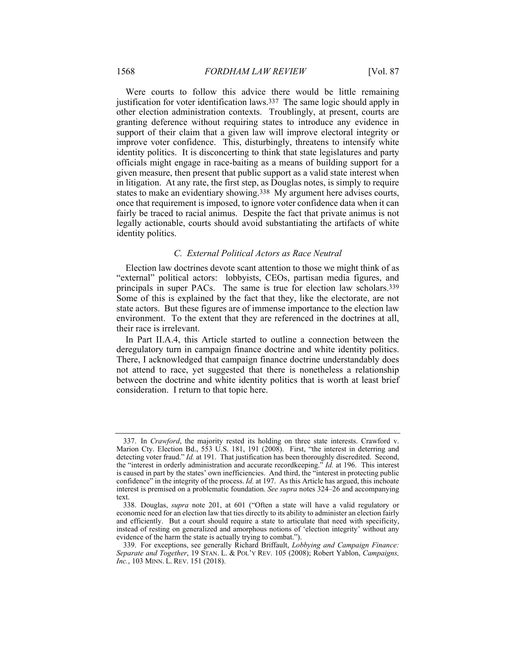Were courts to follow this advice there would be little remaining justification for voter identification laws.<sup>337</sup> The same logic should apply in other election administration contexts. Troublingly, at present, courts are granting deference without requiring states to introduce any evidence in support of their claim that a given law will improve electoral integrity or improve voter confidence. This, disturbingly, threatens to intensify white identity politics. It is disconcerting to think that state legislatures and party officials might engage in race-baiting as a means of building support for a given measure, then present that public support as a valid state interest when in litigation. At any rate, the first step, as Douglas notes, is simply to require states to make an evidentiary showing.338 My argument here advises courts, once that requirement is imposed, to ignore voter confidence data when it can fairly be traced to racial animus. Despite the fact that private animus is not legally actionable, courts should avoid substantiating the artifacts of white identity politics.

#### *C. External Political Actors as Race Neutral*

Election law doctrines devote scant attention to those we might think of as "external" political actors: lobbyists, CEOs, partisan media figures, and principals in super PACs. The same is true for election law scholars.339 Some of this is explained by the fact that they, like the electorate, are not state actors. But these figures are of immense importance to the election law environment. To the extent that they are referenced in the doctrines at all, their race is irrelevant.

In Part II.A.4, this Article started to outline a connection between the deregulatory turn in campaign finance doctrine and white identity politics. There, I acknowledged that campaign finance doctrine understandably does not attend to race, yet suggested that there is nonetheless a relationship between the doctrine and white identity politics that is worth at least brief consideration. I return to that topic here.

 <sup>337.</sup> In *Crawford*, the majority rested its holding on three state interests. Crawford v. Marion Cty. Election Bd., 553 U.S. 181, 191 (2008). First, "the interest in deterring and detecting voter fraud." *Id.* at 191. That justification has been thoroughly discredited. Second, the "interest in orderly administration and accurate recordkeeping." *Id.* at 196. This interest is caused in part by the states' own inefficiencies. And third, the "interest in protecting public confidence" in the integrity of the process. *Id.* at 197. As this Article has argued, this inchoate interest is premised on a problematic foundation. *See supra* notes 324–26 and accompanying text.

 <sup>338.</sup> Douglas, *supra* note 201, at 601 ("Often a state will have a valid regulatory or economic need for an election law that ties directly to its ability to administer an election fairly and efficiently. But a court should require a state to articulate that need with specificity, instead of resting on generalized and amorphous notions of 'election integrity' without any evidence of the harm the state is actually trying to combat.").

 <sup>339.</sup> For exceptions, see generally Richard Briffault, *Lobbying and Campaign Finance: Separate and Together*, 19 STAN. L. & POL'Y REV. 105 (2008); Robert Yablon, *Campaigns, Inc.*, 103 MINN. L. REV. 151 (2018).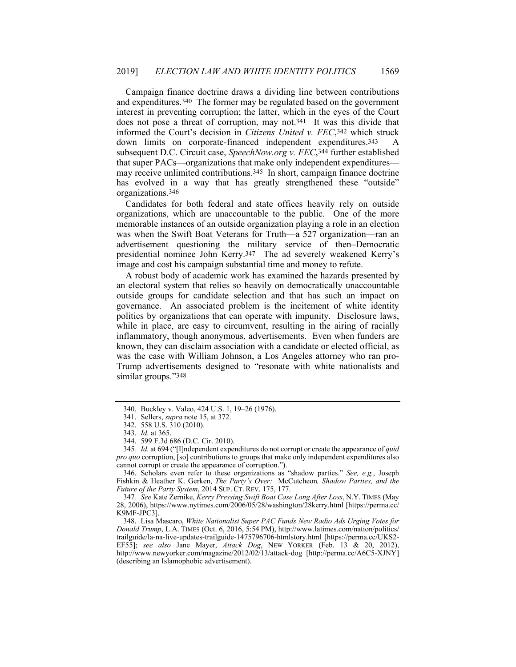Campaign finance doctrine draws a dividing line between contributions and expenditures.340 The former may be regulated based on the government interest in preventing corruption; the latter, which in the eyes of the Court does not pose a threat of corruption, may not.341 It was this divide that informed the Court's decision in *Citizens United v. FEC*,342 which struck down limits on corporate-financed independent expenditures.343 A subsequent D.C. Circuit case, *SpeechNow.org v. FEC*,344 further established that super PACs—organizations that make only independent expenditures may receive unlimited contributions.345 In short, campaign finance doctrine has evolved in a way that has greatly strengthened these "outside" organizations.346

Candidates for both federal and state offices heavily rely on outside organizations, which are unaccountable to the public. One of the more memorable instances of an outside organization playing a role in an election was when the Swift Boat Veterans for Truth—a 527 organization—ran an advertisement questioning the military service of then–Democratic presidential nominee John Kerry.347 The ad severely weakened Kerry's image and cost his campaign substantial time and money to refute.

A robust body of academic work has examined the hazards presented by an electoral system that relies so heavily on democratically unaccountable outside groups for candidate selection and that has such an impact on governance. An associated problem is the incitement of white identity politics by organizations that can operate with impunity. Disclosure laws, while in place, are easy to circumvent, resulting in the airing of racially inflammatory, though anonymous, advertisements. Even when funders are known, they can disclaim association with a candidate or elected official, as was the case with William Johnson, a Los Angeles attorney who ran pro-Trump advertisements designed to "resonate with white nationalists and similar groups."348

 <sup>340.</sup> Buckley v. Valeo, 424 U.S. 1, 19–26 (1976).

 <sup>341.</sup> Sellers, *supra* note 15, at 372.

 <sup>342. 558</sup> U.S. 310 (2010).

 <sup>343.</sup> *Id.* at 365.

 <sup>344. 599</sup> F.3d 686 (D.C. Cir. 2010).

<sup>345</sup>*. Id.* at 694 ("[I]ndependent expenditures do not corrupt or create the appearance of *quid pro quo* corruption, [so] contributions to groups that make only independent expenditures also cannot corrupt or create the appearance of corruption.").

 <sup>346.</sup> Scholars even refer to these organizations as "shadow parties." *See, e.g.*, Joseph Fishkin & Heather K. Gerken, *The Party's Over:* McCutcheon*, Shadow Parties, and the Future of the Party System*, 2014 SUP. CT. REV. 175, 177.

<sup>347</sup>*. See* Kate Zernike, *Kerry Pressing Swift Boat Case Long After Loss*, N.Y. TIMES (May 28, 2006), https://www.nytimes.com/2006/05/28/washington/28kerry.html [https://perma.cc/ K9MF-JPC3].

 <sup>348.</sup> Lisa Mascaro, *White Nationalist Super PAC Funds New Radio Ads Urging Votes for Donald Trump*, L.A. TIMES (Oct. 6, 2016, 5:54 PM), http://www.latimes.com/nation/politics/ trailguide/la-na-live-updates-trailguide-1475796706-htmlstory.html [https://perma.cc/UKS2- EF55]; *see also* Jane Mayer, *Attack Dog*, NEW YORKER (Feb. 13 & 20, 2012), http://www.newyorker.com/magazine/2012/02/13/attack-dog [http://perma.cc/A6C5-XJNY] (describing an Islamophobic advertisement).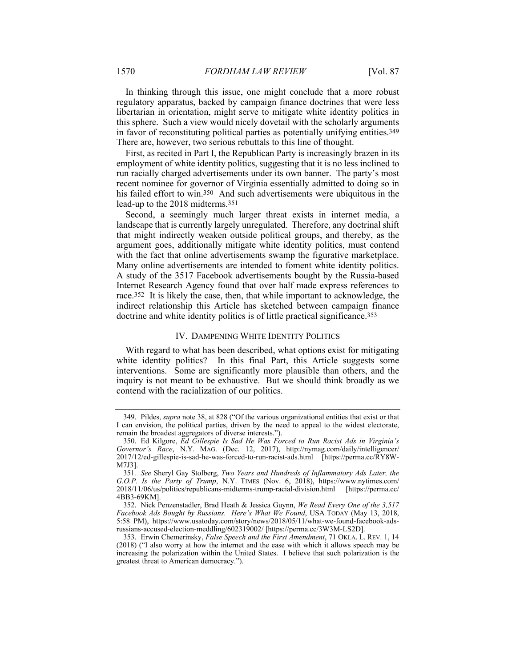In thinking through this issue, one might conclude that a more robust regulatory apparatus, backed by campaign finance doctrines that were less libertarian in orientation, might serve to mitigate white identity politics in this sphere. Such a view would nicely dovetail with the scholarly arguments in favor of reconstituting political parties as potentially unifying entities.349 There are, however, two serious rebuttals to this line of thought.

First, as recited in Part I, the Republican Party is increasingly brazen in its employment of white identity politics, suggesting that it is no less inclined to run racially charged advertisements under its own banner. The party's most recent nominee for governor of Virginia essentially admitted to doing so in his failed effort to win.<sup>350</sup> And such advertisements were ubiquitous in the lead-up to the 2018 midterms.351

Second, a seemingly much larger threat exists in internet media, a landscape that is currently largely unregulated. Therefore, any doctrinal shift that might indirectly weaken outside political groups, and thereby, as the argument goes, additionally mitigate white identity politics, must contend with the fact that online advertisements swamp the figurative marketplace. Many online advertisements are intended to foment white identity politics. A study of the 3517 Facebook advertisements bought by the Russia-based Internet Research Agency found that over half made express references to race.352 It is likely the case, then, that while important to acknowledge, the indirect relationship this Article has sketched between campaign finance doctrine and white identity politics is of little practical significance.353

#### IV. DAMPENING WHITE IDENTITY POLITICS

With regard to what has been described, what options exist for mitigating white identity politics? In this final Part, this Article suggests some interventions. Some are significantly more plausible than others, and the inquiry is not meant to be exhaustive. But we should think broadly as we contend with the racialization of our politics.

 <sup>349.</sup> Pildes, *supra* note 38, at 828 ("Of the various organizational entities that exist or that I can envision, the political parties, driven by the need to appeal to the widest electorate, remain the broadest aggregators of diverse interests.").

 <sup>350.</sup> Ed Kilgore, *Ed Gillespie Is Sad He Was Forced to Run Racist Ads in Virginia's Governor's Race*, N.Y. MAG. (Dec. 12, 2017), http://nymag.com/daily/intelligencer/ 2017/12/ed-gillespie-is-sad-he-was-forced-to-run-racist-ads.html [https://perma.cc/RY8W-M7J3].

<sup>351</sup>*. See* Sheryl Gay Stolberg, *Two Years and Hundreds of Inflammatory Ads Later, the G.O.P. Is the Party of Trump*, N.Y. TIMES (Nov. 6, 2018), https://www.nytimes.com/ 2018/11/06/us/politics/republicans-midterms-trump-racial-division.html [https://perma.cc/ 4BB3-69KM].

 <sup>352.</sup> Nick Penzenstadler, Brad Heath & Jessica Guynn, *We Read Every One of the 3,517 Facebook Ads Bought by Russians. Here's What We Found*, USA TODAY (May 13, 2018, 5:58 PM), https://www.usatoday.com/story/news/2018/05/11/what-we-found-facebook-adsrussians-accused-election-meddling/602319002/ [https://perma.cc/3W3M-LS2D].

 <sup>353.</sup> Erwin Chemerinsky, *False Speech and the First Amendment*, 71 OKLA. L. REV. 1, 14 (2018) ("I also worry at how the internet and the ease with which it allows speech may be increasing the polarization within the United States. I believe that such polarization is the greatest threat to American democracy.").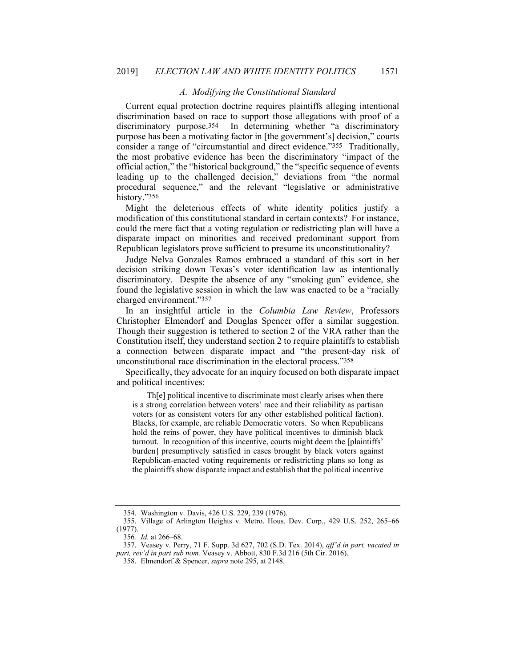### *A. Modifying the Constitutional Standard*

Current equal protection doctrine requires plaintiffs alleging intentional discrimination based on race to support those allegations with proof of a discriminatory purpose.354 In determining whether "a discriminatory purpose has been a motivating factor in [the government's] decision," courts consider a range of "circumstantial and direct evidence."355 Traditionally, the most probative evidence has been the discriminatory "impact of the official action," the "historical background," the "specific sequence of events leading up to the challenged decision," deviations from "the normal procedural sequence," and the relevant "legislative or administrative history."356

Might the deleterious effects of white identity politics justify a modification of this constitutional standard in certain contexts? For instance, could the mere fact that a voting regulation or redistricting plan will have a disparate impact on minorities and received predominant support from Republican legislators prove sufficient to presume its unconstitutionality?

Judge Nelva Gonzales Ramos embraced a standard of this sort in her decision striking down Texas's voter identification law as intentionally discriminatory. Despite the absence of any "smoking gun" evidence, she found the legislative session in which the law was enacted to be a "racially charged environment."357

In an insightful article in the *Columbia Law Review*, Professors Christopher Elmendorf and Douglas Spencer offer a similar suggestion. Though their suggestion is tethered to section 2 of the VRA rather than the Constitution itself, they understand section 2 to require plaintiffs to establish a connection between disparate impact and "the present-day risk of unconstitutional race discrimination in the electoral process."358

Specifically, they advocate for an inquiry focused on both disparate impact and political incentives:

Th[e] political incentive to discriminate most clearly arises when there is a strong correlation between voters' race and their reliability as partisan voters (or as consistent voters for any other established political faction). Blacks, for example, are reliable Democratic voters. So when Republicans hold the reins of power, they have political incentives to diminish black turnout. In recognition of this incentive, courts might deem the [plaintiffs' burden] presumptively satisfied in cases brought by black voters against Republican-enacted voting requirements or redistricting plans so long as the plaintiffs show disparate impact and establish that the political incentive

 <sup>354.</sup> Washington v. Davis, 426 U.S. 229, 239 (1976).

 <sup>355.</sup> Village of Arlington Heights v. Metro. Hous. Dev. Corp., 429 U.S. 252, 265–66 (1977).

<sup>356</sup>*. Id.* at 266–68.

 <sup>357.</sup> Veasey v. Perry, 71 F. Supp. 3d 627, 702 (S.D. Tex. 2014), *aff'd in part, vacated in part, rev'd in part sub nom.* Veasey v. Abbott, 830 F.3d 216 (5th Cir. 2016).

 <sup>358.</sup> Elmendorf & Spencer, *supra* note 295, at 2148.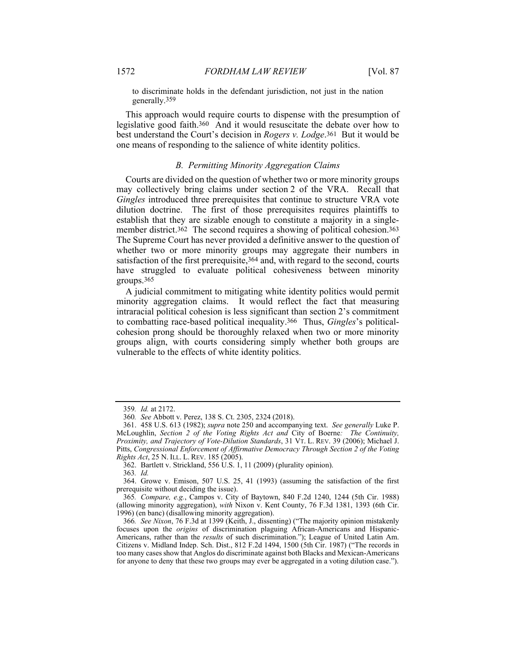to discriminate holds in the defendant jurisdiction, not just in the nation generally.359

This approach would require courts to dispense with the presumption of legislative good faith.360 And it would resuscitate the debate over how to best understand the Court's decision in *Rogers v. Lodge*.361 But it would be one means of responding to the salience of white identity politics.

#### *B. Permitting Minority Aggregation Claims*

Courts are divided on the question of whether two or more minority groups may collectively bring claims under section 2 of the VRA. Recall that *Gingles* introduced three prerequisites that continue to structure VRA vote dilution doctrine. The first of those prerequisites requires plaintiffs to establish that they are sizable enough to constitute a majority in a singlemember district.<sup>362</sup> The second requires a showing of political cohesion.<sup>363</sup> The Supreme Court has never provided a definitive answer to the question of whether two or more minority groups may aggregate their numbers in satisfaction of the first prerequisite, 364 and, with regard to the second, courts have struggled to evaluate political cohesiveness between minority groups.365

A judicial commitment to mitigating white identity politics would permit minority aggregation claims. It would reflect the fact that measuring intraracial political cohesion is less significant than section 2's commitment to combatting race-based political inequality.366 Thus, *Gingles*'s politicalcohesion prong should be thoroughly relaxed when two or more minority groups align, with courts considering simply whether both groups are vulnerable to the effects of white identity politics.

362. Bartlett v. Strickland, 556 U.S. 1, 11 (2009) (plurality opinion).

363*. Id.*

<sup>359</sup>*. Id.* at 2172.

<sup>360</sup>*. See* Abbott v. Perez, 138 S. Ct. 2305, 2324 (2018).

 <sup>361. 458</sup> U.S. 613 (1982); *supra* note 250 and accompanying text. *See generally* Luke P. McLoughlin, *Section 2 of the Voting Rights Act and* City of Boerne*: The Continuity, Proximity, and Trajectory of Vote-Dilution Standards*, 31 VT. L. REV. 39 (2006); Michael J. Pitts, *Congressional Enforcement of Affirmative Democracy Through Section 2 of the Voting Rights Act*, 25 N. ILL. L. REV. 185 (2005).

 <sup>364.</sup> Growe v. Emison, 507 U.S. 25, 41 (1993) (assuming the satisfaction of the first prerequisite without deciding the issue).

<sup>365</sup>*. Compare, e.g.*, Campos v. City of Baytown, 840 F.2d 1240, 1244 (5th Cir. 1988) (allowing minority aggregation), *with* Nixon v. Kent County, 76 F.3d 1381, 1393 (6th Cir. 1996) (en banc) (disallowing minority aggregation).

<sup>366</sup>*. See Nixon*, 76 F.3d at 1399 (Keith, J., dissenting) ("The majority opinion mistakenly focuses upon the *origins* of discrimination plaguing African-Americans and Hispanic-Americans, rather than the *results* of such discrimination."); League of United Latin Am. Citizens v. Midland Indep. Sch. Dist., 812 F.2d 1494, 1500 (5th Cir. 1987) ("The records in too many cases show that Anglos do discriminate against both Blacks and Mexican-Americans for anyone to deny that these two groups may ever be aggregated in a voting dilution case.").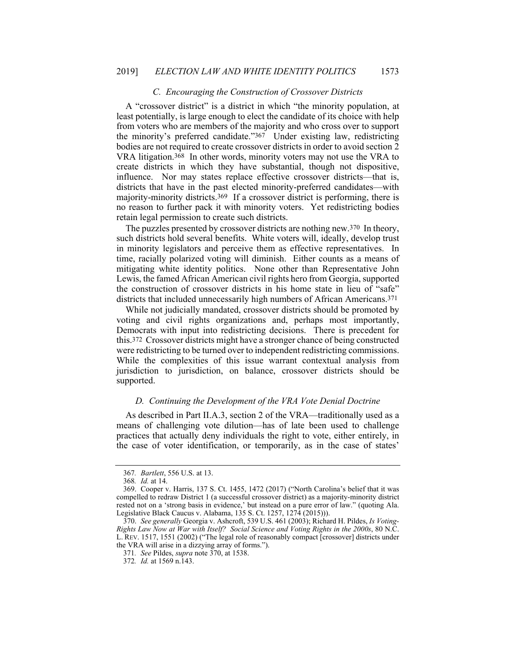## *C. Encouraging the Construction of Crossover Districts*

A "crossover district" is a district in which "the minority population, at least potentially, is large enough to elect the candidate of its choice with help from voters who are members of the majority and who cross over to support the minority's preferred candidate."367 Under existing law, redistricting bodies are not required to create crossover districts in order to avoid section 2 VRA litigation.368 In other words, minority voters may not use the VRA to create districts in which they have substantial, though not dispositive, influence. Nor may states replace effective crossover districts—that is, districts that have in the past elected minority-preferred candidates—with majority-minority districts.369 If a crossover district is performing, there is no reason to further pack it with minority voters. Yet redistricting bodies retain legal permission to create such districts.

The puzzles presented by crossover districts are nothing new.370 In theory, such districts hold several benefits. White voters will, ideally, develop trust in minority legislators and perceive them as effective representatives. In time, racially polarized voting will diminish. Either counts as a means of mitigating white identity politics. None other than Representative John Lewis, the famed African American civil rights hero from Georgia, supported the construction of crossover districts in his home state in lieu of "safe" districts that included unnecessarily high numbers of African Americans.371

While not judicially mandated, crossover districts should be promoted by voting and civil rights organizations and, perhaps most importantly, Democrats with input into redistricting decisions. There is precedent for this.372 Crossover districts might have a stronger chance of being constructed were redistricting to be turned over to independent redistricting commissions. While the complexities of this issue warrant contextual analysis from jurisdiction to jurisdiction, on balance, crossover districts should be supported.

### *D. Continuing the Development of the VRA Vote Denial Doctrine*

As described in Part II.A.3, section 2 of the VRA—traditionally used as a means of challenging vote dilution—has of late been used to challenge practices that actually deny individuals the right to vote, either entirely, in the case of voter identification, or temporarily, as in the case of states'

<sup>367</sup>*. Bartlett*, 556 U.S. at 13.

<sup>368</sup>*. Id.* at 14.

 <sup>369.</sup> Cooper v. Harris, 137 S. Ct. 1455, 1472 (2017) ("North Carolina's belief that it was compelled to redraw District 1 (a successful crossover district) as a majority-minority district rested not on a 'strong basis in evidence,' but instead on a pure error of law." (quoting Ala. Legislative Black Caucus v. Alabama, 135 S. Ct. 1257, 1274 (2015))).

 <sup>370.</sup> *See generally* Georgia v. Ashcroft, 539 U.S. 461 (2003); Richard H. Pildes, *Is Voting-Rights Law Now at War with Itself? Social Science and Voting Rights in the 2000s*, 80 N.C. L. REV. 1517, 1551 (2002) ("The legal role of reasonably compact [crossover] districts under the VRA will arise in a dizzying array of forms.").

<sup>371</sup>*. See* Pildes, *supra* note 370, at 1538.

<sup>372</sup>*. Id.* at 1569 n.143.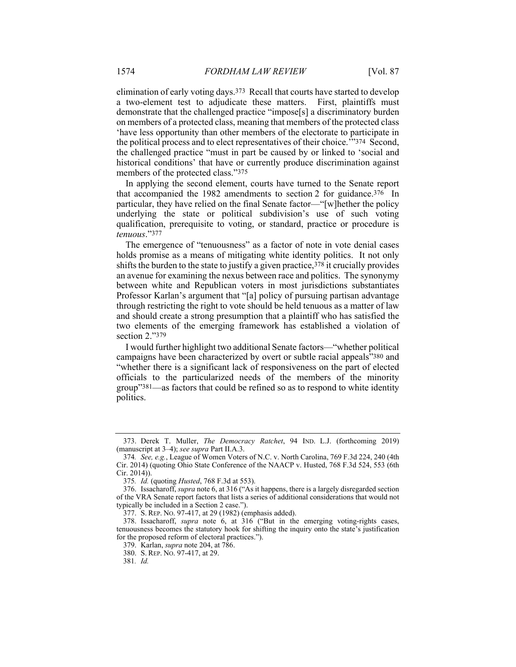elimination of early voting days.373 Recall that courts have started to develop a two-element test to adjudicate these matters. First, plaintiffs must demonstrate that the challenged practice "impose[s] a discriminatory burden on members of a protected class, meaning that members of the protected class 'have less opportunity than other members of the electorate to participate in the political process and to elect representatives of their choice.'"374 Second, the challenged practice "must in part be caused by or linked to 'social and historical conditions' that have or currently produce discrimination against members of the protected class."375

In applying the second element, courts have turned to the Senate report that accompanied the 1982 amendments to section 2 for guidance.376 In particular, they have relied on the final Senate factor—"[w]hether the policy underlying the state or political subdivision's use of such voting qualification, prerequisite to voting, or standard, practice or procedure is *tenuous*."377

The emergence of "tenuousness" as a factor of note in vote denial cases holds promise as a means of mitigating white identity politics. It not only shifts the burden to the state to justify a given practice,  $378$  it crucially provides an avenue for examining the nexus between race and politics. The synonymy between white and Republican voters in most jurisdictions substantiates Professor Karlan's argument that "[a] policy of pursuing partisan advantage through restricting the right to vote should be held tenuous as a matter of law and should create a strong presumption that a plaintiff who has satisfied the two elements of the emerging framework has established a violation of section 2 "379

I would further highlight two additional Senate factors—"whether political campaigns have been characterized by overt or subtle racial appeals"380 and "whether there is a significant lack of responsiveness on the part of elected officials to the particularized needs of the members of the minority group"381—as factors that could be refined so as to respond to white identity politics.

 <sup>373.</sup> Derek T. Muller, *The Democracy Ratchet*, 94 IND. L.J. (forthcoming 2019) (manuscript at 3–4); *see supra* Part II.A.3.

<sup>374</sup>*. See, e.g.*, League of Women Voters of N.C. v. North Carolina, 769 F.3d 224, 240 (4th Cir. 2014) (quoting Ohio State Conference of the NAACP v. Husted, 768 F.3d 524, 553 (6th Cir. 2014)).

<sup>375</sup>*. Id.* (quoting *Husted*, 768 F.3d at 553).

 <sup>376.</sup> Issacharoff, *supra* note 6, at 316 ("As it happens, there is a largely disregarded section of the VRA Senate report factors that lists a series of additional considerations that would not typically be included in a Section 2 case.").

 <sup>377.</sup> S. REP. NO. 97-417, at 29 (1982) (emphasis added).

 <sup>378.</sup> Issacharoff, *supra* note 6, at 316 ("But in the emerging voting-rights cases, tenuousness becomes the statutory hook for shifting the inquiry onto the state's justification for the proposed reform of electoral practices.").

 <sup>379.</sup> Karlan, *supra* note 204, at 786.

 <sup>380.</sup> S. REP. NO. 97-417, at 29.

<sup>381</sup>*. Id.*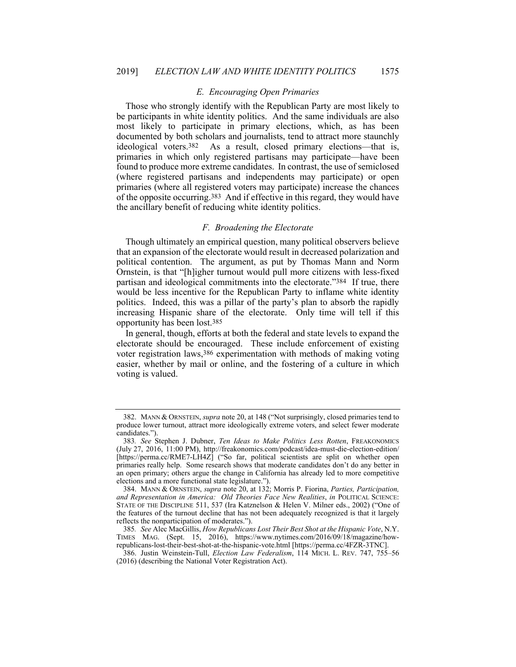## *E. Encouraging Open Primaries*

Those who strongly identify with the Republican Party are most likely to be participants in white identity politics. And the same individuals are also most likely to participate in primary elections, which, as has been documented by both scholars and journalists, tend to attract more staunchly ideological voters.382 As a result, closed primary elections—that is, primaries in which only registered partisans may participate—have been found to produce more extreme candidates. In contrast, the use of semiclosed (where registered partisans and independents may participate) or open primaries (where all registered voters may participate) increase the chances of the opposite occurring.383 And if effective in this regard, they would have the ancillary benefit of reducing white identity politics.

## *F. Broadening the Electorate*

Though ultimately an empirical question, many political observers believe that an expansion of the electorate would result in decreased polarization and political contention. The argument, as put by Thomas Mann and Norm Ornstein, is that "[h]igher turnout would pull more citizens with less-fixed partisan and ideological commitments into the electorate."384 If true, there would be less incentive for the Republican Party to inflame white identity politics. Indeed, this was a pillar of the party's plan to absorb the rapidly increasing Hispanic share of the electorate. Only time will tell if this opportunity has been lost.385

In general, though, efforts at both the federal and state levels to expand the electorate should be encouraged. These include enforcement of existing voter registration laws,386 experimentation with methods of making voting easier, whether by mail or online, and the fostering of a culture in which voting is valued.

 <sup>382.</sup> MANN & ORNSTEIN, *supra* note 20, at 148 ("Not surprisingly, closed primaries tend to produce lower turnout, attract more ideologically extreme voters, and select fewer moderate candidates.").

<sup>383</sup>*. See* Stephen J. Dubner, *Ten Ideas to Make Politics Less Rotten*, FREAKONOMICS (July 27, 2016, 11:00 PM), http://freakonomics.com/podcast/idea-must-die-election-edition/ [https://perma.cc/RME7-LH4Z] ("So far, political scientists are split on whether open primaries really help. Some research shows that moderate candidates don't do any better in an open primary; others argue the change in California has already led to more competitive elections and a more functional state legislature.").

 <sup>384.</sup> MANN & ORNSTEIN, *supra* note 20, at 132; Morris P. Fiorina, *Parties, Participation, and Representation in America: Old Theories Face New Realities*, *in* POLITICAL SCIENCE: STATE OF THE DISCIPLINE 511, 537 (Ira Katznelson & Helen V. Milner eds., 2002) ("One of the features of the turnout decline that has not been adequately recognized is that it largely reflects the nonparticipation of moderates.").

<sup>385</sup>*. See* Alec MacGillis, *How Republicans Lost Their Best Shot at the Hispanic Vote*, N.Y. TIMES MAG. (Sept. 15, 2016), https://www.nytimes.com/2016/09/18/magazine/howrepublicans-lost-their-best-shot-at-the-hispanic-vote.html [https://perma.cc/4FZR-3TNC].

 <sup>386.</sup> Justin Weinstein-Tull, *Election Law Federalism*, 114 MICH. L. REV. 747, 755–56 (2016) (describing the National Voter Registration Act).